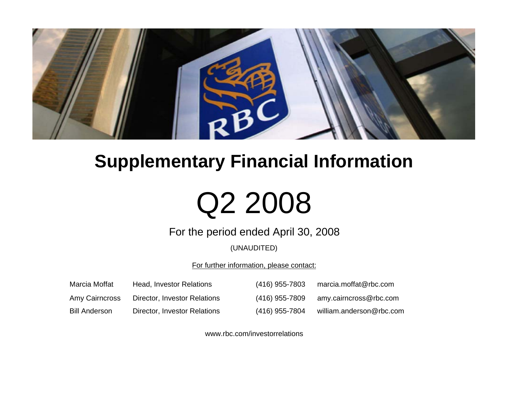

# **Supplementary Financial Information**

# Q2 2008

For the period ended April 30, 2008

(UNAUDITED)

For further information, please contact:

| Marcia Moffat        | Head, Investor Relations     | (416) 955-7803 | marcia.moffat@rbc.com    |
|----------------------|------------------------------|----------------|--------------------------|
| Amy Cairncross       | Director, Investor Relations | (416) 955-7809 | amy.cairncross@rbc.com   |
| <b>Bill Anderson</b> | Director, Investor Relations | (416) 955-7804 | william.anderson@rbc.com |

www.rbc.com/investorrelations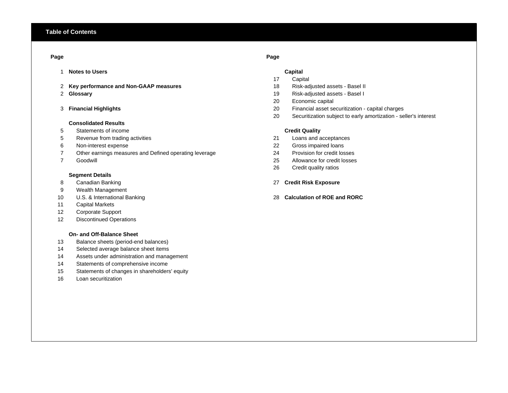# **Page Page**

- 1 **Notes to Users Capital**
- 2 **Key performance and Non-GAAP measures** 18 Risk-adjusted assets Basel II
- 2 Glossary

# 3 Financial Highlights

# **Consolidated Results**

- Statements of income
- Revenue from trading activities 21 Loans and acceptances
- 
- Other earnings measures and Defined operating leverage 24 Provision for credit losses
- Goodwill

# **Segment Details**

- 
- Wealth Management
- 
- Capital Markets
- Corporate Support
- Discontinued Operations

# **On- and Off-Balance Sheet**

- Balance sheets (period-end balances)
- Selected average balance sheet items
- Assets under administration and management
- Statements of comprehensive income
- Statements of changes in shareholders' equity
- Loan securitization

- Capital
- 
- **Glossary** 19 Risk-adjusted assets Basel I
- Economic capital
- **Financial Highlights** 20 Financial asset securitization capital charges
- Securitization subject to early amortization seller's interest

# **Credit Quality**

- 
- Non-interest expense 22 Gross impaired loans
	-
	- 25 Allowance for credit losses
	- Credit quality ratios

# Canadian Banking 27 **Credit Risk Exposure**

U.S. & International Banking 28 **Calculation of ROE and RORC**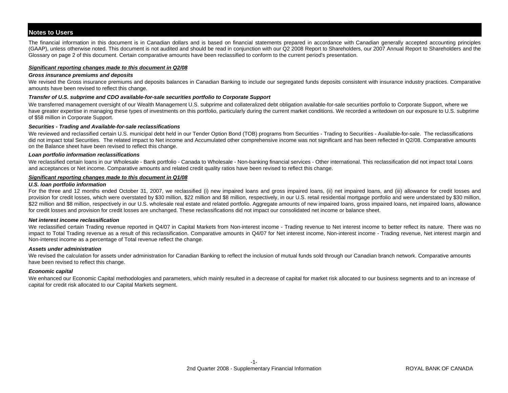The financial information in this document is in Canadian dollars and is based on financial statements prepared in accordance with Canadian generally accepted accounting principles (GAAP), unless otherwise noted. This document is not audited and should be read in conjunction with our Q2 2008 Report to Shareholders, our 2007 Annual Report to Shareholders and the Glossary on page 2 of this document. Certain comparative amounts have been reclassified to conform to the current period's presentation.

# *Significant reporting changes made to this document in Q2/08*

# *Gross insurance premiums and deposits*

We revised the Gross insurance premiums and deposits balances in Canadian Banking to include our segregated funds deposits consistent with insurance industry practices. Comparative amounts have been revised to reflect this change.

# *Transfer of U.S. subprime and CDO available-for-sale securities portfolio to Corporate Support*

We transferred management oversight of our Wealth Management U.S. subprime and collateralized debt obligation available-for-sale securities portfolio to Corporate Support, where we have greater expertise in managing these types of investments on this portfolio, particularly during the current market conditions. We recorded a writedown on our exposure to U.S. subprime of \$58 million in Corporate Support.

# *Securities - Trading and Available-for-sale reclassifications*

We reviewed and reclassified certain U.S. municipal debt held in our Tender Option Bond (TOB) programs from Securities - Trading to Securities - Available-for-sale. The reclassifications did not impact total Securities. The related impact to Net income and Accumulated other comprehensive income was not significant and has been reflected in Q2/08. Comparative amounts on the Balance sheet have been revised to reflect this change.

# *Loan portfolio information reclassifications*

We reclassified certain loans in our Wholesale - Bank portfolio - Canada to Wholesale - Non-banking financial services - Other international. This reclassification did not impact total Loans and acceptances or Net income. Comparative amounts and related credit quality ratios have been revised to reflect this change.

# *Significant reporting changes made to this document in Q1/08*

# *U.S. loan portfolio information*

For the three and 12 months ended October 31, 2007, we reclassified (i) new impaired loans and gross impaired loans, (ii) net impaired loans, and (iii) allowance for credit losses and provision for credit losses, which were overstated by \$30 million, \$22 million and \$8 million, respectively, in our U.S. retail residential mortgage portfolio and were understated by \$30 million, \$22 million and \$8 million, respectively in our U.S. wholesale real estate and related portfolio. Aggregate amounts of new impaired loans, gross impaired loans, net impaired loans, allowance for credit losses and provision for credit losses are unchanged. These reclassifications did not impact our consolidated net income or balance sheet.

# *Net interest income reclassification*

We reclassified certain Trading revenue reported in Q4/07 in Capital Markets from Non-interest income - Trading revenue to Net interest income to better reflect its nature. There was no impact to Total Trading revenue as a result of this reclassification. Comparative amounts in Q4/07 for Net interest income, Non-interest income - Trading revenue, Net interest margin and Non-interest income as a percentage of Total revenue reflect the change.

# *Assets under administration*

We revised the calculation for assets under administration for Canadian Banking to reflect the inclusion of mutual funds sold through our Canadian branch network. Comparative amounts have been revised to reflect this change.

# *Economic capital*

We enhanced our Economic Capital methodologies and parameters, which mainly resulted in a decrease of capital for market risk allocated to our business segments and to an increase of capital for credit risk allocated to our Capital Markets segment.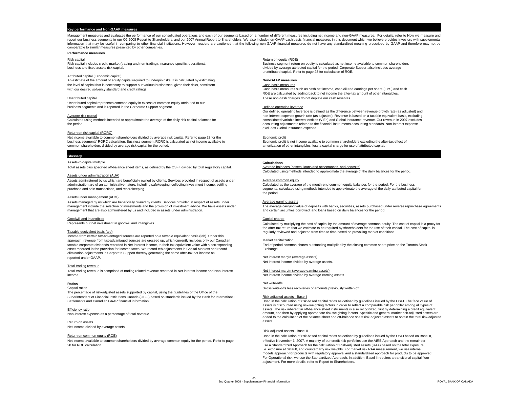## **Key performance and Non-GAAP measures**

Management measures and evaluates the performance of our consolidated operations and each of our segments based on a number of different measures including net income and non-GAAP measures. For details, refer to How we mea report our business segments in our Q2 2008 Report to Shareholders, and our 2007 Annual Report to Shareholders. We also include non-GAAP cash basis financial measures in this document which we believe provides investors wi information that may be useful in comparing to other financial institutions. However, readers are cautioned that the following non-GAAP financial measures do not have any standardized meaning prescribed by GAAP and therefo comparable to similar measures presented by other companies.

### **Performance measures**

### Attributed capital (Economic capital)

An estimate of the amount of equity capital required to underpin risks. It is calculated by estimating **Non-GAAP measures** the level of capital that is necessary to support our various businesses, given their risks, consistent Cash basis measures Cash basis measures control control of the Unit our desired solvency standard and credit ratings.

Unattributed capital represents common equity in excess of common equity attributed to our business segments and is reported in the Corporate Support segment. The Corporation of the Corporation of the Corporate Support segment.

### Return on risk capital (RORC)

Net income available to common shareholders divided by average risk capital. Refer to page 28 for the Economic profit is net income available to common shareholders excluding the after-tax effect of<br>
business segments' ROR business segments' RORC calculation. Business segment RORC is calculated as net income available to common shareholders divided by average risk capital for the period.

### **Glossary**

### Assets-to-capital multiple **Calculations**

Total assets plus specified off-balance sheet items, as defined by the OSFI, divided by total regulatory capital.

### Assets under administration (AUA)

Assets administered by us which are beneficially owned by clients. Services provided in respect of assets under<br>administration are of an administrative nature, including safekeeping, collecting investment income, settling administration are of an administrative nature, including safekeeping, collecting investment income, settling<br>purchase and sale transactions, and recordkeeping.

### Assets under management (AUM)

Assets managed by us which are beneficially owned by clients. Services provided in respect of assets under Average earning assets management include the selection of investments and the provision of investment advice. We have assets under management that are also administered by us and included in assets under administration.

### Goodwill and intangibles **Capital charge** Capital charge **Capital charge** Capital charge **Capital charge**

Represents our net investment in goodwill and intangibles.

### Taxable equivalent basis (teb)

Income from certain tax-advantaged sources are reported on a taxable equivalent basis (teb). Under this approach, revenue from tax-advantaged sources are grossed up, which currently includes only our Canadian Market capitalization Market capitalization Market capitalization Market capitalization Market contently include to t taxable corporate dividends recorded in Net interest income, to their tax equivalent value with a corresponding offset recorded in the provision for income taxes. We record teb adjustments in Capital Markets and record Exchange. elimination adjustments in Corporate Support thereby generating the same after-tax net income as

### Total trading revenue

Total trading revenue is comprised of trading related revenue recorded in Net interest income and Non-interest material metals are net interest margin (average earning assets) income.

### **Ratios**

The percentage of risk-adjusted assets supported by capital, using the guidelines of the Office of the Superintendent of Financial Institutions Canada (OSFI) based on standards issued by the Bank for International Risk-adjusted assets - Basel I Settlements and Canadian GAAP financial information.

Efficiency ratio Non-interest expense as a percentage of total revenue.

Return on assetsNet income divided by average assets.

28 for ROE calculation.

### Risk capital Return on equity (ROE)

Risk capital includes credit, market (trading and non-trading), insurance-specific, operational, exercicles and provided by average attributed capital for the period. Comorate Support also includes average attributed capit divided by average attributed capital for the period. Corporate Support also includes average unattributed capital. Refer to page 28 for calculation of ROE.

Cash basis measures such as cash net income, cash diluted earnings per share (EPS) and cash ROE are calculated by adding back to net income the after-tax amount of other intangibles. Unattributed capital These non-cash charges do not deplete our cash reserves.

Our defined operating leverage is defined as the difference between revenue growth rate (as adjusted) and Average risk capital non-interest expense growth rate (as adjusted). Revenue is based on a taxable equivalent basis, excluding Calculated using methods intended to approximate the average of the daily risk capital balances for consolidated variable interest entities (VIEs) and Global Insurance revenue. Our revenue in 2007 excludes the function and accounting adjustments related to the financial instruments accounting standards. Non-interest expense excludes Global Insurance expense.

amortization of other intangibles, less a capital charge for use of attributed capital

Average halances (assets loans and accentances and denosits) Calculated using methods intended to approximate the average of the daily balances for the period.

segments, calculated using methods intended to approximate the average of the daily attributed capital for the period.

The average carrying value of deposits with banks, securities, assets purchased under reverse repurchase agreements and certain securities borrowed, and loans based on daily balances for the period.

Calculated by multiplying the cost of capital by the amount of average common equity. The cost of capital is a proxy for the after-tax return that we estimate to be required by shareholders for the use of their capital. The cost of capital is regularly reviewed and adjusted from time to time based on prevailing market conditions.

Net interest margin (average assets) Net interest income divided by average assets.

Net interest income divided by average earning assets.

### s and the set of set of  $\sim$  Net write-offs set of  $\sim$  Net write-offs set of  $\sim$

Capital ratios Gross write-offs less recoveries of amounts previously written off.

Used in the calculation of risk-based capital ratios as defined by guidelines issued by the OSFI. The face value of assets is discounted using risk-weighting factors in order to reflect a comparable risk per dollar among all types of assets. The risk inherent in off-balance sheet instruments is also recognized, first by determining a credit equivalent amount, and then by applying appropriate risk-weighting factors. Specific and general market risk-adjusted assets are added to the calculation of the balance sheet and off-balance sheet risk-adjusted assets to obtain the total risk-adjusted assets.

### Risk-adjusted assets - Basel II

Return on common equity (ROE) equity (ROE) Capital ratios as defined by guidelines issued by the OSFI based on Basel II, Net income available to common shareholders divided by average common equity for the period. Refer to page effective November 1, 2007. A majority of our credit risk portfolios use the AIRB Approach and the remainder use a Standardized Approach for the calculation of Risk-adjusted assets (RAA) based on the total exposure, i.e. exposure at default, and counterparty risk weights. For market risk RAA measurement, we use internal models approach for products with regulatory approval and a standardized approach for products to be approved. For Operational risk, we use the Standardized Approach. In addition, Basel II requires a transitional capital floor adjustment. For more details, refer to Report to Shareholders.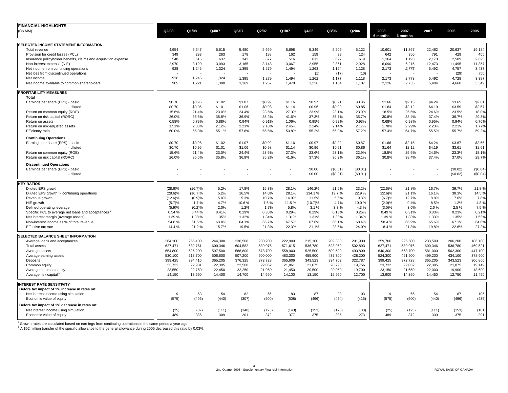| <b>FINANCIAL HIGHLIGHTS</b>                                                           |            |            |         |         |         |         |         |          |          |            |          |         |          |          |
|---------------------------------------------------------------------------------------|------------|------------|---------|---------|---------|---------|---------|----------|----------|------------|----------|---------|----------|----------|
| (C\$ MM)                                                                              | Q2/08      | Q1/08      | Q4/07   | Q3/07   | Q2/07   | Q1/07   | Q4/06   | Q3/06    | Q2/06    | 2008       | 2007     | 2007    | 2006     | 2005     |
|                                                                                       |            |            |         |         |         |         |         |          |          | 6 months   | 6 months |         |          |          |
| SELECTED INCOME STATEMENT INFORMATION                                                 |            |            |         |         |         |         |         |          |          |            |          |         |          |          |
| Total revenue                                                                         | 4,954      | 5,647      | 5,615   | 5,480   | 5,669   | 5,698   | 5,349   | 5,206    | 5,122    | 10,601     | 11,367   | 22,462  | 20,637   | 19,184   |
| Provision for credit losses (PCL)                                                     | 349        | 293        | 263     | 178     | 188     | 162     | 159     | 99       | 124      | 642        | 350      | 791     | 429      | 455      |
| Insurance policyholder benefits, claims and acquisition expense                       | 548        | 616        | 637     | 343     | 677     | 516     | 611     | 627      | 619      | 1,164      | 1,193    | 2,173   | 2,509    | 2,625    |
| Non-interest expense (NIE)                                                            | 2,970      | 3,120      | 3,093   | 3,165   | 3.148   | 3,067   | 2,955   | 2.861    | 2,928    | 6.090      | 6,215    | 12,473  | 11,495   | 11,357   |
| Net income from continuing operations                                                 | 928        | 1,245      | 1,324   | 1,395   | 1,279   | 1,494   | 1,263   | 1,194    | 1,128    | 2,173      | 2,773    | 5,492   | 4,757    | 3,437    |
| Net loss from discontinued operations                                                 |            |            |         |         |         |         | (1)     | (17)     | (10)     |            |          |         | (29)     | (50)     |
| Net Income                                                                            | 928        | 1,245      | 1,324   | 1,395   | 1,279   | 1,494   | 1,262   | 1,177    | 1,118    | 2,173      | 2,773    | 5,492   | 4,728    | 3,387    |
| Net income available to common shareholders                                           | 905        | 1,221      | 1,300   | 1,369   | 1,257   | 1,478   | 1,236   | 1,164    | 1,107    | 2,126      | 2,735    | 5,404   | 4,668    | 3,349    |
| <b>PROFITABILITY MEASURES</b>                                                         |            |            |         |         |         |         |         |          |          |            |          |         |          |          |
| Total                                                                                 |            |            |         |         |         |         |         |          |          |            |          |         |          |          |
| Earnings per share (EPS) - basic                                                      | \$0.70     | \$0.96     | \$1.02  | \$1.07  | \$0.99  | \$1.16  | \$0.97  | \$0.91   | \$0.86   | \$1.66     | \$2.15   | \$4.24  | \$3.65   | \$2.61   |
| - diluted                                                                             | \$0.70     | \$0.95     | \$1.01  | \$1.06  | \$0.98  | \$1.14  | \$0.96  | \$0.90   | \$0.85   | \$1.64     | \$2.12   | \$4.19  | \$3.59   | \$2.57   |
| Return on common equity (ROE)                                                         | 15.6%      | 21.4%      | 23.0%   | 24.4%   | 23.5%   | 27.3%   | 23.9%   | 23.1%    | 23.0%    | 18.5%      | 25.5%    | 24.6%   | 23.5%    | 18.0%    |
| Return on risk capital (RORC)                                                         | 26.0%      | 35.6%      | 35.8%   | 36.9%   | 35.2%   | 41.6%   | 37.3%   | 35.7%    | 35.7%    | 30.8%      | 38.4%    | 37.4%   | 36.7%    | 29.3%    |
| Return on assets                                                                      | 0.58%      | 0.79%      | 0.88%   | 0.94%   | 0.91%   | 1.06%   | 0.95%   | 0.92%    | 0.93%    | 0.68%      | 0.98%    | 0.95%   | 0.94%    | 0.76%    |
| Return on risk-adjusted assets                                                        | 1.51%      | 2.05%      | 2.12%   | 2.21%   | 2.16%   | 2.45%   | 2.24%   | 2.14%    | 2.17%    | 1.78%      | 2.29%    | 2.23%   | 2.21%    | 1.77%    |
| Efficiency ratio                                                                      | 60.0%      | 55.3%      | 55.1%   | 57.8%   | 55.5%   | 53.8%   | 55.2%   | 55.0%    | 57.2%    | 57.4%      | 54.7%    | 55.5%   | 55.7%    | 59.2%    |
|                                                                                       |            |            |         |         |         |         |         |          |          |            |          |         |          |          |
| <b>Continuing Operations</b>                                                          |            |            |         |         |         |         |         |          |          |            |          |         |          |          |
| Earnings per share (EPS) - basic                                                      | \$0.70     | \$0.96     | \$1.02  | \$1.07  | \$0.99  | \$1.16  | \$0.97  | \$0.92   | \$0.87   | \$1.66     | \$2.15   | \$4.24  | \$3.67   | \$2.65   |
| - diluted                                                                             | \$0.70     | \$0.95     | \$1.01  | \$1.06  | \$0.98  | \$1.14  | \$0.96  | \$0.91   | \$0.86   | \$1.64     | \$2.12   | \$4.19  | \$3.61   | \$2.61   |
| Return on common equity (ROE)                                                         | 15.6%      | 21.4%      | 23.0%   | 24.4%   | 23.5%   | 27.3%   | 23.6%   | 23.1%    | 22.9%    | 18.5%      | 25.5%    | 24.6%   | 23.3%    | 18.1%    |
| Return on risk capital (RORC)                                                         | 26.0%      | 35.6%      | 35.8%   | 36.9%   | 35.2%   | 41.6%   | 37.3%   | 36.2%    | 36.1%    | 30.8%      | 38.4%    | 37.4%   | 37.0%    | 29.7%    |
| <b>Discontinued Operations</b>                                                        |            |            |         |         |         |         |         |          |          |            |          |         |          |          |
| Earnings per share (EPS) - basic                                                      |            |            |         |         |         |         | \$0.00  | (\$0.01) | (\$0.01) |            |          |         | (\$0.02) | (\$0.04) |
| - diluted                                                                             |            |            | ٠       |         |         | ٠       | \$0.00  | (\$0.01) | (\$0.01) |            |          |         | (\$0.02) | (\$0.04) |
| <b>KEY RATIOS</b>                                                                     |            |            |         |         |         |         |         |          |          |            |          |         |          |          |
| Diluted EPS growth                                                                    | $(28.6)\%$ | $(16.7)\%$ | 5.2%    | 17.8%   | 15.3%   | 28.1%   | 146.2%  | 21.6%    | 23.2%    | $(22.6)\%$ | 21.8%    | 16.7%   | 39.7%    | 21.8%    |
| Diluted EPS growth <sup>1</sup> - continuing operations                               | $(28.6)\%$ | (16.7)%    | 5.2%    | 16.5%   | 14.0%   | 28.1%   | 134.1%  | 19.7%    | 22.9%    | $(22.6)\%$ | 21.1%    | 16.1%   | 38.3%    | 14.5%    |
| Revenue growth                                                                        | $(12.6)\%$ | (0.9)%     | 5.0%    | 5.3%    | 10.7%   | 14.9%   | 11.5%   | 5.6%     | 9.3%     | (6.7)%     | 12.7%    | 8.8%    | 7.6%     | 7.8%     |
| NIE growth                                                                            | (5.7)%     | 1.7%       | 4.7%    | 10.6%   | 7.5%    | 11.5%   | (10.7)% | 4.7%     | 10.0%    | $(2.0)\%$  | 9.4%     | 8.5%    | 1.2%     | 4.8%     |
| Defined operating leverage                                                            | (5.9)%     | (0.2)%     | 2.0%    | 1.2%    | 1.7%    | 5.8%    | 3.1%    | 3.3%     | 4.3%     | $(3.0)\%$  | 3.6%     | 2.6%    | 2.5 %    | 7.5 %    |
| Specific PCL to average net loans and acceptances "                                   | 0.54%      | 0.44%      | 0.41%   | 0.29%   | 0.35%   | 0.29%   | 0.29%   | 0.18%    | 0.26%    | 0.49%      | 0.31%    | 0.33%   | 0.23%    | 0.21%    |
| Net interest margin (average assets)                                                  | 1.39%      | 1.38%      | 1.35%   | 1.32%   | 1.34%   | 1.31%   | 1.31%   | 1.38%    | 1.34%    | 1.39 %     | 1.33%    | 1.33%   | 1.35%    | 1.53%    |
| Non-interest income as % of total revenue                                             | 54.8%      | 61.5%      | 63.8%   | 64.1%   | 66.7%   | 67.5%   | 67.6%   | 66.1%    | 68.4%    | 58.4%      | 66.9%    | 65.6%   | 67.1%    | 64.6%    |
| Effective tax rate                                                                    | 14.4%      | 21.2%      | 15.7%   | 19.5%   | 21.3%   | 22.3%   | 21.1%   | 23.5%    | 24.0%    | 18.4%      | 21.8%    | 19.8%   | 22.6%    | 27.2%    |
|                                                                                       |            |            |         |         |         |         |         |          |          |            |          |         |          |          |
| SELECTED BALANCE SHEET INFORMATION                                                    |            |            |         |         |         |         |         |          |          |            |          |         |          |          |
| Average loans and acceptances                                                         | 264,100    | 255,400    | 244,300 | 236,500 | 230,200 | 222,900 | 215,100 | 209,300  | 201,900  | 259,700    | 226,500  | 233,500 | 206,200  | 186,100  |
| <b>Total assets</b>                                                                   | 627,471    | 632,761    | 600,346 | 604,582 | 589,076 | 571,615 | 536,780 | 523.969  | 502,893  | 627,471    | 589,076  | 600,346 | 536,780  | 469,521  |
| Average assets                                                                        | 654,800    | 626,200    | 597,500 | 588,800 | 578,700 | 558,900 | 525,500 | 509,500  | 493,800  | 640,300    | 568,700  | 581,000 | 502,300  | 447,100  |
| Average earning assets                                                                | 530.100    | 518.700    | 506,600 | 507.200 | 500.000 | 483,300 | 455.900 | 437.300  | 428.200  | 524.300    | 491,500  | 499.200 | 434.100  | 378,900  |
| Deposits                                                                              | 399,425    | 394,416    | 365,205 | 376,325 | 372,728 | 365,606 | 343,523 | 334,702  | 322,787  | 399,425    | 372,728  | 365,205 | 343,523  | 306,860  |
| Common equity                                                                         | 23,732     | 22,981     | 22,395  | 22,500  | 22,052  | 21,861  | 21,075  | 20,290   | 19,756   | 23,732     | 22,052   | 22,395  | 21,075   | 19,149   |
| Average common equity                                                                 | 23,550     | 22,750     | 22,450  | 22,250  | 21,950  | 21,450  | 20,500  | 20,050   | 19,700   | 23,150     | 21,650   | 22,000  | 19,900   | 18,600   |
| Average risk capital                                                                  | 14,150     | 13,650     | 14,400  | 14,700  | 14,650  | 14,100  | 13,150  | 12,950   | 12,700   | 13,900     | 14,350   | 14,450  | 12,750   | 11,450   |
| <b>INTEREST RATE SENSITIVITY</b>                                                      |            |            |         |         |         |         |         |          |          |            |          |         |          |          |
| Before tax impact of 1% increase in rates on:                                         |            |            |         |         |         |         |         |          |          |            |          |         |          |          |
| Net interest income using simulation                                                  | 9          | 53         | 54      | 82      | 66      | 83      | 87      | 93       | 103      | 9          | 66       | 54      | 87       | 106      |
|                                                                                       | (575)      | (496)      | (440)   | (307)   | (500)   | (508)   | (496)   | (454)    | (415)    | (575)      | (500)    | (440)   | (496)    | (435)    |
| Economic value of equity                                                              |            |            |         |         |         |         |         |          |          |            |          |         |          |          |
| Before tax impact of 1% decrease in rates on:<br>Net interest income using simulation | (25)       | (87)       | (111)   | (140)   | (123)   | (143)   | (153)   | (173)    | (183)    | (25)       | (123)    | (111)   | (153)    | (181)    |
| Economic value of equity                                                              | 489        | 386        | 309     | 201     | 372     | 377     | 375     | 335      | 273      | 489        | 372      | 309     | 375      | 291      |
|                                                                                       |            |            |         |         |         |         |         |          |          |            |          |         |          |          |

<sup>1</sup> Growth rates are calculated based on earnings from continuing operations in the same period a year ago.<br><sup>2</sup> A \$52 million transfer of the specific allowance to the general allowance during 2005 decreased this ratio by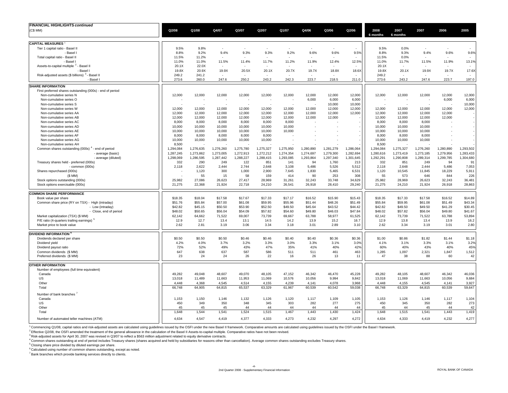| <b>FINANCIAL HIGHLIGHTS continued</b>                         |           |           |                          |           |           |           |           |                 |                 |                  |                  |           |           |                 |
|---------------------------------------------------------------|-----------|-----------|--------------------------|-----------|-----------|-----------|-----------|-----------------|-----------------|------------------|------------------|-----------|-----------|-----------------|
| (C\$MM)                                                       | Q2/08     | Q1/08     | Q4/07                    | Q3/07     | Q2/07     | Q1/07     | Q4/06     | Q3/06           | Q2/06           | 2008<br>6 months | 2007<br>6 months | 2007      | 2006      | 2005            |
| <b>CAPITAL MEASURES</b>                                       |           |           |                          |           |           |           |           |                 |                 |                  |                  |           |           |                 |
| Tier 1 capital ratio - Basel II                               | 9.5%      | 9.8%      | $\overline{\phantom{a}}$ |           |           | ÷.        |           |                 |                 | 9.5%             | 0.0%             | ÷.        |           |                 |
| - Basel                                                       | 8.8%      | 9.2%      | 9.4%                     | 9.3%      | 9.3%      | 9.2%      | 9.6%      | 9.6%            | 9.5%            | 8.8%             | 9.3%             | 9.4%      | 9.6%      | 9.6%            |
| Total capital ratio - Basel II                                | 11.5%     | 11.2%     | - 2                      |           | - 1       | $\sim$    |           |                 |                 | 11.5%            | 0.0%             | и.        | ÷         |                 |
| - Basel                                                       | 11.0%     | 11.0%     | 11.5%                    | 11.4%     | 11.7%     | 11.2%     | 11.9%     | 12.4%           | 12.5%           | 11.0%            | 11.7%            | 11.5%     | 11.9%     | 13.1%           |
| Assets-to-capital multiple <sup>2</sup><br>- Basel II         | 20.1X     | 22.0X     |                          |           |           |           |           |                 |                 | 20.1X            |                  |           |           |                 |
| - Basel                                                       | 19.8X     | 20.9X     | 19.9X                    | 20.5X     | 20.1X     | 20.7X     | 19.7X     | 18.8X           | 18.6X           | 19.8X            | 20.1X            | 19.9X     | 19.7X     | 17.6X           |
| Risk-adjusted assets (\$ billions) <sup>3</sup> - Basel I     | 249.2     | 241.2     | ۰.                       |           |           |           |           |                 |                 | 249.2            |                  |           |           |                 |
| - Basel I                                                     | 273.6     | 260.0     | 247.6                    | 250.2     | 243.2     | 242.3     | 223.7     | 218.5           | 211.0           | 273.6            | 243.2            | 247.6     | 223.7     | 197.0           |
| <b>SHARE INFORMATION</b>                                      |           |           |                          |           |           |           |           |                 |                 |                  |                  |           |           |                 |
| First preferred shares outstanding (000s) - end of period     |           |           |                          |           |           |           |           |                 |                 |                  |                  |           |           |                 |
| Non-cumulative series N<br>Non-cumulative series O            | 12,000    | 12,000    | 12,000                   | 12,000    | 12,000    | 12,000    | 12,000    | 12,000<br>6.000 | 12,000<br>6.000 | 12,000           | 12,000           | 12,000    | 12,000    | 12,000          |
| Non-cumulative series S                                       |           |           |                          |           |           |           | 6,000     | 10,000          | 10,000          |                  |                  |           | 6,000     | 6,000<br>10,000 |
| Non-cumulative series W                                       | 12,000    | 12,000    | 12,000                   | 12,000    | 12,000    | 12,000    | 12,000    | 12,000          | 12,000          | 12,000           | 12,000           | 12,000    | 12,000    | 12,000          |
| Non-cumulative series AA                                      | 12,000    | 12,000    | 12,000                   | 12,000    | 12,000    | 12,000    | 12,000    | 12,000          | 12,000          | 12,000           | 12,000           | 12,000    | 12,000    |                 |
| Non-cumulative series AB                                      | 12,000    | 12,000    | 12,000                   | 12,000    | 12,000    | 12,000    | 12,000    | 12,000          |                 | 12,000           | 12,000           | 12,000    | 12,000    |                 |
| Non-cumulative series AC                                      | 8,000     | 8,000     | 8,000                    | 8,000     | 8,000     | 8,000     |           |                 |                 | 8,000            | 8,000            | 8,000     |           |                 |
| Non-cumulative series AD                                      | 10,000    | 10,000    | 10,000                   | 10,000    | 10,000    | 10,000    |           |                 |                 | 10,000           | 10,000           | 10,000    |           |                 |
| Non-cumulative series AE                                      | 10,000    | 10,000    | 10,000                   | 10,000    | 10,000    | 10,000    |           |                 |                 | 10,000           | 10,000           | 10,000    |           |                 |
| Non-cumulative series AF                                      | 8,000     | 8,000     | 8,000                    | 8,000     | 8,000     |           |           |                 |                 | 8,000            | 8,000            | 8,000     |           |                 |
| Non-cumulative series AG                                      | 10,000    | 10,000    | 10,000                   | 10,000    | 10,000    |           |           |                 |                 | 10,000           | 10,000           | 10,000    |           |                 |
| Non-cumulative series AH                                      | 8,500     |           |                          |           |           |           |           |                 |                 | 8,500            |                  |           |           |                 |
| Common shares outstanding (000s) <sup>4</sup> - end of period | 1,294,084 | 1,276,635 | 1,276,260                | 1,275,780 | 1,275,327 | 1,275,950 | 1,280,890 | 1,281,279       | 1,286,064       | 1,294,084        | 1,275,327        | 1,276,260 | 1,280,890 | 1,293,502       |
| - average (basic)                                             | 1,287,245 | 1,273,862 | 1,273,005                | 1,272,913 | 1,272,212 | 1,274,354 | 1,274,697 | 1,279,300       | 1,282,694       | 1,280,616        | 1,273,419        | 1,273,185 | 1,279,956 | 1,283,433       |
| - average (diluted)                                           | 1.298.069 | 1.286.595 | 1,287,442                | 1,288,227 | 1,288,415 | 1,293,085 | 1,293,864 | 1.297.340       | 1,301,645       | 1.292.291        | 1,290,808        | 1,289,314 | 1,299,785 | 1,304,680       |
| Treasury shares held - preferred (000s)                       | 332       | 290       | 249                      | 122       | 851       | 141       | 94        | 1,760           | 213             | 332              | 851              | 249       | 94        | 91              |
| $-$ common $(000s)$                                           | 2,118     | 2,622     | 2,444                    | 2,744     | 2,648     | 3,108     | 5,486     | 5,526           | 5,512           | 2,118            | 2,648            | 2,444     | 5,486     | 7,053           |
| Shares repurchased (000s)                                     |           | 1,120     | 300                      | 1,000     | 2.900     | 7.645     | 1.830     | 5,465           | 6,531           | 1,120            | 10,545           | 11,845    | 18,229    | 5,91'           |
| (SMM)                                                         |           | 55        | 15                       | 58        | 159       | 414       | 90        | 253             | 308             | 55               | 573              | 646       | 844       | 226             |
| Stock options outstanding (000s)                              | 25,982    | 27,086    | 26,623                   | 27,417    | 28,969    | 31,261    | 32,243    | 33,748          | 34,629          | 25,982           | 28,969           | 26,623    | 32,243    | 36,481          |
| Stock options exercisable (000s)                              | 21,275    | 22,368    | 21,924                   | 22,718    | 24,210    | 26,541    | 26,918    | 28,410          | 29,240          | 21,275           | 24,210           | 21,924    | 26,918    | 28,863          |
| <b>COMMON SHARE PERFORMANCE</b>                               |           |           |                          |           |           |           |           |                 |                 |                  |                  |           |           |                 |
| Book value per share                                          | \$18.35   | \$18.04   | \$17.58                  | \$17.67   | \$17.33   | \$17.17   | \$16.52   | \$15.90         | \$15.43         | \$18.35          | \$17.33          | \$17.58   | \$16.52   | \$14.89         |
| Common share price (RY on TSX) - High (intraday)              | \$51.76   | \$55.84   | \$57.00                  | \$61.08   | \$59.95   | \$55.96   | \$51.44   | \$48.26         | \$51.49         | \$55.84          | \$59.95          | \$61.08   | \$51.49   | \$43.34         |
| - Low (intraday)                                              | \$42.82   | \$45.15   | \$50.50                  | \$53.90   | \$52.50   | \$49.50   | \$45.64   | \$43.52         | \$44.42         | \$42.82          | \$49.50          | \$49.50   | \$41.29   | \$30.45         |
| - Close, end of period                                        | \$48.02   | \$50.65   | \$56.04                  | \$54.09   | \$57.82   | \$54.60   | \$49.80   | \$46.03         | \$47.84         | \$48.02          | \$57.82          | \$56.04   | \$49.80   | \$41.67         |
| Market capitalization (TSX) (\$ MM)                           | 62.142    | 64,662    | 71,522                   | 69,007    | 73,739    | 69,667    | 63,788    | 58,977          | 61,525          | 62,142           | 73,739           | 71,522    | 63,788    | 53,894          |
| P/E ratio (4-quarters trailing earnings) <sup>5</sup>         | 12.9      | 12.7      | 13.4                     | 13.1      | 14.5      | 14.2      | 13.9      | 15.2            | 16.7            | 12.9             | 13.8             | 13.4      | 13.9      | 16.2            |
| Market price to book value                                    | 2.62      | 2.81      | 3.19                     | 3.06      | 3.34      | 3.18      | 3.01      | 2.89            | 3.10            | 2.62             | 3.34             | 3.19      | 3.01      | 2.80            |
| <b>DIVIDEND INFORMATION</b>                                   |           |           |                          |           |           |           |           |                 |                 |                  |                  |           |           |                 |
| Dividends declared per share                                  | \$0.50    | \$0.50    | \$0.50                   | \$0.46    | \$0.46    | \$0.40    | \$0.40    | \$0.36          | \$0.36          | \$1.00           | \$0.86           | \$1.82    | \$1.44    | \$1.18          |
| Dividend yield                                                | 4.2%      | 4.0%      | 3.7%                     | 3.2%      | 3.3%      | 3.0%      | 3.3%      | 3.1%            | 3.0%            | 4.1%             | 3.1%             | 3.3%      | 3.1%      | 3.2%            |
| Dividend payout ratio                                         | 72%       | 52%       | 49%                      | 43%       | 47%       | 35%       | 41%       | 40%             | 42%             | 60%              | 40%              | 43%       | 40%       | 45%             |
| Common dividends (\$ MM)                                      | 647       | 638       | 637                      | 587       | 586       | 511       | 511       | 461             | 463             | 1.285            | 1.097            | 2.321     | 1.847     | 1.512           |
| Preferred dividends (\$ MM)                                   | 23        | 24        | 24                       | 26        | 22        | 16        | 26        | 13              | 11              | 47               | 38               | 88        | 60        | 42              |
| <b>OTHER INFORMATION</b>                                      |           |           |                          |           |           |           |           |                 |                 |                  |                  |           |           |                 |
| Number of employees (full time equivalent)                    |           |           |                          |           |           |           |           |                 |                 |                  |                  |           |           |                 |
| Canada                                                        | 49.282    | 49.048    | 48,607                   | 49.070    | 48.105    | 47.152    | 46.342    | 46,470          | 45.228          | 49.282           | 48,105           | 48.607    | 46.342    | 46,036          |
| US                                                            | 13,018    | 11,489    | 11,663                   | 11,953    | 11,069    | 10,576    | 10,056    | 9,994           | 9,842           | 13,018           | 11,069           | 11,663    | 10,056    | 9,684           |
| Other                                                         | 4.448     | 4.368     | 4.545                    | 4.514     | 4.155     | 4.239     | 4.141     | 4.078           | 3.968           | 4.448            | 4.155            | 4,545     | 4.141     | 3,927           |
| Total                                                         | 66,748    | 64,905    | 64,815                   | 65,537    | 63,329    | 61,967    | 60,539    | 60,542          | 59,038          | 66,748           | 63,329           | 64,815    | 60,539    | 59,647          |
| Number of bank branches                                       |           |           |                          |           |           |           |           |                 |                 |                  |                  |           |           |                 |
| Canada                                                        | 1,153     | 1,150     | 1,146                    | 1,132     | 1,126     | 1,120     | 1,117     | 1,109           | 1,105           | 1,153            | 1,126            | 1,146     | 1,117     | 1,104           |
| US                                                            | 450       | 349       | 350                      | 348       | 345       | 303       | 282       | 277             | 275             | 450              | 345              | 350       | 282       | 273             |
| Other                                                         | 45        | 45        | 45                       | 44        | 44        | 44        | 44        | 44              | 44              | 45               | 44               | 45        | 44        | 42              |
| Total                                                         | 1,648     | 1,544     | 1,541                    | 1,524     | 1,515     | 1,467     | 1,443     | 1,430           | 1,424           | 1,648            | 1,515            | 1,541     | 1,443     | 1,419           |
| Number of automated teller machines (ATM)                     | 4.634     | 4.547     | 4.419                    | 4.377     | 4.333     | 4.273     | 4.232     | 4.297           | 4.272           | 4.634            | 4,333            | 4,419     | 4.232     | 4.277           |
|                                                               |           |           |                          |           |           |           |           |                 |                 |                  |                  |           |           |                 |

<sup>1</sup> Commencing Q1/08, capital ratios and risk-adjusted assets are calculated using guidelines issued by the OSFI under the new Basel II framework. Comparative amounts are calculated using guidelines issued by the OSFI unde

<sup>2</sup> Effective Q2/08, the OSFI amended the treatment of the general allowance in the calculation of the Basel II Assets-to-capital multiple. Comparative ratios have not been revised.

<sup>3</sup> Risk-adjusted assets for April 30, 2007 was revised in Q3/07 to reflect a \$563 million adjustment related to equity derivative contracts.

4 Common shares outstanding at end of period includes Treasury shares (shares acquired and held by subsidiaries for reasons other than cancellation). Average common shares outstanding excludes Treasury shares.

5 Closing share price divided by diluted earnings per share.

<sup>6</sup> Calculated using number of common shares outstanding, except as noted.

7 Bank branches which provide banking services directly to clients.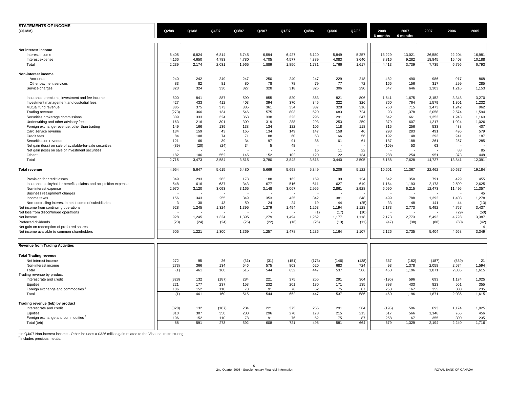| <b>STATEMENTS OF INCOME</b>                                     |       |       |       |       |       |       |       |       |       |                  |                  |        |        |                |
|-----------------------------------------------------------------|-------|-------|-------|-------|-------|-------|-------|-------|-------|------------------|------------------|--------|--------|----------------|
| (C\$ MM)                                                        | Q2/08 | Q1/08 | Q4/07 | Q3/07 | Q2/07 | Q1/07 | Q4/06 | Q3/06 | Q2/06 | 2008<br>6 months | 2007<br>6 months | 2007   | 2006   | 2005           |
| Net interest income                                             |       |       |       |       |       |       |       |       |       |                  |                  |        |        |                |
| Interest income                                                 | 6,405 | 6,824 | 6,814 | 6,745 | 6,594 | 6,427 | 6,120 | 5,849 | 5,257 | 13,229           | 13,021           | 26,580 | 22,204 | 16,981         |
| Interest expense                                                | 4,166 | 4,650 | 4,783 | 4,780 | 4,705 | 4,577 | 4,389 | 4,083 | 3,640 | 8,816            | 9,282            | 18,845 | 15,408 | 10,188         |
| Total                                                           | 2,239 | 2,174 | 2,031 | 1,965 | 1,889 | 1,850 | 1,731 | 1,766 | 1,617 | 4,413            | 3,739            | 7,735  | 6,796  | 6,793          |
| Non-interest income                                             |       |       |       |       |       |       |       |       |       |                  |                  |        |        |                |
| Accounts                                                        | 240   | 242   | 249   | 247   | 250   | 240   | 247   | 229   | 218   | 482              | 490              | 986    | 917    | 868            |
| Other payment services                                          | 83    | 82    | 81    | 80    | 78    | 78    | 79    | 77    | 72    | 165              | 156              | 317    | 299    | 285            |
| Service charges                                                 | 323   | 324   | 330   | 327   | 328   | 318   | 326   | 306   | 290   | 647              | 646              | 1,303  | 1,216  | 1,153          |
| Insurance premiums, investment and fee income                   | 800   | 841   | 887   | 590   | 855   | 820   | 863   | 821   | 806   | 1,641            | 1,675            | 3,152  | 3,348  | 3,270          |
| Investment management and custodial fees                        | 427   | 433   | 412   | 403   | 394   | 370   | 345   | 322   | 326   | 860              | 764              | 1,579  | 1,301  | 1,232          |
| Mutual fund revenue                                             | 385   | 375   | 373   | 385   | 361   | 354   | 337   | 328   | 316   | 760              | 715              | 1,473  | 1,242  | 962            |
| Trading revenue                                                 | (273) | 366   | 134   | 546   | 575   | 803   | 620   | 683   | 724   | 93               | 1,378            | 2,058  | 2,574  | 1,594          |
| Securities brokerage commissions                                | 309   | 333   | 324   | 368   | 338   | 323   | 296   | 291   | 347   | 642              | 661              | 1,353  | 1,243  | 1,163          |
| Underwriting and other advisory fees                            | 163   | 216   | 301   | 309   | 319   | 288   | 293   | 253   | 259   | 379              | 607              | 1,217  | 1,024  | 1,026          |
| Foreign exchange revenue, other than trading                    | 149   | 166   | 139   | 138   | 134   | 122   | 106   | 118   | 118   | 315              | 256              | 533    | 438    | 407            |
| Card service revenue                                            | 134   | 159   | 43    | 165   | 134   | 149   | 147   | 158   | 46    | 293              | 283              | 491    | 496    | 579            |
| Credit fees                                                     | 84    | 108   | 74    | 71    | 88    | 60    | 63    | 66    | 56    | 192              | 148              | 293    | 241    | 187            |
| Securitization revenue                                          | 121   | 66    | 39    | 34    | 97    | 91    | 86    | 61    | 61    | 187              | 188              | 261    | 257    | 285            |
| Net gain (loss) on sale of available-for-sale securities        | (89)  | (20)  | (24)  | 34    | 5     | 48    |       |       |       | (109)            | 53               | 63     |        |                |
| Net gain (loss) on sale of investment securities                |       |       |       |       |       |       | 16    | 11    | 22    |                  |                  |        | 88     | 85             |
| Other                                                           | 182   | 106   | 552   | 145   | 152   | 102   | 120   | 22    | 134   | 288              | 254              | 951    | 373    | 448            |
| Total                                                           | 2,715 | 3,473 | 3,584 | 3,515 | 3,780 | 3,848 | 3,618 | 3,440 | 3,505 | 6,188            | 7,628            | 14,727 | 13,841 | 12,391         |
| Total revenue                                                   | 4,954 | 5,647 | 5,615 | 5,480 | 5,669 | 5,698 | 5,349 | 5,206 | 5,122 | 10,601           | 11,367           | 22,462 | 20,637 | 19,184         |
| Provision for credit losses                                     | 349   | 293   | 263   | 178   | 188   | 162   | 159   | 99    | 124   | 642              | 350              | 791    | 429    | 455            |
| Insurance policyholder benefits, claims and acquisition expense | 548   | 616   | 637   | 343   | 677   | 516   | 611   | 627   | 619   | 1,164            | 1,193            | 2,173  | 2,509  | 2,625          |
| Non-interest expense                                            | 2,970 | 3,120 | 3,093 | 3,165 | 3,148 | 3,067 | 2,955 | 2,861 | 2,928 | 6,090            | 6,215            | 12,473 | 11,495 | 11,357         |
| Business realignment charges                                    |       |       |       |       |       |       |       |       |       |                  |                  |        |        | 45             |
| Income taxes                                                    | 156   | 343   | 255   | 349   | 353   | 435   | 342   | 381   | 348   | 499              | 788              | 1,392  | 1,403  | 1,278          |
| Non-controlling interest in net income of subsidiaries          | 3     | 30    | 43    | 50    | 24    | 24    | 19    | 44    | (25)  | 33               | 48               | 141    | 44     | (13)           |
| Net income from continuing operations                           | 928   | 1,245 | 1,324 | 1,395 | 1,279 | 1,494 | 1,263 | 1,194 | 1,128 | 2,173            | 2,773            | 5,492  | 4,757  | 3,437          |
| Net loss from discontinued operations                           |       |       |       |       |       |       | (1)   | (17)  | (10)  |                  |                  |        | (29)   | (50)           |
| Net income                                                      | 928   | 1,245 | 1,324 | 1,395 | 1,279 | 1,494 | 1,262 | 1,177 | 1,118 | 2,173            | 2,773            | 5,492  | 4,728  | 3,387          |
| Preferred dividends                                             | (23)  | (24)  | (24)  | (26)  | (22)  | (16)  | (26)  | (13)  | (11)  | (47)             | (38)             | (88)   | (60)   | (42)           |
| Net gain on redemption of preferred shares                      |       |       |       |       |       |       |       |       |       |                  |                  |        |        | $\overline{A}$ |
| Net income available to common shareholders                     | 905   | 1,221 | 1,300 | 1,369 | 1,257 | 1,478 | 1,236 | 1,164 | 1,107 | 2,126            | 2,735            | 5,404  | 4,668  | 3,349          |
| <b>Revenue from Trading Activities</b>                          |       |       |       |       |       |       |       |       |       |                  |                  |        |        |                |
| <b>Total Trading revenue</b>                                    |       |       |       |       |       |       |       |       |       |                  |                  |        |        |                |
| Net interest income                                             | 272   | 95    | 26    | (31)  | (31)  | (151) | (173) | (146) | (138) | 367              | (182)            | (187)  | (539)  | 21             |
| Non-interest income                                             | (273) | 366   | 134   | 546   | 575   | 803   | 620   | 683   | 724   | 93               | 1,378            | 2,058  | 2,574  | 1,594          |
| Total                                                           | (1)   | 461   | 160   | 515   | 544   | 652   | 447   | 537   | 586   | 460              | 1,196            | 1,871  | 2,035  | 1,615          |
| Trading revenue by product                                      |       |       |       |       |       |       |       |       |       |                  |                  |        |        |                |
| Interest rate and credit                                        | (328) | 132   | (187) | 284   | 221   | 375   | 255   | 291   | 364   | (196)            | 596              | 693    | 1,174  | 1,025          |
| Equities                                                        | 221   | 177   | 237   | 153   | 232   | 201   | 130   | 171   | 135   | 398              | 433              | 823    | 561    | 355            |
| Foreign exchange and commodities <sup>2</sup>                   | 106   | 152   | 110   | 78    | 91    | 76    | 62    | 75    | 87    | 258              | 167              | 355    | 300    | 235            |
| Total                                                           | (1)   | 461   | 160   | 515   | 544   | 652   | 447   | 537   | 586   | 460              | 1,196            | 1,871  | 2,035  | 1,615          |
| Trading revenue (teb) by product                                |       |       |       |       |       |       |       |       |       |                  |                  |        |        |                |
| Interest rate and credit                                        | (328) | 132   | (187) | 284   | 221   | 375   | 255   | 291   | 364   | (196)            | 596              | 693    | 1,174  | 1,025          |
| Equities                                                        | 310   | 307   | 350   | 230   | 296   | 270   | 178   | 215   | 213   | 617              | 566              | 1,146  | 766    | 456            |
| Foreign exchange and commodities <sup>2</sup>                   | 106   | 152   | 110   | 78    | 91    | 76    | 62    | 75    | 87    | 258              | 167              | 355    | 300    | 235            |
| Total (teb)                                                     | 88    | 591   | 273   | 592   | 608   | 721   | 495   | 581   | 664   | 679              | 1,329            | 2,194  | 2,240  | 1,716          |
|                                                                 |       |       |       |       |       |       |       |       |       |                  |                  |        |        |                |

<sup>1</sup> In Q4/07 Non-interest income - Other includes a \$326 million gain related to the Visa Inc. restructuring.<br><sup>2</sup> Includes precious metals.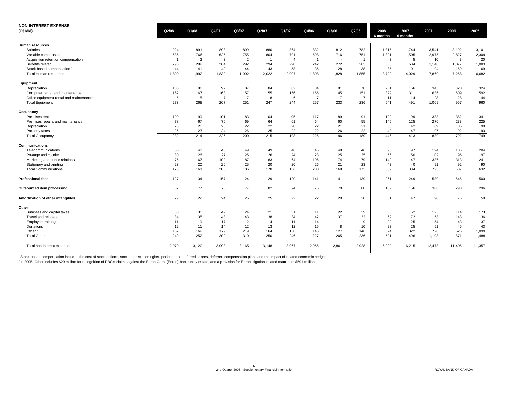| <b>NON-INTEREST EXPENSE</b>             |       |                |       |                |              |                |                |                |                |                  |                  |        |        |        |
|-----------------------------------------|-------|----------------|-------|----------------|--------------|----------------|----------------|----------------|----------------|------------------|------------------|--------|--------|--------|
| (C\$ MM)                                | Q2/08 | Q1/08          | Q4/07 | Q3/07          | Q2/07        | Q1/07          | Q4/06          | Q3/06          | Q2/06          | 2008<br>6 months | 2007<br>6 months | 2007   | 2006   | 2005   |
| Human resources                         |       |                |       |                |              |                |                |                |                |                  |                  |        |        |        |
| Salaries                                | 924   | 891            | 898   | 899            | 880          | 864            | 832            | 812            | 782            | 1,815            | 1,744            | 3,541  | 3,192  | 3,101  |
| Variable compensation                   | 535   | 766            | 625   | 755            | 804          | 791            | 698            | 716            | 751            | 1,301            | 1,595            | 2,975  | 2,827  | 2,309  |
| Acquisition retention compensation      | - 1   | $\overline{2}$ | 3     | $\overline{2}$ | $\mathbf{1}$ | $\overline{A}$ | -1             |                | $\overline{1}$ | 3                | 5                | 10     | 3      | 20     |
| Benefits related                        | 296   | 292            | 264   | 292            | 294          | 290            | 242            | 272            | 283            | 588              | 584              | 1,140  | 1,077  | 1,083  |
| Stock-based compensation                | 44    | 41             | 49    | 44             | 43           | 58             | 35             | 28             | 38             | 85               | 101              | 194    | 169    | 169    |
| <b>Total Human resources</b>            | 1,800 | 1,992          | 1,839 | 1,992          | 2,022        | 2,007          | 1.808          | 1,828          | 1,855          | 3.792            | 4,029            | 7,860  | 7,268  | 6,682  |
| Equipment                               |       |                |       |                |              |                |                |                |                |                  |                  |        |        |        |
| Depreciation                            | 105   | 96             | 92    | 87             | 84           | 82             | 84             | 81             | 78             | 201              | 166              | 345    | 320    | 324    |
| Computer rental and maintenance         | 162   | 167            | 168   | 157            | 155          | 156            | 166            | 145            | 151            | 329              | 311              | 636    | 609    | 592    |
| Office equipment rental and maintenance | 6     | 5              |       | $\overline{7}$ | 8            | 6              | $\overline{7}$ | $\overline{7}$ | $\overline{7}$ | 11               | 14               | 28     | 28     | 44     |
| <b>Total Equipment</b>                  | 273   | 268            | 267   | 251            | 247          | 244            | 257            | 233            | 236            | 541              | 491              | 1,009  | 957    | 960    |
| Occupancy                               |       |                |       |                |              |                |                |                |                |                  |                  |        |        |        |
| Premises rent                           | 100   | 99             | 101   | 83             | 104          | 95             | 117            | 89             | 91             | 199              | 199              | 383    | 382    | 341    |
| Premises repairs and maintenance        | 78    | 67             | 76    | 69             | 64           | 61             | 64             | 60             | 55             | 145              | 125              | 270    | 233    | 225    |
| Depreciation                            | 28    | 25             | 25    | 22             | 22           | 20             | 22             | 21             | 21             | 53               | 42               | 89     | 85     | 90     |
| Property taxes                          | 26    | 23             | 24    | 26             | 25           | 22             | 22             | 26             | 22             | 49               | 47               | 97     | 92     | 93     |
| <b>Total Occupancy</b>                  | 232   | 214            | 226   | 200            | 215          | 198            | 225            | 196            | 189            | 446              | 413              | 839    | 792    | 749    |
| <b>Communications</b>                   |       |                |       |                |              |                |                |                |                |                  |                  |        |        |        |
| Telecommunications                      | 50    | 48             | 48    | 49             | 49           | 48             | 46             | 48             | 46             | 98               | 97               | 194    | 186    | 204    |
| Postage and courier                     | 30    | 26             | 27    | 25             | 26           | 24             | 23             | 25             | 25             | 56               | 50               | 102    | 96     | 97     |
| Marketing and public relations          | 75    | 67             | 102   | 87             | 83           | 64             | 105            | 74             | 79             | 142              | 147              | 336    | 313    | 241    |
| Stationery and printing                 | 23    | 20             | 26    | 25             | 20           | 20             | 26             | 21             | 23             | 43               | 40               | 91     | 92     | 90     |
| <b>Total Communications</b>             | 178   | 161            | 203   | 186            | 178          | 156            | 200            | 168            | 173            | 339              | 334              | 723    | 687    | 632    |
| <b>Professional fees</b>                | 127   | 134            | 157   | 124            | 129          | 120            | 141            | 141            | 139            | 261              | 249              | 530    | 546    | 500    |
| Outsourced item processing              | 82    | 77             | 75    | 77             | 82           | 74             | 75             | 70             | 80             | 159              | 156              | 308    | 298    | 296    |
| Amortization of other intangibles       | 29    | 22             | 24    | 25             | 25           | 22             | 22             | 20             | 20             | 51               | 47               | 96     | 76     | 50     |
| Other                                   |       |                |       |                |              |                |                |                |                |                  |                  |        |        |        |
| Business and capital taxes              | 30    | 35             | 49    | 24             | 21           | 31             | 11             | 22             | 39             | 65               | 52               | 125    | 114    | 173    |
| Travel and relocation                   | 34    | 35             | 43    | 43             | 38           | 34             | 42             | 37             | 32             | 69               | 72               | 158    | 143    | 136    |
| Employee training                       | 11    | 9              | 17    | 12             | 14           | 11             | 14             | 11             | 9              | 20               | 25               | 54     | 43     | 37     |
| Donations                               | 12    | 11             | 14    | 12             | 13           | 12             | 15             | 8              | 10             | 23               | 25               | 51     | 45     | 43     |
| Other <sup>2</sup>                      | 162   | 162            | 179   | 219            | 164          | 158            | 145            | 127            | 146            | 324              | 322              | 720    | 526    | 1,099  |
| <b>Total Other</b>                      | 249   | 252            | 302   | 310            | 250          | 246            | 227            | 205            | 236            | 501              | 496              | 1,108  | 871    | 1,488  |
| Total non-interest expense              | 2,970 | 3,120          | 3,093 | 3,165          | 3,148        | 3,067          | 2,955          | 2,861          | 2,928          | 6,090            | 6,215            | 12,473 | 11,495 | 11,357 |

<sup>1</sup> Stock-based compensation includes the cost of stock options, stock appreciation rights, performance deferred shares, deferred compensation plans and the impact of related economic hedges.<br><sup>2</sup> In 2005, Other includes \$2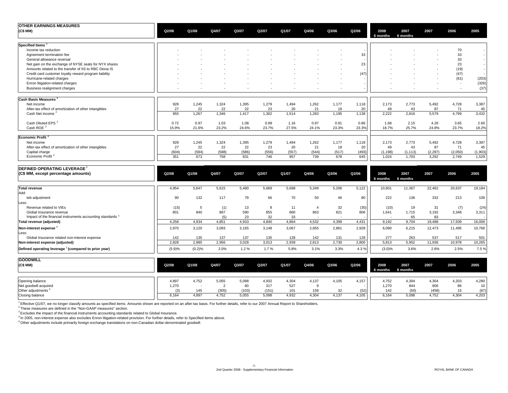| <b>OTHER EARNINGS MEASURES</b>                                                   |              |              |              |              |              |              |                |              |              |                  |                  |               |                          |               |
|----------------------------------------------------------------------------------|--------------|--------------|--------------|--------------|--------------|--------------|----------------|--------------|--------------|------------------|------------------|---------------|--------------------------|---------------|
| (C\$ MM)                                                                         | Q2/08        | Q1/08        | Q4/07        | Q3/07        | Q2/07        | Q1/07        | Q4/06          | Q3/06        | Q2/06        | 2008<br>6 months | 2007<br>6 months | 2007          | 2006                     | 2005          |
| <b>Specified Items</b>                                                           |              |              |              |              |              |              |                |              |              |                  |                  |               |                          |               |
| Income tax reduction                                                             |              |              |              |              |              |              |                |              |              |                  |                  |               | 70                       |               |
| Agreement termination fee                                                        |              |              |              |              |              |              |                |              | 33           |                  |                  |               | 33                       | $\sim$        |
| General allowance reversal                                                       |              |              |              |              |              |              |                |              |              |                  |                  |               | 33                       |               |
| Net gain on the exchange of NYSE seats for NYX shares                            |              |              |              |              |              |              |                |              | 23           |                  |                  |               | 23                       | $\sim$        |
| Amounts related to the transfer of IIS to RBC Dexia IS                           |              |              |              |              |              |              |                |              |              |                  |                  |               | (19)                     |               |
| Credit card customer loyalty reward program liability                            |              |              |              |              |              |              |                |              | (47)         |                  |                  |               | (47)                     |               |
| Hurricane-related charges                                                        |              |              |              |              |              |              |                |              |              |                  |                  |               | (61)                     | (203)         |
| Enron litigation-related charges                                                 |              |              |              |              |              |              |                |              |              |                  |                  |               | ٠.                       | (326)         |
| Business realignment charges                                                     |              |              |              |              |              |              |                |              |              |                  |                  |               | $\overline{\phantom{a}}$ | (37)          |
| Cash Basis Measures <sup>2</sup>                                                 |              |              |              |              |              |              |                |              |              |                  |                  |               |                          |               |
| Net income                                                                       | 928          | 1,245        | 1,324        | 1,395        | 1,279        | 1,494        | 1,262          | 1,177        | 1,118        | 2,173            | 2,773            | 5,492         | 4,728                    | 3,387         |
| After-tax effect of amortization of other intangibles                            | 27           | 22           | 22           | 22           | 23           | 20           | 21             | 18           | 20           | 49               | 43               | 87            | 71                       | 45            |
| Cash Net income <sup>2</sup>                                                     | 955          | 1,267        | 1,346        | 1,417        | 1,302        | 1,514        | 1,283          | 1,195        | 1,138        | 2,222            | 2,816            | 5,579         | 4,799                    | 3,432         |
| Cash Diluted EPS <sup>2</sup>                                                    | 0.72         | 0.97         | 1.03         | 1.08         | 0.99         | 1.16         | 0.97           | 0.91         | 0.86         | 1.68             | 2.15             | 4.26          | 3.65                     | 2.60          |
| Cash ROE <sup>2</sup>                                                            | 15.9%        | 21.6%        | 23.2%        | 24.6%        | 23.7%        | 27.5%        | 24.1%          | 23.3%        | 23.3%        | 18.7%            | 25.7%            | 24.8%         | 23.7%                    | 18.2%         |
| Economic Profit <sup>2</sup>                                                     |              |              |              |              |              |              |                |              |              |                  |                  |               |                          |               |
| Net income                                                                       | 928          | 1,245        | 1,324        | 1,395        | 1,279        | 1,494        | 1,262          | 1,177        | 1,118        | 2,173            | 2,773            | 5,492         | 4,728                    | 3,387         |
| After-tax effect of amortization of other intangibles                            | 27           | 22           | 22           | 22           | 23           | 20           | 21             | 18           | 20           | 49               | 43               | 87            | 71                       | 45            |
| Capital charge                                                                   | (604)        | (594)        | (588)        | (586)        | (556)        | (557)        | (544)          | (517)        | (493)        | (1, 198)         | (1, 113)         | (2.287)       | (2.050)                  | (1,903)       |
| Economic Profit <sup>2</sup>                                                     | 351          | 673          | 758          | 831          | 746          | 957          | 739            | 678          | 645          | 1,024            | 1,703            | 3,292         | 2,749                    | 1,529         |
| DEFINED OPERATING LEVERAGE <sup>2</sup>                                          |              |              |              |              |              |              |                |              |              |                  |                  |               |                          |               |
| (C\$ MM, except percentage amounts)                                              | Q2/08        | Q1/08        | Q4/07        | Q3/07        | Q2/07        | Q1/07        | Q4/06          | Q3/06        | Q2/06        | 2008<br>6 months | 2007<br>6 months | 2007          | 2006                     | 2005          |
| <b>Total revenue</b>                                                             | 4,954        | 5,647        | 5,615        | 5,480        | 5,669        | 5,698        | 5,349          | 5,206        | 5,122        | 10,601           | 11,367           | 22,462        | 20,637                   | 19,184        |
| Add:                                                                             |              |              |              |              |              |              |                |              |              |                  |                  |               |                          |               |
| teb adjustment<br>Less:                                                          | 90           | 132          | 117          | 79           | 66           | 70           | 50             | 46           | 80           | 222              | 136              | 332           | 213                      | 109           |
| Revenue related to VIEs                                                          | (15)         | 5            | (1)          | 13           | 8            | 11           | $\overline{4}$ | 32           | (35)         | (10)             | 19               | 31            | (7)                      | (24)          |
| Global Insurance revenue                                                         | 801          | 840          | 887          | 590          | 855          | 860          | 863            | 821          | 806          | 1,641            | 1,715            | 3,192         | 3,348                    | 3,311         |
| Impact of the financial instruments accounting standards 3                       |              |              | (5)          | 23           | 32           | 33           | $\sim$         |              |              |                  | 65               | 83            |                          |               |
| Total revenue (adjusted)                                                         | 4,258        | 4,934        | 4,851        | 4,933        | 4,840        | 4,864        | 4,532          | 4,399        | 4,431        | 9,192            | 9,704            | 19,488        | 17,509                   | 16,006        |
| Non-interest expense <sup>4</sup>                                                | 2,970        | 3,120        | 3,093        | 3,165        | 3,148        | 3,067        | 2,955          | 2,861        | 2,928        | 6,090            | 6,215            | 12,473        | 11,495                   | 10,766        |
| Less:                                                                            |              |              |              |              |              |              |                |              |              |                  |                  |               |                          |               |
| Global Insurance related non-interest expense<br>Non-interest expense (adjusted) | 142<br>2.828 | 135<br>2.985 | 137<br>2.956 | 137<br>3.028 | 135<br>3.013 | 128<br>2.939 | 142<br>2.813   | 131<br>2,730 | 128<br>2,800 | 277<br>5.813     | 263<br>5.952     | 537<br>11,936 | 517<br>10,978            | 501<br>10,265 |
|                                                                                  |              |              |              |              |              |              |                |              |              |                  |                  |               |                          |               |
| Defined operating leverage <sup>2</sup> (compared to prior year)                 | (5.9)%       | (0.2)%       | 2.0%         | 1.2%         | 1.7%         | 5.8%         | 3.1%           | 3.3%         | 4.3%         | (3.0)%           | 3.6%             | 2.6%          | 2.5%                     | 7.5 %         |
| <b>GOODWILL</b>                                                                  |              |              |              |              |              |              |                |              |              |                  |                  |               |                          |               |
| (C\$ MM)                                                                         | Q2/08        | Q1/08        | Q4/07        | Q3/07        | Q2/07        | Q1/07        | Q4/06          | Q3/06        | Q2/06        | 2008<br>6 months | 2007<br>6 months | 2007          | 2006                     | 2005          |

| Opening balance       | 4,897                    | 1,752 | 5,055 | 5,098 | 4,932 | 4,304 | $4.13$ <sup>-</sup> | 4,105  | 157  | 1,752 | 4.304 | 4,304 | 4,203 | 4,280                            |
|-----------------------|--------------------------|-------|-------|-------|-------|-------|---------------------|--------|------|-------|-------|-------|-------|----------------------------------|
| Net goodwill acquired | 1,270                    |       |       |       | 317   | 527   |                     |        |      | 1,270 | 844   | 906   | 86    | 10                               |
| Other adjustments     | $\overline{\phantom{a}}$ |       | (305) | (103) | (151) | 101   | 150                 | $\sim$ | (52) | 142   | (50)  | (458) |       | (87)<br>$\overline{\phantom{0}}$ |
| Closing balance       | 6.164                    | 4,897 | 4.752 | 5,055 | 5,098 | 4,932 | 4.30 <sub>•</sub>   | 4.137  | 105  | 3.164 | 5.098 | ,752  | 4,304 | 4,203                            |

<sup>1</sup> Effective Q1/07, we no longer classify amounts as specified items. Amounts shown are reported on an after-tax basis. For further details, refer to our 2007 Annual Report to Shareholders.

<sup>2</sup> These measures are defined in the "Non-GAAP measures" section.<br><sup>3</sup> Excludes the impact of the financial instruments accounting standards related to Global Insurance.

<sup>4</sup> In 2005, non-interest expense also excludes Enron litigation-related provision. For further details, refer to Specified items above.

5 Other adjustments include primarily foreign exchange translations on non-Canadian dollar-denominated goodwill.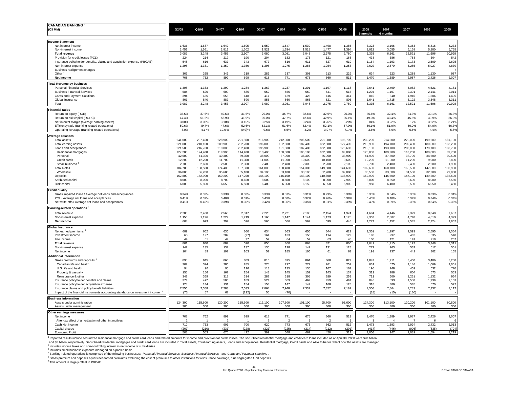| <b>CANADIAN BANKING</b>                                                                                                                                                                                                        |                    |                    |                          |                    |                    |                    |                    |                    |                   |                    |                    |                    |                    |                       |
|--------------------------------------------------------------------------------------------------------------------------------------------------------------------------------------------------------------------------------|--------------------|--------------------|--------------------------|--------------------|--------------------|--------------------|--------------------|--------------------|-------------------|--------------------|--------------------|--------------------|--------------------|-----------------------|
| (C\$MM)                                                                                                                                                                                                                        | Q2/08              | Q1/08              | Q4/07                    | Q3/07              | Q2/07              | Q1/07              | Q4/06              | Q3/06              | Q2/06             | 2008               | 2007               | 2007               | 2006               | 2005                  |
|                                                                                                                                                                                                                                |                    |                    |                          |                    |                    |                    |                    |                    |                   | 6 months           | 6 months           |                    |                    |                       |
| <b>Income Statement</b>                                                                                                                                                                                                        |                    |                    |                          |                    |                    |                    |                    |                    |                   |                    |                    |                    |                    |                       |
| Net interest income                                                                                                                                                                                                            | 1,636              | 1,687              | 1,642                    | 1,605              | 1,559              | 1,547              | 1,530              | 1,498              | 1,386             | 3,323              | 3,106              | 6,353              | 5,816              | 5,233                 |
| Non-interest income<br><b>Total revenue</b>                                                                                                                                                                                    | 1,451<br>3,087     | 1,561<br>3,248     | 1,811<br>3,453           | 1,302<br>2,907     | 1,521<br>3,080     | 1,534<br>3,081     | 1,518<br>3,048     | 1,477<br>2,975     | 1,394<br>2,780    | 3,012<br>6,335     | 3,055<br>6,161     | 6,168<br>12,521    | 5,880<br>11,696    | 5,765<br>10,998       |
| Provision for credit losses (PCL)                                                                                                                                                                                              | 224                | 214                | 212                      | 190                | 204                | 182                | 173                | 121                | 168               | 438                | 386                | 788                | 604                | 542                   |
| Insurance policyholder benefits, claims and acquisition expense (PBCAE)                                                                                                                                                        | 548                | 616                | 637                      | 343                | 677                | 516                | 611                | 627                | 619               | 1,164              | 1,193              | 2,173              | 2,509              | 2,625                 |
| Non-interest expense                                                                                                                                                                                                           | 1,298              | 1,331              | 1,359                    | 1,356              | 1,295              | 1,275              | 1,286              | 1,254              | 1,253             | 2,629              | 2,570              | 5,285              | 5,027              | 4,830                 |
| Business realignment charges<br>Other <sup>2</sup>                                                                                                                                                                             | 309                | 325                | 346                      | 319                | 286                | 337                | 303                | 313                | 229               | 634                | 623                | 1,288              | 1,130              | $\overline{7}$<br>987 |
| Net income                                                                                                                                                                                                                     | 708                | 762                | 899                      | 699                | 618                | 771                | 675                | 660                | 511               | 1,470              | 1,389              | 2,987              | 2,426              | 2,007                 |
| <b>Total Revenue by business</b>                                                                                                                                                                                               |                    |                    |                          |                    |                    |                    |                    |                    |                   |                    |                    |                    |                    |                       |
| <b>Personal Financial Services</b>                                                                                                                                                                                             | 1,308              | 1,333              | 1,299                    | 1,284              | 1,262              | 1,237              | 1,201              | 1,197              | 1,118             | 2,641              | 2,499              | 5,082              | 4,621              | 4,181                 |
| <b>Business Financial Services</b>                                                                                                                                                                                             | 584                | 620                | 609                      | 585                | 552                | 555                | 559                | 541                | 515               | 1,204              | 1,107              | 2,301              | 2,141              | 2,011                 |
| Cards and Payment Solutions                                                                                                                                                                                                    | 394                | 455                | 658                      | 448                | 411                | 429                | 425                | 416                | 341               | 849                | 840                | 1,946              | 1,586              | 1,495                 |
| Global Insurance                                                                                                                                                                                                               | 801                | 840                | 887                      | 590                | 855                | 860                | 863                | 821                | 806               | 1,641              | 1,715              | 3,192              | 3,348              | 3,311                 |
| Total                                                                                                                                                                                                                          | 3,087              | 3,248              | 3,453                    | 2,907              | 3,080              | 3,081              | 3,048              | 2,975              | 2,780             | 6,335              | 6,161              | 12,521             | 11,696             | 10,998                |
| <b>Financial ratios</b>                                                                                                                                                                                                        |                    |                    |                          |                    |                    |                    |                    |                    |                   |                    |                    |                    |                    |                       |
| Return on equity (ROE)<br>Return on risk capital (RORC)                                                                                                                                                                        | 35.5%<br>47.4%     | 37.6%<br>51.2%     | 40.6%<br>52.9%           | 31.6%<br>41.9%     | 29.0%<br>39.0%     | 35.7%<br>47.7%     | 32.6%<br>42.6%     | 32.6%<br>42.9%     | 26.3%<br>35.1%    | 36.6%<br>49.3%     | 32.4%<br>43.4%     | 34.3%<br>45.5%     | 30.1%<br>39.9%     | 26.3%<br>36.3%        |
| Net interest margin (average earning assets)                                                                                                                                                                                   | 3.00%              | 3.08%              | 3.10%                    | 3.15%              | 3.25%              | 3.19%              | 3.24%              | 3.26%              | 3.20%             | 3.04%              | 3.22%              | 3.17%              | 3.22%              | 3.21%                 |
| Efficiency ratio (Banking-related operations)                                                                                                                                                                                  | 50.6%              | 49.7%              | 47.6%                    | 52.6%              | 52.1%              | 51.6%              | 52.4%              | 52.1%              | 57.0%             | 50.1%              | 51.9%              | 50.9%              | 54.0%              | 56.3%                 |
| Operating leverage (Banking-related operations)                                                                                                                                                                                | 3.0%               | 4.1%               | 10.6%                    | (0.9)%             | 9.6%               | 6.5%               | 4.2%               | 3.9%               | 7.1%              | 3.6%               | 8.0%               | 6.5%               | 4.4%               | 5.8%                  |
| <b>Average balances</b>                                                                                                                                                                                                        |                    |                    |                          |                    |                    |                    |                    |                    |                   |                    |                    |                    |                    |                       |
| Total assets                                                                                                                                                                                                                   | 241,000            | 237,400            | 228,900                  | 221,800            | 216,900            | 212,300            | 206,500            | 201,300            | 195,700           | 239,200            | 214,600            | 220,000            | 199,200            | 181,100               |
| Total earning assets                                                                                                                                                                                                           | 221,800            | 218,100            | 209,900                  | 202,200            | 196,800            | 192,600            | 187,400            | 182,500            | 177,400           | 219,900            | 194,700            | 200,400            | 180,500            | 163,200               |
| Loans and acceptances<br>Residential mortgages                                                                                                                                                                                 | 221,500<br>127,200 | 216,700<br>124,400 | 210,000<br>119,900       | 202,400<br>114,400 | 195,900<br>110,400 | 191,500<br>108,000 | 187,400<br>105,100 | 182,300<br>102,300 | 176,600<br>99,000 | 219,100<br>125,800 | 193,700<br>109,200 | 200,000<br>113,200 | 179,700<br>100,800 | 160,700<br>89,700     |
| Personal                                                                                                                                                                                                                       | 42,600             | 41,300             | 40,300                   | 39,300             | 38,000             | 37,000             | 36,300             | 35,000             | 33,900            | 41,900             | 37,500             | 38,700             | 34,600             | 30,500                |
| Credit cards                                                                                                                                                                                                                   | 12,200             | 12,200             | 11,700                   | 11,300             | 11,000             | 11,000             | 10,600             | 10,100             | 9,600             | 12,200             | 11,000             | 11,200             | 9,900              | 8,800                 |
| Small business                                                                                                                                                                                                                 | 2,700              | 2,600              | 2,500                    | 2,300              | 2,400              | 2,400              | 2,300              | 2,200              | 2,100             | 2,700              | 2,400              | 2,400              | 2,200              | 1,900                 |
| <b>Total Retail</b>                                                                                                                                                                                                            | 184,700            | 180,500            | 174,400                  | 167,300            | 161,800            | 158,400            | 154,300            | 149,600            | 144,600           | 182,600            | 160,100            | 165,500            | 147,500            | 130,900               |
| Wholesale                                                                                                                                                                                                                      | 36,800<br>152,800  | 36,200<br>152,900  | 35,600<br>150,200        | 35,100<br>147,200  | 34,100<br>145,100  | 33,100<br>146,100  | 33,100<br>143,100  | 32,700<br>140,600  | 32,000<br>136,900 | 36,500<br>152,900  | 33,600<br>145,600  | 34,500<br>147,100  | 32,200<br>139,200  | 29,800<br>132,500     |
| Deposits<br>Attributed capital                                                                                                                                                                                                 | 8,000              | 8,000              | 8,700                    | 8,650              | 8,600              | 8,500              | 8,100              | 8,000              | 7,900             | 8,000              | 8,550              | 8,600              | 8,000              | 7,550                 |
| Risk capital                                                                                                                                                                                                                   | 6,000              | 5,850              | 6,650                    | 6,500              | 6,400              | 6,350              | 6,150              | 6,050              | 5,900             | 5,950              | 6,400              | 6,500              | 6,050              | 5,450                 |
| <b>Credit quality</b>                                                                                                                                                                                                          |                    |                    |                          |                    |                    |                    |                    |                    |                   |                    |                    |                    |                    |                       |
| Gross impaired loans / Average net loans and acceptances                                                                                                                                                                       | 0.34%              | 0.32%              | 0.33%                    | 0.33%              | 0.33%              | 0.33%              | 0.31%              | 0.29%              | 0.30%             | 0.35%              | 0.34%              | 0.35%              | 0.33%              | 0.31%                 |
| PCL / Average net loans and acceptances                                                                                                                                                                                        | 0.41%              | 0.39%              | 0.40%                    | 0.37%              | 0.43%              | 0.38%              | 0.37%              | 0.26%              | 0.39%             | 0.40%              | 0.40%              | 0.39%              | 0.34%              | 0.34%                 |
| Net write-offs / Average net loans and acceptances                                                                                                                                                                             | 0.41%              | 0.40%              | 0.39%                    | 0.35%              | 0.42%              | 0.36%              | 0.35%              | 0.31%              | 0.39%             | 0.40%              | 0.39%              | 0.38%              | 0.34%              | 0.36%                 |
| <b>Banking-related operations</b>                                                                                                                                                                                              |                    |                    |                          |                    |                    |                    |                    |                    |                   |                    |                    |                    |                    |                       |
| Total revenue                                                                                                                                                                                                                  | 2,286              | 2,408              | 2,566                    | 2,317              | 2,225              | 2,221              | 2,185              | 2,154              | 1,974             | 4,694              | 4,446              | 9,329              | 8,348              | 7,687                 |
| Non-interest expense                                                                                                                                                                                                           | 1,156              | 1,196              | 1,222                    | 1,219              | 1,160              | 1,147              | 1,144              | 1,123              | 1,125             | 2,352              | 2,307              | 4,748              | 4,510              | 4,329                 |
| Net income                                                                                                                                                                                                                     | 604                | 673                | 797                      | 596                | 566                | 586                | 569                | 599                | 448               | 1,277              | 1,152              | 2,545              | 2,124              | 1,852                 |
| <b>Global Insurance</b>                                                                                                                                                                                                        |                    |                    |                          |                    |                    |                    |                    |                    |                   |                    |                    |                    |                    |                       |
| Net earned premiums <sup>5</sup>                                                                                                                                                                                               | 689                | 662                | 636                      | 660                | 634                | 663                | 656                | 644                | 629               | 1,351              | 1,297              | 2,593              | 2,595              | 2,564                 |
| Investment income                                                                                                                                                                                                              | 63                 | 127                | 202                      | (97)               | 164                | 133                | 150                | 114                | 129               | 190                | 297                | 402                | 535                | 540                   |
| Fee income<br><b>Total revenue</b>                                                                                                                                                                                             | 49<br>801          | 51<br>840          | 49<br>887                | 27<br>590          | 57<br>855          | 64<br>860          | 57<br>863          | 63<br>821          | 48<br>806         | 100<br>1,641       | 121<br>1,715       | 197<br>3,192       | 218<br>3,348       | 207<br>3,311          |
| Non-interest expense                                                                                                                                                                                                           | 142                | 135                | 137                      | 137                | 135                | 128                | 142                | 131                | 128               | 277                | 263                | 537                | 517                | 501                   |
| Net income                                                                                                                                                                                                                     | 104                | 89                 | 102                      | 103                | 52                 | 185                | 106                | 61                 | 63                | 193                | 237                | 442                | 302                | 155                   |
| <b>Additional information</b>                                                                                                                                                                                                  |                    |                    |                          |                    |                    |                    |                    |                    |                   |                    |                    |                    |                    |                       |
| Gross premiums and deposits <sup>5</sup>                                                                                                                                                                                       | 898                | 945                | 860                      | 889                | 816                | 895                | 864                | 860                | 822               | 1,843              | 1,711              | 3,460              | 3,406              | 3,288                 |
| Canadian life and health                                                                                                                                                                                                       | 307                | 324                | 286                      | 285                | 278                | 297                | 272                | 261                | 259               | 631                | 575                | 1,146              | 1,069              | 1,001                 |
| U.S. life and health<br>Property & casualty                                                                                                                                                                                    | 94<br>155          | 96<br>156          | 95<br>162                | 116<br>154         | 113<br>143         | 135<br>145         | 135<br>152         | 167<br>143         | 167<br>137        | 190<br>311         | 248<br>288         | 459<br>604         | 632<br>573         | 770<br>553            |
| Reinsurance & other                                                                                                                                                                                                            | 342                | 369                | 317                      | 334                | 282                | 318                | 305                | 289                | 259               | 711                | 600                | 1,251              | 1,132              | 964                   |
| Insurance policyholder benefits and claims                                                                                                                                                                                     | 374                | 472                | 506                      | 189                | 524                | 369                | 469                | 459                | 491               | 846                | 893                | 1,588              | 1,939              | 2,103                 |
| Insurance policyholder acquisition expense                                                                                                                                                                                     | 174                | 144                | 131                      | 154                | 153                | 147                | 142                | 168                | 128               | 318                | 300                | 585                | 570                | 522                   |
| Insurance claims and policy benefit liabilities                                                                                                                                                                                | 7,556              | 7,558              | 7,283                    | 7,533              | 7,864              | 7,948              | 7,337              | 7,352              | 7,182             | 7,556              | 7,864              | 7,283              | 7,337              | 7,117                 |
| Impact of the financial instruments accounting standards on investment income                                                                                                                                                  | (75)               | 57                 | 67                       | (212)              | 55                 | (70)               |                    |                    |                   | (18)               | (15)               | (160)              |                    |                       |
| <b>Business information</b>                                                                                                                                                                                                    |                    |                    |                          |                    |                    |                    |                    |                    |                   |                    |                    |                    |                    |                       |
| Assets under administration<br>Assets under management                                                                                                                                                                         | 124,300<br>300     | 115,600<br>300     | 120,200<br>300           | 115,600<br>300     | 113,100<br>300     | 107,600<br>300     | 101,100<br>300     | 95,700<br>300      | 95,600<br>300     | 124,300<br>300     | 113,100<br>300     | 120,200<br>300     | 101,100<br>300     | 80,500<br>300         |
|                                                                                                                                                                                                                                |                    |                    |                          |                    |                    |                    |                    |                    |                   |                    |                    |                    |                    |                       |
| Other earnings measures<br>Net income                                                                                                                                                                                          | 708                | 762                | 899                      | 699                | 618                | 771                | 675                | 660                | 511               | 1,470              | 1,389              | 2,987              | 2,426              | 2,007                 |
| After-tax effect of amortization of other intangibles                                                                                                                                                                          | $\mathfrak{p}$     |                    | $\overline{\phantom{a}}$ |                    | $\mathfrak{p}$     | $\mathfrak{p}$     |                    | $\mathcal{P}$      |                   | $\mathbf{3}$       |                    |                    | 6                  | 6                     |
| Cash Net income                                                                                                                                                                                                                | 710                | 763                | 901                      | 700                | 620                | 773                | 676                | 662                | 512               | 1,473              | 1,393              | 2,994              | 2,432              | 2,013                 |
| Capital charge                                                                                                                                                                                                                 | (207)              | (210)              | (231)                    | (228)              | (221)              | (225)              | (214)              | (212)              | (201)             | (417)              | (446)              | (905)              | (838)              | (794)                 |
| <b>Economic Profit</b>                                                                                                                                                                                                         | 503                | 553                | 670                      | 472                | 399                | 548                | 462                | 450                | 311               | 1,056              | 947                | 2,089              | 1,594              | 1,219                 |
| Reported results include securitized residential mortgage and credit card loans and related amounts for income and provision for credit losses. The securitized residential mortgage and credit card loans included as at Apri |                    |                    |                          |                    |                    |                    |                    |                    |                   |                    |                    |                    |                    |                       |
| and \$5 billion, respectively. Securitized residential mortgages and credit card loans are included in Total assets, Total earning assets, Loans and acceptances, Residential mortgage, Credit cards and AUA to better reflect |                    |                    |                          |                    |                    |                    |                    |                    |                   |                    |                    |                    |                    |                       |
| <sup>2</sup> Includes income taxes and non-controlling interest in net income of subsidiaries.<br>Includes small business exposure managed on a pooled basis.                                                                  |                    |                    |                          |                    |                    |                    |                    |                    |                   |                    |                    |                    |                    |                       |
| . Banking-related operations is comprised of the following businesses: Personal Financial Services, Business Financial Services and Cards and Payment Solutions                                                                |                    |                    |                          |                    |                    |                    |                    |                    |                   |                    |                    |                    |                    |                       |
| Gross premium and deposits equals net earned premiums excluding the cost of premiums to other institutions for reinsurance coverage, plus segregated fund deposits.                                                            |                    |                    |                          |                    |                    |                    |                    |                    |                   |                    |                    |                    |                    |                       |
| <sup>6</sup> This amount is largely offset in PBCAE.                                                                                                                                                                           |                    |                    |                          |                    |                    |                    |                    |                    |                   |                    |                    |                    |                    |                       |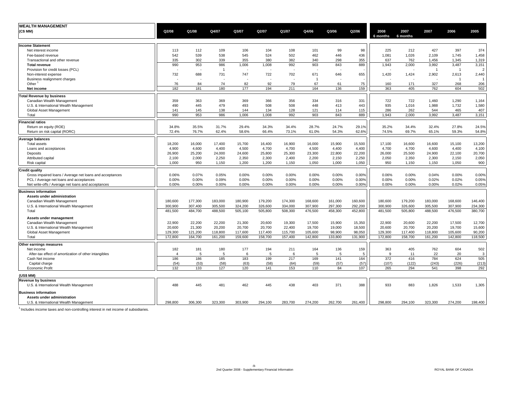| <b>WEALTH MANAGEMENT</b>                                 |                |         |         |         |         |         |                |         |         |          |          |                |                         |               |
|----------------------------------------------------------|----------------|---------|---------|---------|---------|---------|----------------|---------|---------|----------|----------|----------------|-------------------------|---------------|
| (C\$ MM)                                                 | Q2/08          | Q1/08   | Q4/07   | Q3/07   | Q2/07   | Q1/07   | Q4/06          | Q3/06   | Q2/06   | 2008     | 2007     | 2007           | 2006                    | 2005          |
|                                                          |                |         |         |         |         |         |                |         |         | 6 months | 6 months |                |                         |               |
|                                                          |                |         |         |         |         |         |                |         |         |          |          |                |                         |               |
| <b>Income Statement</b>                                  |                |         |         |         |         |         |                |         |         |          |          |                |                         |               |
| Net interest income                                      | 113            | 112     | 109     | 106     | 104     | 108     | 101            | 99      | 98      | 225      | 212      | 427            | 397                     | 374           |
| Fee-based revenue                                        | 542            | 539     | 538     | 545     | 524     | 502     | 462            | 446     | 436     | 1,081    | 1.026    | 2,109          | 1,745                   | 1,458         |
| Transactional and other revenue                          | 335            | 302     | 339     | 355     | 380     | 382     | 340            | 298     | 355     | 637      | 762      | 1,456          | 1,345                   | 1,319         |
| <b>Total revenue</b>                                     | 990            | 953     | 986     | 1,006   | 1,008   | 992     | 903            | 843     | 889     | 1,943    | 2,000    | 3,992          | 3,487                   | 3,151         |
| Provision for credit losses (PCL)                        |                |         | -1      |         |         |         |                |         |         |          | ÷.       | $\overline{1}$ | $\overline{1}$          | $\mathcal{P}$ |
| Non-interest expense                                     | 732            | 688     | 731     | 747     | 722     | 702     | 671            | 646     | 655     | 1,420    | 1,424    | 2,902          | 2,613                   | 2,440         |
| Business realignment charges                             |                |         |         |         |         |         | $\overline{1}$ |         |         |          |          |                | $\overline{\mathbf{1}}$ |               |
| Other $1$                                                | 76             | 84      | 74      | 82      | 92      | 79      | 67             | 61      | 75      | 160      | 171      | 327            | 268                     | 206           |
| Net income                                               | 182            | 181     | 180     | 177     | 194     | 211     | 164            | 136     | 159     | 363      | 405      | 762            | 604                     | 502           |
| <b>Total Revenue by business</b>                         |                |         |         |         |         |         |                |         |         |          |          |                |                         |               |
| Canadian Wealth Management                               | 359            | 363     | 369     | 369     | 366     | 356     | 334            | 316     | 331     | 722      | 722      | 1.460          | 1.290                   | 1,164         |
| U.S. & International Wealth Management                   | 490            | 445     | 479     | 493     | 508     | 508     | 448            | 413     | 443     | 935      | 1,016    | 1,988          | 1,732                   | 1,580         |
| Global Asset Management                                  | 141            | 145     | 138     | 144     | 134     | 128     | 121            | 114     | 115     | 286      | 262      | 544            | 465                     | 407           |
| Total                                                    | 990            | 953     | 986     | 1,006   | 1,008   | 992     | 903            | 843     | 889     | 1,943    | 2,000    | 3,992          | 3,487                   | 3,151         |
|                                                          |                |         |         |         |         |         |                |         |         |          |          |                |                         |               |
| <b>Financial ratios</b><br>Return on equity (ROE)        | 34.8%          | 35.5%   | 31.7%   | 29.4%   | 34.3%   | 34.4%   | 28.7%          | 24.7%   | 29.1%   | 35.2%    | 34.4%    | 32.4%          | 27.8%                   | 24.5%         |
|                                                          | 72.4%          | 76.7%   | 62.4%   | 58.6%   | 66.4%   | 73.1%   | 61.0%          | 54.3%   | 62.6%   | 74.5%    | 69.7%    | 65.1%          | 59.3%                   | 54.8%         |
| Return on risk capital (RORC)                            |                |         |         |         |         |         |                |         |         |          |          |                |                         |               |
| <b>Average balances</b>                                  |                |         |         |         |         |         |                |         |         |          |          |                |                         |               |
| Total assets                                             | 18,200         | 16,000  | 17,400  | 15,700  | 16,400  | 16,900  | 16,000         | 15,900  | 15,500  | 17,100   | 16,600   | 16,600         | 15,100                  | 13,200        |
| Loans and acceptances                                    | 4,900          | 4,600   | 4,400   | 4,500   | 4,700   | 4,700   | 4,500          | 4,400   | 4,400   | 4,700    | 4,700    | 4,600          | 4,400                   | 4,100         |
| Deposits                                                 | 26,900         | 25,200  | 24,000  | 24,600  | 25,800  | 25,300  | 23,300         | 22,800  | 22,200  | 26,000   | 25,500   | 24,900         | 22,100                  | 20,700        |
| Attributed capital                                       | 2,100          | 2,000   | 2,250   | 2,350   | 2,300   | 2,400   | 2,200          | 2,150   | 2,250   | 2,050    | 2,350    | 2,300          | 2,150                   | 2,050         |
| Risk capital                                             | 1,000          | 950     | 1,150   | 1,200   | 1,200   | 1,150   | 1,050          | 1,000   | 1,050   | 950      | 1,150    | 1,150          | 1,050                   | 900           |
| <b>Credit quality</b>                                    |                |         |         |         |         |         |                |         |         |          |          |                |                         |               |
| Gross impaired loans / Average net loans and acceptances | 0.06%          | 0.07%   | 0.05%   | 0.00%   | 0.00%   | 0.00%   | 0.00%          | 0.00%   | 0.00%   | 0.06%    | 0.00%    | 0.04%          | 0.00%                   | 0.00%         |
| PCL / Average net loans and acceptances                  | 0.00%          | 0.00%   | 0.09%   | 0.00%   | 0.00%   | 0.00%   | 0.00%          | 0.00%   | 0.00%   | 0.00%    | 0.00%    | 0.02%          | 0.02%                   | 0.05%         |
| Net write-offs / Average net loans and acceptances       | 0.00%          | 0.00%   | 0.00%   | 0.00%   | 0.00%   | 0.00%   | 0.00%          | 0.00%   | 0.00%   | 0.00%    | 0.00%    | 0.00%          | 0.02%                   | 0.05%         |
| <b>Business information</b>                              |                |         |         |         |         |         |                |         |         |          |          |                |                         |               |
| Assets under administration                              |                |         |         |         |         |         |                |         |         |          |          |                |                         |               |
| Canadian Wealth Management                               | 180,600        | 177.300 | 183,000 | 180.900 | 179,200 | 174,300 | 168,600        | 161.000 | 160,600 | 180.600  | 179,200  | 183.000        | 168,600                 | 146,400       |
| U.S. & International Wealth Management                   | 300,900        | 307,400 | 305,500 | 324,200 | 326,600 | 334,000 | 307,900        | 297,300 | 292,200 | 300,900  | 326,600  | 305,500        | 307,900                 | 234,300       |
| Total                                                    | 481,500        | 484,700 | 488,500 | 505,100 | 505,800 | 508,300 | 476,500        | 458,300 | 452,800 | 481,500  | 505,800  | 488,500        | 476,500                 | 380,700       |
|                                                          |                |         |         |         |         |         |                |         |         |          |          |                |                         |               |
| Assets under management                                  |                |         |         |         |         |         |                |         |         |          |          |                |                         |               |
| Canadian Wealth Management                               | 22,900         | 22,200  | 22,200  | 21,300  | 20,600  | 19,300  | 17,500         | 15,900  | 15,350  | 22,900   | 20,600   | 22,200         | 17,500                  | 12,700        |
| U.S. & International Wealth Management                   | 20,600         | 21,300  | 20,200  | 20,700  | 20,700  | 22,400  | 19,700         | 19,000  | 18,500  | 20,600   | 20,700   | 20,200         | 19,700                  | 15,600        |
| Global Asset Management                                  | 129.300        | 121,200 | 118,800 | 117.600 | 117,400 | 115,700 | 105,600        | 98.900  | 98,050  | 129,300  | 117.400  | 118,800        | 105,600                 | 90,200        |
| Total                                                    | 172,800        | 164,700 | 161,200 | 159,600 | 158,700 | 157,400 | 142,800        | 133,800 | 131,900 | 172,800  | 158,700  | 161,200        | 142,800                 | 118,500       |
| Other earnings measures                                  |                |         |         |         |         |         |                |         |         |          |          |                |                         |               |
| Net income                                               | 182            | 181     | 180     | 177     | 194     | 211     | 164            | 136     | 159     | 363      | 405      | 762            | 604                     | 502           |
| After-tax effect of amortization of other intangibles    | $\overline{4}$ | 5       | 5       | 6       | 5       | 6       | 5              | 5       | 5       | 9        | 11       | 22             | 20                      | 3             |
| Cash Net income                                          | 186            | 186     | 185     | 183     | 199     | 217     | 169            | 141     | 164     | 372      | 416      | 784            | 624                     | 505           |
| Capital charge                                           | (54)           | (53)    | (58)    | (63)    | (58)    | (64)    | (59)           | (57)    | (57)    | (107)    | (122)    | (243)          | (226)                   | (213)         |
| <b>Economic Profit</b>                                   | 132            | 133     | 127     | 120     | 141     | 153     | 110            | 84      | 107     | 265      | 294      | 541            | 398                     | 292           |
| (US\$ MM)                                                |                |         |         |         |         |         |                |         |         |          |          |                |                         |               |
| <b>Revenue by business</b>                               |                |         |         |         |         |         |                |         |         |          |          |                |                         |               |
| U.S. & International Wealth Management                   | 488            | 445     | 481     | 462     | 445     | 438     | 403            | 371     | 388     | 933      | 883      | 1,826          | 1,533                   | 1,305         |
|                                                          |                |         |         |         |         |         |                |         |         |          |          |                |                         |               |
| <b>Business information</b>                              |                |         |         |         |         |         |                |         |         |          |          |                |                         |               |
| Assets under administration                              |                |         |         |         |         |         |                |         |         |          |          |                |                         |               |
| U.S. & International Wealth Management                   | 298,800        | 306,300 | 323,300 | 303,900 | 294,100 | 283,700 | 274,200        | 262,700 | 261,400 | 298,800  | 294,100  | 323,300        | 274,200                 | 198,400       |

<sup>1</sup> Includes income taxes and non-controlling interest in net income of subsidiaries.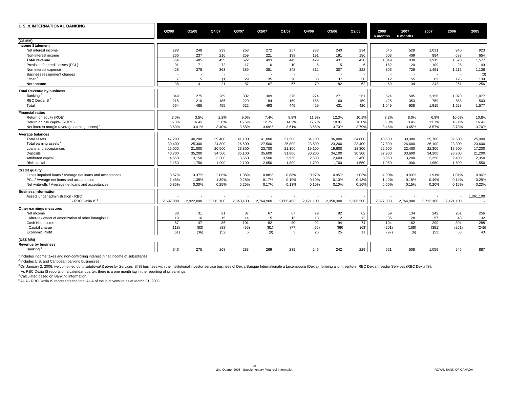| (C\$ MM)<br><b>Income Statement</b><br>298<br>239<br>263<br>272<br>257<br>238<br>240<br>546<br>529<br>940<br>923<br>248<br>234<br>1,031<br>Net interest income<br>221<br>654<br>266<br>237<br>216<br>259<br>188<br>186<br>503<br>409<br>884<br>688<br>191<br>191<br>Non-interest income<br>1,577<br>564<br>485<br>455<br>522<br>493<br>445<br>429<br>431<br>420<br>1,049<br>938<br>1,628<br>1,915<br><b>Total revenue</b><br>91<br>71<br>72<br>17<br>10<br>10<br>5<br>5<br>162<br>20<br>109<br>25<br>49<br>Provision for credit losses (PCL)<br>6<br>381<br>428<br>378<br>363<br>389<br>348<br>312<br>307<br>322<br>806<br>729<br>1,216<br>1,136<br>Non-interest expense<br>1,481<br>Business realignment charges<br>٠.<br>٠.<br>Other $1$<br>33<br>$\overline{7}$<br>(1)<br>29<br>35<br>20<br>37<br>55<br>126<br>5<br>30<br>12<br>83<br>139<br>87<br>67<br>62<br>38<br>31<br>67<br>79<br>82<br>69<br>134<br>261<br>256<br>21<br>242<br>Net income<br><b>Total Revenue by business</b><br>Banking <sup>2</sup><br>302<br>1,070<br>1,077<br>349<br>275<br>269<br>309<br>276<br>274<br>271<br>261<br>624<br>585<br>1,156<br>RBC Dexia IS <sup>3</sup><br>759<br>558<br>215<br>210<br>186<br>220<br>184<br>169<br>155<br>160<br>425<br>353<br>500<br>159<br>564<br>420<br>485<br>455<br>522<br>493<br>445<br>429<br>431<br>938<br>1,628<br>1,577<br>Total<br>1.049<br>1,915<br><b>Financial ratios</b><br>3.0%<br>3.5%<br>2.2%<br>9.0%<br>7.4%<br>8.8%<br>11.9%<br>12.3%<br>3.2%<br>6.9%<br>10.6%<br>Return on equity (ROE)<br>8.0%<br>10.1%<br>6.3%<br>6.4%<br>3.8%<br>15.5%<br>12.7%<br>17.7%<br>18.8%<br>6.3%<br>11.7%<br>16.1%<br>Return on risk capital (RORC)<br>14.2%<br>16.0%<br>13.4%<br>3.50%<br>3.40%<br>3.58%<br>3.69%<br>3.61%<br>3.66%<br>3.70%<br>3.79%<br>3.46%<br>3.65%<br>3.57%<br>3.73%<br>Net interest margin (average earning assets)<br>3.41%<br><b>Average balances</b><br>25,900<br><b>Total assets</b><br>47,200<br>40,200<br>39,400<br>41,100<br>41,000<br>37.500<br>34,100<br>36,000<br>34,800<br>43,600<br>39.300<br>39,700<br>32,600<br>23,600<br>Total earning assets<br>30,400<br>25,300<br>24,800<br>26,500<br>27,500<br>25,800<br>23,500<br>23,200<br>23,400<br>27,800<br>26,600<br>26,100<br>23,300<br>17,200<br>25,000<br>21,000<br>20,500<br>23,800<br>23,700<br>18,300<br>22,400<br>22,300<br>18,500<br>21,100<br>19,100<br>19,600<br>22,900<br>Loans and acceptances<br>40,700<br>34,500<br>37,900<br>33,600<br>34,200<br>28,700<br>21,200<br>Deposits<br>35,200<br>35,100<br>35,600<br>31,800<br>30,200<br>34,100<br>30,300<br>2,350<br>4.550<br>3.150<br>3.300<br>3.650<br>3,500<br>2.950<br>2.500<br>2.600<br>2.450<br>3.850<br>3.200<br>3,350<br>2.400<br>Attributed capital<br>Risk capital<br>2.150<br>1,750<br>1,900<br>2,100<br>2,050<br>1,800<br>1,700<br>1,700<br>1,550<br>1.950<br>1.900<br>1,950<br>1,600<br><b>Credit quality</b><br>3.67%<br>3.37%<br>2.08%<br>1.05%<br>0.88%<br>0.88%<br>0.97%<br>0.95%<br>4.00%<br>0.93%<br>1.91%<br>1.01%<br>Gross impaired loans / Average net loans and acceptances<br>1.03%<br>0.28%<br>0.17%<br>0.19%<br>1.42%<br>0.14%<br>PCL / Average net loans and acceptances<br>1.48%<br>1.35%<br>1.39%<br>0.10%<br>0.10%<br>0.13%<br>0.18%<br>0.49%<br>0.17%<br>Net write-offs / Average net loans and acceptances<br>0.85%<br>0.30%<br>0.25%<br>0.25%<br>0.13%<br>0.10%<br>0.10%<br>0.16%<br>0.60%<br>0.15%<br>0.20%<br>0.15%<br><b>Business information</b><br>Assets under administration - RBC<br>1,361,100<br>- RBC Dexia IS <sup>5</sup><br>2,358,300<br>2,286,500<br>2,697,000<br>2,922,000<br>2,713,100<br>2,843,400<br>2,764,900<br>2,666,400<br>2,421,100<br>2,697,000<br>2,764,900<br>2,713,100<br>2,421,100<br>Other earnings measures<br>87<br>67<br>67<br>Net income<br>38<br>31<br>21<br>79<br>82<br>62<br>69<br>134<br>242<br>261<br>256<br>19<br>16<br>15<br>14<br>15<br>13<br>13<br>12<br>35<br>28<br>57<br>43<br>12<br>After-tax effect of amortization of other intangibles<br>57<br>47<br>36<br>101<br>82<br>80<br>92<br>94<br>74<br>299<br>304<br>104<br>162<br>Cash Net income<br>(95)<br>(91)<br>(118)<br>(83)<br>(88)<br>(77)<br>(66)<br>(69)<br>(63)<br>(201)<br>(168)<br>(351)<br>(251)<br>Capital charge<br>26<br>25<br>Economic Profit<br>(61)<br>(36)<br>(52)<br>(9)<br>3<br>(52)<br>53<br>6<br>11<br>(97)<br>(6)<br>(US\$ MM)<br><b>Revenue by business</b><br>Banking <sup>2</sup><br>346<br>275<br>268<br>283<br>269<br>242<br>508<br>945<br>887<br>239<br>246<br>229<br>621<br>1,059 | <b>U.S. &amp; INTERNATIONAL BANKING</b> | Q2/08 | Q1/08 | Q4/07 | Q3/07 | Q2/07 | Q1/07 | Q4/06 | Q3/06 | Q2/06 | 2008<br>6 months | 2007<br>6 months | 2007 | 2006 | 2005  |
|-------------------------------------------------------------------------------------------------------------------------------------------------------------------------------------------------------------------------------------------------------------------------------------------------------------------------------------------------------------------------------------------------------------------------------------------------------------------------------------------------------------------------------------------------------------------------------------------------------------------------------------------------------------------------------------------------------------------------------------------------------------------------------------------------------------------------------------------------------------------------------------------------------------------------------------------------------------------------------------------------------------------------------------------------------------------------------------------------------------------------------------------------------------------------------------------------------------------------------------------------------------------------------------------------------------------------------------------------------------------------------------------------------------------------------------------------------------------------------------------------------------------------------------------------------------------------------------------------------------------------------------------------------------------------------------------------------------------------------------------------------------------------------------------------------------------------------------------------------------------------------------------------------------------------------------------------------------------------------------------------------------------------------------------------------------------------------------------------------------------------------------------------------------------------------------------------------------------------------------------------------------------------------------------------------------------------------------------------------------------------------------------------------------------------------------------------------------------------------------------------------------------------------------------------------------------------------------------------------------------------------------------------------------------------------------------------------------------------------------------------------------------------------------------------------------------------------------------------------------------------------------------------------------------------------------------------------------------------------------------------------------------------------------------------------------------------------------------------------------------------------------------------------------------------------------------------------------------------------------------------------------------------------------------------------------------------------------------------------------------------------------------------------------------------------------------------------------------------------------------------------------------------------------------------------------------------------------------------------------------------------------------------------------------------------------------------------------------------------------------------------------------------------------------------------------------------------------------------------------------------------------------------------------------------------------------------------------------------------------------------------------------------------------------------------------------------------------------------------------------------------------------------------------------------------------------------------------------------------------------------------------------------------------------------------------------------------------------------------------------------------------------------------------------------------------------------------------------------------------------------------|-----------------------------------------|-------|-------|-------|-------|-------|-------|-------|-------|-------|------------------|------------------|------|------|-------|
|                                                                                                                                                                                                                                                                                                                                                                                                                                                                                                                                                                                                                                                                                                                                                                                                                                                                                                                                                                                                                                                                                                                                                                                                                                                                                                                                                                                                                                                                                                                                                                                                                                                                                                                                                                                                                                                                                                                                                                                                                                                                                                                                                                                                                                                                                                                                                                                                                                                                                                                                                                                                                                                                                                                                                                                                                                                                                                                                                                                                                                                                                                                                                                                                                                                                                                                                                                                                                                                                                                                                                                                                                                                                                                                                                                                                                                                                                                                                                                                                                                                                                                                                                                                                                                                                                                                                                                                                                                                                                                       |                                         |       |       |       |       |       |       |       |       |       |                  |                  |      |      |       |
|                                                                                                                                                                                                                                                                                                                                                                                                                                                                                                                                                                                                                                                                                                                                                                                                                                                                                                                                                                                                                                                                                                                                                                                                                                                                                                                                                                                                                                                                                                                                                                                                                                                                                                                                                                                                                                                                                                                                                                                                                                                                                                                                                                                                                                                                                                                                                                                                                                                                                                                                                                                                                                                                                                                                                                                                                                                                                                                                                                                                                                                                                                                                                                                                                                                                                                                                                                                                                                                                                                                                                                                                                                                                                                                                                                                                                                                                                                                                                                                                                                                                                                                                                                                                                                                                                                                                                                                                                                                                                                       |                                         |       |       |       |       |       |       |       |       |       |                  |                  |      |      |       |
|                                                                                                                                                                                                                                                                                                                                                                                                                                                                                                                                                                                                                                                                                                                                                                                                                                                                                                                                                                                                                                                                                                                                                                                                                                                                                                                                                                                                                                                                                                                                                                                                                                                                                                                                                                                                                                                                                                                                                                                                                                                                                                                                                                                                                                                                                                                                                                                                                                                                                                                                                                                                                                                                                                                                                                                                                                                                                                                                                                                                                                                                                                                                                                                                                                                                                                                                                                                                                                                                                                                                                                                                                                                                                                                                                                                                                                                                                                                                                                                                                                                                                                                                                                                                                                                                                                                                                                                                                                                                                                       |                                         |       |       |       |       |       |       |       |       |       |                  |                  |      |      |       |
|                                                                                                                                                                                                                                                                                                                                                                                                                                                                                                                                                                                                                                                                                                                                                                                                                                                                                                                                                                                                                                                                                                                                                                                                                                                                                                                                                                                                                                                                                                                                                                                                                                                                                                                                                                                                                                                                                                                                                                                                                                                                                                                                                                                                                                                                                                                                                                                                                                                                                                                                                                                                                                                                                                                                                                                                                                                                                                                                                                                                                                                                                                                                                                                                                                                                                                                                                                                                                                                                                                                                                                                                                                                                                                                                                                                                                                                                                                                                                                                                                                                                                                                                                                                                                                                                                                                                                                                                                                                                                                       |                                         |       |       |       |       |       |       |       |       |       |                  |                  |      |      |       |
|                                                                                                                                                                                                                                                                                                                                                                                                                                                                                                                                                                                                                                                                                                                                                                                                                                                                                                                                                                                                                                                                                                                                                                                                                                                                                                                                                                                                                                                                                                                                                                                                                                                                                                                                                                                                                                                                                                                                                                                                                                                                                                                                                                                                                                                                                                                                                                                                                                                                                                                                                                                                                                                                                                                                                                                                                                                                                                                                                                                                                                                                                                                                                                                                                                                                                                                                                                                                                                                                                                                                                                                                                                                                                                                                                                                                                                                                                                                                                                                                                                                                                                                                                                                                                                                                                                                                                                                                                                                                                                       |                                         |       |       |       |       |       |       |       |       |       |                  |                  |      |      |       |
|                                                                                                                                                                                                                                                                                                                                                                                                                                                                                                                                                                                                                                                                                                                                                                                                                                                                                                                                                                                                                                                                                                                                                                                                                                                                                                                                                                                                                                                                                                                                                                                                                                                                                                                                                                                                                                                                                                                                                                                                                                                                                                                                                                                                                                                                                                                                                                                                                                                                                                                                                                                                                                                                                                                                                                                                                                                                                                                                                                                                                                                                                                                                                                                                                                                                                                                                                                                                                                                                                                                                                                                                                                                                                                                                                                                                                                                                                                                                                                                                                                                                                                                                                                                                                                                                                                                                                                                                                                                                                                       |                                         |       |       |       |       |       |       |       |       |       |                  |                  |      |      |       |
|                                                                                                                                                                                                                                                                                                                                                                                                                                                                                                                                                                                                                                                                                                                                                                                                                                                                                                                                                                                                                                                                                                                                                                                                                                                                                                                                                                                                                                                                                                                                                                                                                                                                                                                                                                                                                                                                                                                                                                                                                                                                                                                                                                                                                                                                                                                                                                                                                                                                                                                                                                                                                                                                                                                                                                                                                                                                                                                                                                                                                                                                                                                                                                                                                                                                                                                                                                                                                                                                                                                                                                                                                                                                                                                                                                                                                                                                                                                                                                                                                                                                                                                                                                                                                                                                                                                                                                                                                                                                                                       |                                         |       |       |       |       |       |       |       |       |       |                  |                  |      |      |       |
|                                                                                                                                                                                                                                                                                                                                                                                                                                                                                                                                                                                                                                                                                                                                                                                                                                                                                                                                                                                                                                                                                                                                                                                                                                                                                                                                                                                                                                                                                                                                                                                                                                                                                                                                                                                                                                                                                                                                                                                                                                                                                                                                                                                                                                                                                                                                                                                                                                                                                                                                                                                                                                                                                                                                                                                                                                                                                                                                                                                                                                                                                                                                                                                                                                                                                                                                                                                                                                                                                                                                                                                                                                                                                                                                                                                                                                                                                                                                                                                                                                                                                                                                                                                                                                                                                                                                                                                                                                                                                                       |                                         |       |       |       |       |       |       |       |       |       |                  |                  |      |      | (3)   |
|                                                                                                                                                                                                                                                                                                                                                                                                                                                                                                                                                                                                                                                                                                                                                                                                                                                                                                                                                                                                                                                                                                                                                                                                                                                                                                                                                                                                                                                                                                                                                                                                                                                                                                                                                                                                                                                                                                                                                                                                                                                                                                                                                                                                                                                                                                                                                                                                                                                                                                                                                                                                                                                                                                                                                                                                                                                                                                                                                                                                                                                                                                                                                                                                                                                                                                                                                                                                                                                                                                                                                                                                                                                                                                                                                                                                                                                                                                                                                                                                                                                                                                                                                                                                                                                                                                                                                                                                                                                                                                       |                                         |       |       |       |       |       |       |       |       |       |                  |                  |      |      |       |
|                                                                                                                                                                                                                                                                                                                                                                                                                                                                                                                                                                                                                                                                                                                                                                                                                                                                                                                                                                                                                                                                                                                                                                                                                                                                                                                                                                                                                                                                                                                                                                                                                                                                                                                                                                                                                                                                                                                                                                                                                                                                                                                                                                                                                                                                                                                                                                                                                                                                                                                                                                                                                                                                                                                                                                                                                                                                                                                                                                                                                                                                                                                                                                                                                                                                                                                                                                                                                                                                                                                                                                                                                                                                                                                                                                                                                                                                                                                                                                                                                                                                                                                                                                                                                                                                                                                                                                                                                                                                                                       |                                         |       |       |       |       |       |       |       |       |       |                  |                  |      |      |       |
|                                                                                                                                                                                                                                                                                                                                                                                                                                                                                                                                                                                                                                                                                                                                                                                                                                                                                                                                                                                                                                                                                                                                                                                                                                                                                                                                                                                                                                                                                                                                                                                                                                                                                                                                                                                                                                                                                                                                                                                                                                                                                                                                                                                                                                                                                                                                                                                                                                                                                                                                                                                                                                                                                                                                                                                                                                                                                                                                                                                                                                                                                                                                                                                                                                                                                                                                                                                                                                                                                                                                                                                                                                                                                                                                                                                                                                                                                                                                                                                                                                                                                                                                                                                                                                                                                                                                                                                                                                                                                                       |                                         |       |       |       |       |       |       |       |       |       |                  |                  |      |      |       |
|                                                                                                                                                                                                                                                                                                                                                                                                                                                                                                                                                                                                                                                                                                                                                                                                                                                                                                                                                                                                                                                                                                                                                                                                                                                                                                                                                                                                                                                                                                                                                                                                                                                                                                                                                                                                                                                                                                                                                                                                                                                                                                                                                                                                                                                                                                                                                                                                                                                                                                                                                                                                                                                                                                                                                                                                                                                                                                                                                                                                                                                                                                                                                                                                                                                                                                                                                                                                                                                                                                                                                                                                                                                                                                                                                                                                                                                                                                                                                                                                                                                                                                                                                                                                                                                                                                                                                                                                                                                                                                       |                                         |       |       |       |       |       |       |       |       |       |                  |                  |      |      |       |
|                                                                                                                                                                                                                                                                                                                                                                                                                                                                                                                                                                                                                                                                                                                                                                                                                                                                                                                                                                                                                                                                                                                                                                                                                                                                                                                                                                                                                                                                                                                                                                                                                                                                                                                                                                                                                                                                                                                                                                                                                                                                                                                                                                                                                                                                                                                                                                                                                                                                                                                                                                                                                                                                                                                                                                                                                                                                                                                                                                                                                                                                                                                                                                                                                                                                                                                                                                                                                                                                                                                                                                                                                                                                                                                                                                                                                                                                                                                                                                                                                                                                                                                                                                                                                                                                                                                                                                                                                                                                                                       |                                         |       |       |       |       |       |       |       |       |       |                  |                  |      |      |       |
|                                                                                                                                                                                                                                                                                                                                                                                                                                                                                                                                                                                                                                                                                                                                                                                                                                                                                                                                                                                                                                                                                                                                                                                                                                                                                                                                                                                                                                                                                                                                                                                                                                                                                                                                                                                                                                                                                                                                                                                                                                                                                                                                                                                                                                                                                                                                                                                                                                                                                                                                                                                                                                                                                                                                                                                                                                                                                                                                                                                                                                                                                                                                                                                                                                                                                                                                                                                                                                                                                                                                                                                                                                                                                                                                                                                                                                                                                                                                                                                                                                                                                                                                                                                                                                                                                                                                                                                                                                                                                                       |                                         |       |       |       |       |       |       |       |       |       |                  |                  |      |      |       |
|                                                                                                                                                                                                                                                                                                                                                                                                                                                                                                                                                                                                                                                                                                                                                                                                                                                                                                                                                                                                                                                                                                                                                                                                                                                                                                                                                                                                                                                                                                                                                                                                                                                                                                                                                                                                                                                                                                                                                                                                                                                                                                                                                                                                                                                                                                                                                                                                                                                                                                                                                                                                                                                                                                                                                                                                                                                                                                                                                                                                                                                                                                                                                                                                                                                                                                                                                                                                                                                                                                                                                                                                                                                                                                                                                                                                                                                                                                                                                                                                                                                                                                                                                                                                                                                                                                                                                                                                                                                                                                       |                                         |       |       |       |       |       |       |       |       |       |                  |                  |      |      |       |
|                                                                                                                                                                                                                                                                                                                                                                                                                                                                                                                                                                                                                                                                                                                                                                                                                                                                                                                                                                                                                                                                                                                                                                                                                                                                                                                                                                                                                                                                                                                                                                                                                                                                                                                                                                                                                                                                                                                                                                                                                                                                                                                                                                                                                                                                                                                                                                                                                                                                                                                                                                                                                                                                                                                                                                                                                                                                                                                                                                                                                                                                                                                                                                                                                                                                                                                                                                                                                                                                                                                                                                                                                                                                                                                                                                                                                                                                                                                                                                                                                                                                                                                                                                                                                                                                                                                                                                                                                                                                                                       |                                         |       |       |       |       |       |       |       |       |       |                  |                  |      |      | 10.8% |
|                                                                                                                                                                                                                                                                                                                                                                                                                                                                                                                                                                                                                                                                                                                                                                                                                                                                                                                                                                                                                                                                                                                                                                                                                                                                                                                                                                                                                                                                                                                                                                                                                                                                                                                                                                                                                                                                                                                                                                                                                                                                                                                                                                                                                                                                                                                                                                                                                                                                                                                                                                                                                                                                                                                                                                                                                                                                                                                                                                                                                                                                                                                                                                                                                                                                                                                                                                                                                                                                                                                                                                                                                                                                                                                                                                                                                                                                                                                                                                                                                                                                                                                                                                                                                                                                                                                                                                                                                                                                                                       |                                         |       |       |       |       |       |       |       |       |       |                  |                  |      |      | 16.4% |
|                                                                                                                                                                                                                                                                                                                                                                                                                                                                                                                                                                                                                                                                                                                                                                                                                                                                                                                                                                                                                                                                                                                                                                                                                                                                                                                                                                                                                                                                                                                                                                                                                                                                                                                                                                                                                                                                                                                                                                                                                                                                                                                                                                                                                                                                                                                                                                                                                                                                                                                                                                                                                                                                                                                                                                                                                                                                                                                                                                                                                                                                                                                                                                                                                                                                                                                                                                                                                                                                                                                                                                                                                                                                                                                                                                                                                                                                                                                                                                                                                                                                                                                                                                                                                                                                                                                                                                                                                                                                                                       |                                         |       |       |       |       |       |       |       |       |       |                  |                  |      |      | 3.70% |
|                                                                                                                                                                                                                                                                                                                                                                                                                                                                                                                                                                                                                                                                                                                                                                                                                                                                                                                                                                                                                                                                                                                                                                                                                                                                                                                                                                                                                                                                                                                                                                                                                                                                                                                                                                                                                                                                                                                                                                                                                                                                                                                                                                                                                                                                                                                                                                                                                                                                                                                                                                                                                                                                                                                                                                                                                                                                                                                                                                                                                                                                                                                                                                                                                                                                                                                                                                                                                                                                                                                                                                                                                                                                                                                                                                                                                                                                                                                                                                                                                                                                                                                                                                                                                                                                                                                                                                                                                                                                                                       |                                         |       |       |       |       |       |       |       |       |       |                  |                  |      |      |       |
|                                                                                                                                                                                                                                                                                                                                                                                                                                                                                                                                                                                                                                                                                                                                                                                                                                                                                                                                                                                                                                                                                                                                                                                                                                                                                                                                                                                                                                                                                                                                                                                                                                                                                                                                                                                                                                                                                                                                                                                                                                                                                                                                                                                                                                                                                                                                                                                                                                                                                                                                                                                                                                                                                                                                                                                                                                                                                                                                                                                                                                                                                                                                                                                                                                                                                                                                                                                                                                                                                                                                                                                                                                                                                                                                                                                                                                                                                                                                                                                                                                                                                                                                                                                                                                                                                                                                                                                                                                                                                                       |                                         |       |       |       |       |       |       |       |       |       |                  |                  |      |      |       |
|                                                                                                                                                                                                                                                                                                                                                                                                                                                                                                                                                                                                                                                                                                                                                                                                                                                                                                                                                                                                                                                                                                                                                                                                                                                                                                                                                                                                                                                                                                                                                                                                                                                                                                                                                                                                                                                                                                                                                                                                                                                                                                                                                                                                                                                                                                                                                                                                                                                                                                                                                                                                                                                                                                                                                                                                                                                                                                                                                                                                                                                                                                                                                                                                                                                                                                                                                                                                                                                                                                                                                                                                                                                                                                                                                                                                                                                                                                                                                                                                                                                                                                                                                                                                                                                                                                                                                                                                                                                                                                       |                                         |       |       |       |       |       |       |       |       |       |                  |                  |      |      |       |
|                                                                                                                                                                                                                                                                                                                                                                                                                                                                                                                                                                                                                                                                                                                                                                                                                                                                                                                                                                                                                                                                                                                                                                                                                                                                                                                                                                                                                                                                                                                                                                                                                                                                                                                                                                                                                                                                                                                                                                                                                                                                                                                                                                                                                                                                                                                                                                                                                                                                                                                                                                                                                                                                                                                                                                                                                                                                                                                                                                                                                                                                                                                                                                                                                                                                                                                                                                                                                                                                                                                                                                                                                                                                                                                                                                                                                                                                                                                                                                                                                                                                                                                                                                                                                                                                                                                                                                                                                                                                                                       |                                         |       |       |       |       |       |       |       |       |       |                  |                  |      |      |       |
|                                                                                                                                                                                                                                                                                                                                                                                                                                                                                                                                                                                                                                                                                                                                                                                                                                                                                                                                                                                                                                                                                                                                                                                                                                                                                                                                                                                                                                                                                                                                                                                                                                                                                                                                                                                                                                                                                                                                                                                                                                                                                                                                                                                                                                                                                                                                                                                                                                                                                                                                                                                                                                                                                                                                                                                                                                                                                                                                                                                                                                                                                                                                                                                                                                                                                                                                                                                                                                                                                                                                                                                                                                                                                                                                                                                                                                                                                                                                                                                                                                                                                                                                                                                                                                                                                                                                                                                                                                                                                                       |                                         |       |       |       |       |       |       |       |       |       |                  |                  |      |      |       |
|                                                                                                                                                                                                                                                                                                                                                                                                                                                                                                                                                                                                                                                                                                                                                                                                                                                                                                                                                                                                                                                                                                                                                                                                                                                                                                                                                                                                                                                                                                                                                                                                                                                                                                                                                                                                                                                                                                                                                                                                                                                                                                                                                                                                                                                                                                                                                                                                                                                                                                                                                                                                                                                                                                                                                                                                                                                                                                                                                                                                                                                                                                                                                                                                                                                                                                                                                                                                                                                                                                                                                                                                                                                                                                                                                                                                                                                                                                                                                                                                                                                                                                                                                                                                                                                                                                                                                                                                                                                                                                       |                                         |       |       |       |       |       |       |       |       |       |                  |                  |      |      |       |
|                                                                                                                                                                                                                                                                                                                                                                                                                                                                                                                                                                                                                                                                                                                                                                                                                                                                                                                                                                                                                                                                                                                                                                                                                                                                                                                                                                                                                                                                                                                                                                                                                                                                                                                                                                                                                                                                                                                                                                                                                                                                                                                                                                                                                                                                                                                                                                                                                                                                                                                                                                                                                                                                                                                                                                                                                                                                                                                                                                                                                                                                                                                                                                                                                                                                                                                                                                                                                                                                                                                                                                                                                                                                                                                                                                                                                                                                                                                                                                                                                                                                                                                                                                                                                                                                                                                                                                                                                                                                                                       |                                         |       |       |       |       |       |       |       |       |       |                  |                  |      |      | 1,550 |
|                                                                                                                                                                                                                                                                                                                                                                                                                                                                                                                                                                                                                                                                                                                                                                                                                                                                                                                                                                                                                                                                                                                                                                                                                                                                                                                                                                                                                                                                                                                                                                                                                                                                                                                                                                                                                                                                                                                                                                                                                                                                                                                                                                                                                                                                                                                                                                                                                                                                                                                                                                                                                                                                                                                                                                                                                                                                                                                                                                                                                                                                                                                                                                                                                                                                                                                                                                                                                                                                                                                                                                                                                                                                                                                                                                                                                                                                                                                                                                                                                                                                                                                                                                                                                                                                                                                                                                                                                                                                                                       |                                         |       |       |       |       |       |       |       |       |       |                  |                  |      |      |       |
|                                                                                                                                                                                                                                                                                                                                                                                                                                                                                                                                                                                                                                                                                                                                                                                                                                                                                                                                                                                                                                                                                                                                                                                                                                                                                                                                                                                                                                                                                                                                                                                                                                                                                                                                                                                                                                                                                                                                                                                                                                                                                                                                                                                                                                                                                                                                                                                                                                                                                                                                                                                                                                                                                                                                                                                                                                                                                                                                                                                                                                                                                                                                                                                                                                                                                                                                                                                                                                                                                                                                                                                                                                                                                                                                                                                                                                                                                                                                                                                                                                                                                                                                                                                                                                                                                                                                                                                                                                                                                                       |                                         |       |       |       |       |       |       |       |       |       |                  |                  |      |      | 0.94% |
|                                                                                                                                                                                                                                                                                                                                                                                                                                                                                                                                                                                                                                                                                                                                                                                                                                                                                                                                                                                                                                                                                                                                                                                                                                                                                                                                                                                                                                                                                                                                                                                                                                                                                                                                                                                                                                                                                                                                                                                                                                                                                                                                                                                                                                                                                                                                                                                                                                                                                                                                                                                                                                                                                                                                                                                                                                                                                                                                                                                                                                                                                                                                                                                                                                                                                                                                                                                                                                                                                                                                                                                                                                                                                                                                                                                                                                                                                                                                                                                                                                                                                                                                                                                                                                                                                                                                                                                                                                                                                                       |                                         |       |       |       |       |       |       |       |       |       |                  |                  |      |      | 0.28% |
|                                                                                                                                                                                                                                                                                                                                                                                                                                                                                                                                                                                                                                                                                                                                                                                                                                                                                                                                                                                                                                                                                                                                                                                                                                                                                                                                                                                                                                                                                                                                                                                                                                                                                                                                                                                                                                                                                                                                                                                                                                                                                                                                                                                                                                                                                                                                                                                                                                                                                                                                                                                                                                                                                                                                                                                                                                                                                                                                                                                                                                                                                                                                                                                                                                                                                                                                                                                                                                                                                                                                                                                                                                                                                                                                                                                                                                                                                                                                                                                                                                                                                                                                                                                                                                                                                                                                                                                                                                                                                                       |                                         |       |       |       |       |       |       |       |       |       |                  |                  |      |      | 0.23% |
|                                                                                                                                                                                                                                                                                                                                                                                                                                                                                                                                                                                                                                                                                                                                                                                                                                                                                                                                                                                                                                                                                                                                                                                                                                                                                                                                                                                                                                                                                                                                                                                                                                                                                                                                                                                                                                                                                                                                                                                                                                                                                                                                                                                                                                                                                                                                                                                                                                                                                                                                                                                                                                                                                                                                                                                                                                                                                                                                                                                                                                                                                                                                                                                                                                                                                                                                                                                                                                                                                                                                                                                                                                                                                                                                                                                                                                                                                                                                                                                                                                                                                                                                                                                                                                                                                                                                                                                                                                                                                                       |                                         |       |       |       |       |       |       |       |       |       |                  |                  |      |      |       |
|                                                                                                                                                                                                                                                                                                                                                                                                                                                                                                                                                                                                                                                                                                                                                                                                                                                                                                                                                                                                                                                                                                                                                                                                                                                                                                                                                                                                                                                                                                                                                                                                                                                                                                                                                                                                                                                                                                                                                                                                                                                                                                                                                                                                                                                                                                                                                                                                                                                                                                                                                                                                                                                                                                                                                                                                                                                                                                                                                                                                                                                                                                                                                                                                                                                                                                                                                                                                                                                                                                                                                                                                                                                                                                                                                                                                                                                                                                                                                                                                                                                                                                                                                                                                                                                                                                                                                                                                                                                                                                       |                                         |       |       |       |       |       |       |       |       |       |                  |                  |      |      |       |
|                                                                                                                                                                                                                                                                                                                                                                                                                                                                                                                                                                                                                                                                                                                                                                                                                                                                                                                                                                                                                                                                                                                                                                                                                                                                                                                                                                                                                                                                                                                                                                                                                                                                                                                                                                                                                                                                                                                                                                                                                                                                                                                                                                                                                                                                                                                                                                                                                                                                                                                                                                                                                                                                                                                                                                                                                                                                                                                                                                                                                                                                                                                                                                                                                                                                                                                                                                                                                                                                                                                                                                                                                                                                                                                                                                                                                                                                                                                                                                                                                                                                                                                                                                                                                                                                                                                                                                                                                                                                                                       |                                         |       |       |       |       |       |       |       |       |       |                  |                  |      |      |       |
|                                                                                                                                                                                                                                                                                                                                                                                                                                                                                                                                                                                                                                                                                                                                                                                                                                                                                                                                                                                                                                                                                                                                                                                                                                                                                                                                                                                                                                                                                                                                                                                                                                                                                                                                                                                                                                                                                                                                                                                                                                                                                                                                                                                                                                                                                                                                                                                                                                                                                                                                                                                                                                                                                                                                                                                                                                                                                                                                                                                                                                                                                                                                                                                                                                                                                                                                                                                                                                                                                                                                                                                                                                                                                                                                                                                                                                                                                                                                                                                                                                                                                                                                                                                                                                                                                                                                                                                                                                                                                                       |                                         |       |       |       |       |       |       |       |       |       |                  |                  |      |      |       |
|                                                                                                                                                                                                                                                                                                                                                                                                                                                                                                                                                                                                                                                                                                                                                                                                                                                                                                                                                                                                                                                                                                                                                                                                                                                                                                                                                                                                                                                                                                                                                                                                                                                                                                                                                                                                                                                                                                                                                                                                                                                                                                                                                                                                                                                                                                                                                                                                                                                                                                                                                                                                                                                                                                                                                                                                                                                                                                                                                                                                                                                                                                                                                                                                                                                                                                                                                                                                                                                                                                                                                                                                                                                                                                                                                                                                                                                                                                                                                                                                                                                                                                                                                                                                                                                                                                                                                                                                                                                                                                       |                                         |       |       |       |       |       |       |       |       |       |                  |                  |      |      |       |
|                                                                                                                                                                                                                                                                                                                                                                                                                                                                                                                                                                                                                                                                                                                                                                                                                                                                                                                                                                                                                                                                                                                                                                                                                                                                                                                                                                                                                                                                                                                                                                                                                                                                                                                                                                                                                                                                                                                                                                                                                                                                                                                                                                                                                                                                                                                                                                                                                                                                                                                                                                                                                                                                                                                                                                                                                                                                                                                                                                                                                                                                                                                                                                                                                                                                                                                                                                                                                                                                                                                                                                                                                                                                                                                                                                                                                                                                                                                                                                                                                                                                                                                                                                                                                                                                                                                                                                                                                                                                                                       |                                         |       |       |       |       |       |       |       |       |       |                  |                  |      |      | 32    |
|                                                                                                                                                                                                                                                                                                                                                                                                                                                                                                                                                                                                                                                                                                                                                                                                                                                                                                                                                                                                                                                                                                                                                                                                                                                                                                                                                                                                                                                                                                                                                                                                                                                                                                                                                                                                                                                                                                                                                                                                                                                                                                                                                                                                                                                                                                                                                                                                                                                                                                                                                                                                                                                                                                                                                                                                                                                                                                                                                                                                                                                                                                                                                                                                                                                                                                                                                                                                                                                                                                                                                                                                                                                                                                                                                                                                                                                                                                                                                                                                                                                                                                                                                                                                                                                                                                                                                                                                                                                                                                       |                                         |       |       |       |       |       |       |       |       |       |                  |                  |      |      | 288   |
|                                                                                                                                                                                                                                                                                                                                                                                                                                                                                                                                                                                                                                                                                                                                                                                                                                                                                                                                                                                                                                                                                                                                                                                                                                                                                                                                                                                                                                                                                                                                                                                                                                                                                                                                                                                                                                                                                                                                                                                                                                                                                                                                                                                                                                                                                                                                                                                                                                                                                                                                                                                                                                                                                                                                                                                                                                                                                                                                                                                                                                                                                                                                                                                                                                                                                                                                                                                                                                                                                                                                                                                                                                                                                                                                                                                                                                                                                                                                                                                                                                                                                                                                                                                                                                                                                                                                                                                                                                                                                                       |                                         |       |       |       |       |       |       |       |       |       |                  |                  |      |      | (245) |
|                                                                                                                                                                                                                                                                                                                                                                                                                                                                                                                                                                                                                                                                                                                                                                                                                                                                                                                                                                                                                                                                                                                                                                                                                                                                                                                                                                                                                                                                                                                                                                                                                                                                                                                                                                                                                                                                                                                                                                                                                                                                                                                                                                                                                                                                                                                                                                                                                                                                                                                                                                                                                                                                                                                                                                                                                                                                                                                                                                                                                                                                                                                                                                                                                                                                                                                                                                                                                                                                                                                                                                                                                                                                                                                                                                                                                                                                                                                                                                                                                                                                                                                                                                                                                                                                                                                                                                                                                                                                                                       |                                         |       |       |       |       |       |       |       |       |       |                  |                  |      |      | 43    |
|                                                                                                                                                                                                                                                                                                                                                                                                                                                                                                                                                                                                                                                                                                                                                                                                                                                                                                                                                                                                                                                                                                                                                                                                                                                                                                                                                                                                                                                                                                                                                                                                                                                                                                                                                                                                                                                                                                                                                                                                                                                                                                                                                                                                                                                                                                                                                                                                                                                                                                                                                                                                                                                                                                                                                                                                                                                                                                                                                                                                                                                                                                                                                                                                                                                                                                                                                                                                                                                                                                                                                                                                                                                                                                                                                                                                                                                                                                                                                                                                                                                                                                                                                                                                                                                                                                                                                                                                                                                                                                       |                                         |       |       |       |       |       |       |       |       |       |                  |                  |      |      |       |
|                                                                                                                                                                                                                                                                                                                                                                                                                                                                                                                                                                                                                                                                                                                                                                                                                                                                                                                                                                                                                                                                                                                                                                                                                                                                                                                                                                                                                                                                                                                                                                                                                                                                                                                                                                                                                                                                                                                                                                                                                                                                                                                                                                                                                                                                                                                                                                                                                                                                                                                                                                                                                                                                                                                                                                                                                                                                                                                                                                                                                                                                                                                                                                                                                                                                                                                                                                                                                                                                                                                                                                                                                                                                                                                                                                                                                                                                                                                                                                                                                                                                                                                                                                                                                                                                                                                                                                                                                                                                                                       |                                         |       |       |       |       |       |       |       |       |       |                  |                  |      |      |       |
|                                                                                                                                                                                                                                                                                                                                                                                                                                                                                                                                                                                                                                                                                                                                                                                                                                                                                                                                                                                                                                                                                                                                                                                                                                                                                                                                                                                                                                                                                                                                                                                                                                                                                                                                                                                                                                                                                                                                                                                                                                                                                                                                                                                                                                                                                                                                                                                                                                                                                                                                                                                                                                                                                                                                                                                                                                                                                                                                                                                                                                                                                                                                                                                                                                                                                                                                                                                                                                                                                                                                                                                                                                                                                                                                                                                                                                                                                                                                                                                                                                                                                                                                                                                                                                                                                                                                                                                                                                                                                                       |                                         |       |       |       |       |       |       |       |       |       |                  |                  |      |      |       |

<sup>1</sup> Includes income taxes and non-controlling interest in net income of subsidiaries.

<sup>2</sup> Includes U.S. and Caribbean banking businesses.

<sup>3</sup> On January 2, 2006, we combined our Institutional & Investor Services (IIS) business with the institutional investor service business of Dexia Banque Internationale à Luxembourg (Dexia), forming a joint venture, RBC De

As RBC Dexia IS reports on a calendar quarter, there is a one month lag in the reporting of its earnings.

<sup>4</sup> Calculated based on Banking information.

5 AUA - RBC Dexia IS represents the total AUA of the joint venture as at March 31, 2008.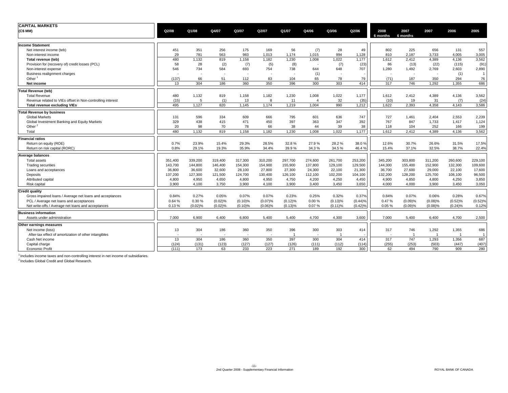| <b>CAPITAL MARKETS</b>                                     |         |         |         |         |            |         |                |                |         |                  |                  |         |                |                |
|------------------------------------------------------------|---------|---------|---------|---------|------------|---------|----------------|----------------|---------|------------------|------------------|---------|----------------|----------------|
| (C\$MM)                                                    | Q2/08   | Q1/08   | Q4/07   | Q3/07   | Q2/07      | Q1/07   | Q4/06          | Q3/06          | Q2/06   | 2008<br>6 months | 2007<br>6 months | 2007    | 2006           | 2005           |
| <b>Income Statement</b>                                    |         |         |         |         |            |         |                |                |         |                  |                  |         |                |                |
| Net interest income (teb)                                  | 451     | 351     | 256     | 175     | 169        | 56      | (7)            | 28             | 49      | 802              | 225              | 656     | 131            | 557            |
| Non-interest income                                        | 29      | 781     | 563     | 983     | 1,013      | 1,174   | 1,015          | 994            | 1,128   | 810              | 2,187            | 3,733   | 4,005          | 3,005          |
| Total revenue (teb)                                        | 480     | 1,132   | 819     | 1,158   | 1,182      | 1,230   | 1,008          | 1,022          | 1,177   | 1,612            | 2,412            | 4,389   | 4,136          | 3,562          |
| Provision for (recovery of) credit losses (PCL)            | 58      | 28      | (2)     | (7)     | (5)        | (8)     |                | (7)            | (23)    | 86               | (13)             | (22)    | (115)          | (91)           |
| Non-interest expense                                       | 546     | 734     | 584     | 693     | 754        | 738     | 644            | 648            | 707     | 1,280            | 1,492            | 2,769   | 2,603          | 2,890          |
| Business realignment charges                               |         |         |         |         |            |         | (1)            |                |         |                  | . .              |         | (1)            | $\overline{1}$ |
| Other $1$                                                  | (137)   | 66      | 51      | 112     | 83         | 104     | 65             | 78             | 79      | (71)             | 187              | 350     | 294            | 76             |
| Net income                                                 | 13      | 304     | 186     | 360     | 350        | 396     | 300            | 303            | 414     | 317              | 746              | 1,292   | 1,355          | 686            |
| <b>Total Revenue (teb)</b>                                 |         |         |         |         |            |         |                |                |         |                  |                  |         |                |                |
| <b>Total Revenue</b>                                       | 480     | 1,132   | 819     | 1,158   | 1,182      | 1,230   | 1,008          | 1,022          | 1,177   | 1,612            | 2,412            | 4,389   | 4,136          | 3,562          |
| Revenue related to VIEs offset in Non-controlling interest | (15)    | 5       | (1)     | 13      | 8          | 11      | $\overline{4}$ | 32             | (35)    | (10)             | 19               | 31      | (7)            | (24)           |
| <b>Total revenue excluding VIEs</b>                        | 495     | 1,127   | 820     | 1,145   | 1,174      | 1,219   | 1,004          | 990            | 1,212   | 1.622            | 2,393            | 4,358   | 4,143          | 3,586          |
| <b>Total Revenue by business</b>                           |         |         |         |         |            |         |                |                |         |                  |                  |         |                |                |
| <b>Global Markets</b>                                      | 131     | 596     | 334     | 609     | 666        | 795     | 601            | 636            | 747     | 727              | 1,461            | 2,404   | 2,553          | 2,239          |
| Global Investment Banking and Equity Markets               | 329     | 438     | 415     | 471     | 450        | 397     | 363            | 347            | 392     | 767              | 847              | 1,733   | 1,417          | 1,124          |
| Other <sup>2</sup>                                         | 20      | 98      | 70      | 78      | 66         | 38      | 44             | 39             | 38      | 118              | 104              | 252     | 166            | 199            |
| Total                                                      | 480     | 1.132   | 819     | 1,158   | 1.182      | 1.230   | 1.008          | 1.022          | 1,177   | 1.612            | 2.412            | 4.389   | 4,136          | 3,562          |
| <b>Financial ratios</b>                                    |         |         |         |         |            |         |                |                |         |                  |                  |         |                |                |
| Return on equity (ROE)                                     | 0.7%    | 23.9%   | 15.4%   | 29.3%   | 28.5%      | 32.8%   | 27.9%          | 28.2%          | 38.0%   | 12.6%            | 30.7%            | 26.6%   | 31.5%          | 17.5%          |
| Return on risk capital (RORC)                              | 0.8%    | 29.1%   | 19.3%   | 35.9%   | 34.4%      | 39.9%   | 34.3%          | 34.5%          | 46.4%   | 15.4%            | 37.1%            | 32.5%   | 38.7%          | 22.4%          |
| <b>Average balances</b>                                    |         |         |         |         |            |         |                |                |         |                  |                  |         |                |                |
| <b>Total assets</b>                                        | 351,400 | 339,200 | 319,400 | 317,300 | 310,200    | 297,700 | 274,600        | 261,700        | 253,200 | 345,200          | 303,800          | 311,200 | 260,600        | 229,100        |
| <b>Trading securities</b>                                  | 143,700 | 144,800 | 146,400 | 154,300 | 154,900    | 155,900 | 137,800        | 129,100        | 129,500 | 144,300          | 155,400          | 152,900 | 132,300        | 109,600        |
| Loans and acceptances                                      | 36,800  | 36,600  | 32,600  | 28,100  | 27,800     | 27,300  | 24,300         | 22,100         | 21,300  | 36,700           | 27,600           | 29,000  | 22,100         | 17,600         |
| Deposits                                                   | 137,200 | 127,300 | 121,500 | 124,700 | 130,400    | 126,100 | 112,100        | 102,200        | 104,100 | 132,200          | 128,200          | 125,700 | 108,100        | 96,500         |
| Attributed capital                                         | 4,800   | 4,950   | 4,650   | 4,800   | 4,950      | 4,750   | 4,200          | 4,250          | 4,450   | 4,900            | 4,850            | 4,800   | 4,250          | 3,850          |
| <b>Risk capital</b>                                        | 3,900   | 4,100   | 3,750   | 3,900   | 4,100      | 3,900   | 3,400          | 3,450          | 3,650   | 4.000            | 4,000            | 3,900   | 3,450          | 3,050          |
| <b>Credit quality</b>                                      |         |         |         |         |            |         |                |                |         |                  |                  |         |                |                |
| Gross impaired loans / Average net loans and acceptances   | 0.84%   | 0.27%   | 0.05%   | 0.07%   | 0.07%      | 0.23%   | 0.25%          | 0.32%          | 0.37%   | 0.84%            | 0.07%            | 0.06%   | 0.28%          | 0.67%          |
| PCL / Average net loans and acceptances                    | 0.64%   | 0.30%   | (0.02)% | (0.10)% | (0.07)%    | (0.12)% | 0.00%          | (0.13)%        | (0.44)% | 0.47%            | (0.09)%          | (0.08)% | (0.52)%        | (0.52)%        |
| Net write-offs / Average net loans and acceptances         | 0.13%   | (0.02)% | (0.02)% | (0.10)% | $(0.06)\%$ | (0.13)% | 0.07%          | $(0.11)$ %     | (0.42)% | 0.05%            | (0.09)%          | (0.08)% | (0.24)%        | 0.12%          |
| <b>Business information</b>                                |         |         |         |         |            |         |                |                |         |                  |                  |         |                |                |
| Assets under administration                                | 7,000   | 6,900   | 6,400   | 6,800   | 5,400      | 5,400   | 4,700          | 4,300          | 3,600   | 7.000            | 5,400            | 6,400   | 4,700          | 2,500          |
| Other earnings measures                                    |         |         |         |         |            |         |                |                |         |                  |                  |         |                |                |
| Net income (loss)                                          | 13      | 304     | 186     | 360     | 350        | 396     | 300            | 303            | 414     | 317              | 746              | 1,292   | 1,355          | 686            |
| After-tax effect of amortization of other intangibles      |         |         |         |         | ٠          |         |                | $\overline{1}$ |         |                  |                  |         | $\overline{1}$ | $\overline{1}$ |
| Cash Net income                                            | 13      | 304     | 186     | 360     | 350        | 397     | 300            | 304            | 414     | 317              | 747              | 1,293   | 1,356          | 687            |
| Capital charge                                             | (124)   | (131)   | (123)   | (127)   | (127)      | (126)   | (111)          | (112)          | (114)   | (255)            | (253)            | (503)   | (447)          | (407)          |
| <b>Economic Profit</b>                                     | (111)   | 173     | 63      | 233     | 223        | 271     | 189            | 192            | 300     | 62               | 494              | 790     | 909            | 280            |

 $<sup>1</sup>$  Includes income taxes and non-controlling interest in net income of subsidiaries.</sup>

<sup>2</sup> Includes Global Credit and Global Research.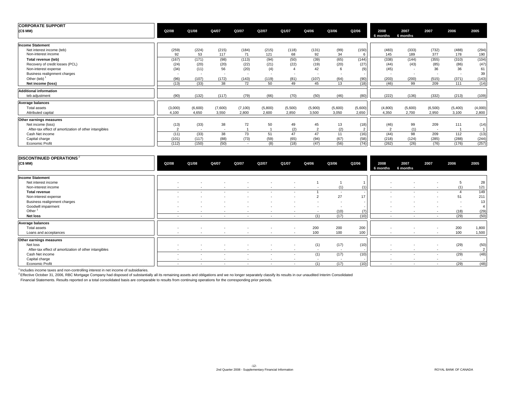| <b>CORPORATE SUPPORT</b>                                                       |                       |                       |                                   |                                   |                     |                  |                    |                  |                      |                       |                  |                     |                     |                     |
|--------------------------------------------------------------------------------|-----------------------|-----------------------|-----------------------------------|-----------------------------------|---------------------|------------------|--------------------|------------------|----------------------|-----------------------|------------------|---------------------|---------------------|---------------------|
| (C\$MM)                                                                        | Q2/08                 | Q1/08                 | Q4/07                             | Q3/07                             | Q2/07               | Q1/07            | Q4/06              | Q3/06            | Q2/06                | 2008<br>6 months      | 2007<br>6 months | 2007                | 2006                | 2005                |
| <b>Income Statement</b>                                                        |                       |                       |                                   |                                   |                     |                  |                    |                  |                      |                       |                  |                     |                     |                     |
| Net interest income (teb)<br>Non-interest income                               | (259)<br>92           | (224)<br>53           | (215)<br>117                      | (184)<br>71                       | (215)<br>121        | (118)<br>68      | (131)<br>92        | (99)<br>34       | (150)<br>6           | (483)<br>145          | (333)<br>189     | (732)<br>377        | (488)<br>178        | (294)<br>190        |
| Total revenue (teb)<br>Recovery of credit losses (PCL)<br>Non-interest expense | (167)<br>(24)<br>(34) | (171)<br>(20)<br>(11) | (98)<br>(20)<br>56                | (113)<br>(22)<br>(20)             | (94)<br>(21)<br>(4) | (50)<br>(22)     | (39)<br>(19)<br>42 | (65)<br>(20)     | (144)<br>(27)<br>(9) | (338)<br>(44)<br>(45) | (144)<br>(43)    | (355)<br>(85)<br>36 | (310)<br>(86)<br>36 | (104)<br>(47)<br>61 |
| Business realignment charges<br>Other (teb) $1$                                | (96)                  | (107)                 | $\overline{\phantom{a}}$<br>(172) | $\overline{\phantom{a}}$<br>(143) | ٠<br>(119)          | $\sim$<br>(81)   | (107)              | (64)             | (90)                 | (203)                 | (200)            | (515)               | (371)               | 39<br>(143)         |
| Net income (loss)                                                              | (13)                  | (33)                  | 38                                | 72                                | 50                  | 49               | 45                 | 13               | (18)                 | (46)                  | 99               | 209                 | 111                 | (14)                |
| <b>Additional information</b>                                                  |                       |                       |                                   |                                   |                     |                  |                    |                  |                      |                       |                  |                     |                     |                     |
| teb adiustment                                                                 | (90)                  | (132)                 | (117)                             | (79)                              | (66)                | (70)             | (50)               | (46)             | (80)                 | (222)                 | (136)            | (332)               | (213)               | (109)               |
| Average balances<br>Total assets<br>Attributed capital                         | (3,000)<br>4,100      | (6,600)<br>4,650      | (7,600)<br>3,550                  | (7, 100)<br>2,800                 | (5,800)<br>2,600    | (5,500)<br>2,850 | (5,900)<br>3,500   | (5,600)<br>3,050 | (5,600)<br>2,650     | (4,800)<br>4.350      | (5,600)<br>2.700 | (6,500)<br>2,950    | (5,400)<br>3,100    | (4,000)<br>2,800    |
| Other earnings measures                                                        |                       |                       |                                   |                                   |                     |                  |                    |                  |                      |                       |                  |                     |                     |                     |
| Net income (loss)<br>After-tax effect of amortization of other intangibles     | (13)                  | (33)<br>$\sim$        | 38<br>$\sim$                      | 72                                | 50                  | 49<br>(2)        | 45<br>$\sim$       | 13<br>(2)        | (18)                 | (46)                  | 99<br>(1)        | 209<br>$\sim$       | 111                 | (14)                |
| Cash Net income<br>Capital charge                                              | (11)<br>(101)         | (33)<br>(117)         | 38<br>(88)                        | 73<br>(73)                        | 51<br>(59)          | 47<br>(65)       | 47<br>(94)         | 11<br>(67)       | (16)<br>(58)         | (44)<br>(218)         | 98<br>(124)      | 209<br>(285)        | 112<br>(288)        | (13)<br>(244)       |
| <b>Economic Profit</b>                                                         | (112)                 | (150)                 | (50)                              | ٠.                                | (8)                 | (18)             | (47)               | (56)             | (74)                 | (262)                 | (26)             | (76)                | (176)               | (257)               |

| <b>DISCONTINUED OPERATIONS</b> <sup>2</sup><br>(C\$ MM) | Q2/08                    | Q1/08  | Q4/07  | Q3/07  | Q2/07          | Q1/07                    | Q4/06                    | Q3/06                    | Q2/06 | 2008<br>6 months         | 2007<br>6 months         | 2007                     | 2006                     | 2005           |
|---------------------------------------------------------|--------------------------|--------|--------|--------|----------------|--------------------------|--------------------------|--------------------------|-------|--------------------------|--------------------------|--------------------------|--------------------------|----------------|
|                                                         |                          |        |        |        |                |                          |                          |                          |       |                          |                          |                          |                          |                |
| <b>Income Statement</b>                                 |                          |        |        |        |                |                          |                          |                          |       |                          |                          |                          |                          |                |
| Net interest income                                     | $\overline{a}$           |        |        |        | $\overline{a}$ |                          |                          |                          |       | $\overline{\phantom{a}}$ |                          |                          |                          | 28             |
| Non-interest income                                     | $\sim$                   | $\sim$ | $\sim$ | $\sim$ | $\sim$         | $\sim$                   | $\sim$                   | (1)                      | (1)   | $\overline{\phantom{a}}$ | $\sim$                   | $\overline{\phantom{a}}$ | (1)                      | 121            |
| <b>Total revenue</b>                                    | $\sim$                   | $\sim$ | $\sim$ | $\sim$ | $\sim$         | $\sim$                   |                          | $\sim$                   |       | $\sim$                   | $\sim$                   | $\sim$                   |                          | 149            |
| Non-interest expense                                    | $\sim$                   | $\sim$ |        |        | $\overline{a}$ | ٠                        |                          | 27                       | 17    | $\overline{\phantom{a}}$ |                          | $\overline{a}$           | 51                       | 211            |
| Business realignment charges                            | $\overline{\phantom{a}}$ |        |        |        |                | $\overline{\phantom{a}}$ |                          | $\overline{\phantom{a}}$ |       | $\overline{\phantom{a}}$ |                          |                          | $\overline{\phantom{a}}$ | 13             |
| Goodwill impairment                                     | $\overline{a}$           |        |        |        | $\sim$         | $\overline{a}$           | $\overline{\phantom{a}}$ | . .                      |       | $\overline{a}$           |                          | $\overline{a}$           | . .                      | $\overline{4}$ |
| Other                                                   | $\overline{a}$           | $\sim$ | $\sim$ | $\sim$ | $\sim$         | $\sim$                   | $\sim$                   | (10)                     | (7)   | $\sim$                   | $\sim$                   | $\sim$                   | (18)                     | (29)           |
| <b>Net loss</b>                                         | $\sim$                   | $\sim$ | $\sim$ | $\sim$ | $\sim$         | $\sim$                   | (1)                      | (17)                     | (10)  | $\overline{\phantom{a}}$ | $\overline{\phantom{a}}$ | $\sim$                   | (29)                     | (50)           |
| Average balances                                        |                          |        |        |        |                |                          |                          |                          |       |                          |                          |                          |                          |                |
| Total assets                                            | $\overline{a}$           |        | $\sim$ | $\sim$ | $\sim$         | $\sim$                   | 200                      | 200                      | 200   | $\overline{\phantom{a}}$ | $\overline{\phantom{a}}$ | $\overline{\phantom{a}}$ | 200                      | 1,800          |
| Loans and acceptances                                   | $\overline{\phantom{a}}$ | $\sim$ | $\sim$ | $\sim$ | $\sim$         | $\sim$                   | 100                      | 100                      | 100   |                          | $\overline{\phantom{a}}$ | $\overline{\phantom{a}}$ | 100                      | 1,500          |
| Other earnings measures                                 |                          |        |        |        |                |                          |                          |                          |       |                          |                          |                          |                          |                |
| Net loss                                                | $\overline{a}$           |        |        |        | $\sim$         | $\sim$                   | (1)                      | (17)                     | (10)  | $\overline{\phantom{a}}$ |                          | $\overline{\phantom{a}}$ | (29)                     | (50)           |
| After-tax effect of amortization of other intangibles   |                          |        |        |        |                | $\sim$                   |                          |                          |       |                          |                          |                          |                          | 2              |
| Cash Net income                                         | $\overline{\phantom{a}}$ |        |        |        | $\sim$         | $\sim$                   | (1)                      | (17)                     | (10)  | $\overline{\phantom{a}}$ | $\overline{\phantom{a}}$ | $\sim$                   | (29)                     | (48)           |
| Capital charge                                          | $\overline{a}$           | $\sim$ | $\sim$ | $\sim$ | $\sim$         | $\sim$                   | $\sim$                   | $\overline{\phantom{a}}$ |       | $\sim$                   | $\overline{\phantom{a}}$ | $\overline{\phantom{a}}$ | $\sim$                   | $\sim$         |
| Economic Profit                                         | $\sim$                   | $\sim$ | $\sim$ | $\sim$ | $\sim$         | $\sim$                   | (1)                      | (17)                     | (10)  | $\overline{\phantom{a}}$ | $\sim$                   | $\sim$                   | (29)                     | (48)           |

<sup>1</sup> Includes income taxes and non-controlling interest in net income of subsidiaries.<br><sup>2</sup> Effective October 31, 2006, RBC Mortgage Company had disposed of substantially all its remaining assets and obligations and we no lo

Financial Statements. Results reported on a total consolidated basis are comparable to results from continuing operations for the corresponding prior periods.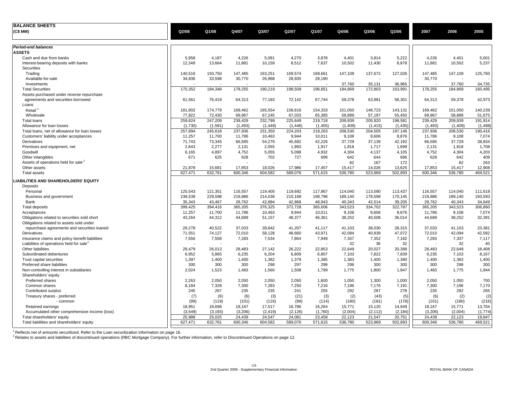| <b>BALANCE SHEETS</b>                                |         |          |          |          |          |          |         |          |          |         |         |          |
|------------------------------------------------------|---------|----------|----------|----------|----------|----------|---------|----------|----------|---------|---------|----------|
| (C\$ MM)                                             | Q2/08   | Q1/08    | Q4/07    | Q3/07    | Q2/07    | Q1/07    | Q4/06   | Q3/06    | Q2/06    | 2007    | 2006    | 2005     |
|                                                      |         |          |          |          |          |          |         |          |          |         |         |          |
| Period-end balances                                  |         |          |          |          |          |          |         |          |          |         |         |          |
| <b>ASSETS</b>                                        |         |          |          |          |          |          |         |          |          |         |         |          |
| Cash and due from banks                              | 5,958   | 4.187    | 4.226    | 5,091    | 4,270    | 3,878    | 4,401   | 3,814    | 5,222    | 4,226   | 4,401   | 5,001    |
| Interest-bearing deposits with banks                 | 12,349  | 13.664   | 11,881   | 10,159   | 8,512    | 7,637    | 10,502  | 11,430   | 8,878    | 11,881  | 10,502  | 5,237    |
| Securities                                           |         |          |          |          |          |          |         |          |          |         |         |          |
| Trading                                              | 140,516 | 150,750  | 147,485  | 163,251  | 169,574  | 168,661  | 147,109 | 137,672  | 127,026  | 147,485 | 147,109 | 125,760  |
| Available-for-sale                                   | 34,836  | 33,598   | 30,770   | 26,968   | 28,935   | 28,190   |         |          |          | 30,770  |         |          |
| Investments                                          |         |          |          |          |          |          | 37,760  | 35,131   | 36,965   |         | 37,760  | 34,735   |
| <b>Total Securities</b>                              | 175,352 | 184,348  | 178,255  | 190,219  | 198,509  | 196,851  | 184,869 | 172,803  | 163,991  | 178,255 | 184,869 | 160,495  |
| Assets purchased under reverse repurchase            |         |          |          |          |          |          |         |          |          |         |         |          |
| agreements and securities borrowed                   | 61,561  | 76,419   | 64,313   | 77,183   | 72,142   | 67,744   | 59,378  | 63,981   | 56,301   | 64,313  | 59,378  | 42,973   |
| Loans                                                |         |          |          |          |          |          |         |          |          |         |         |          |
| Retail                                               | 181,802 | 174,779  | 169,462  | 165,554  | 158,616  | 154,333  | 151,050 | 148,723  | 143,131  | 169,462 | 151,050 | 140,239  |
| Wholesale                                            | 77,822  | 72,430   | 69,967   | 67,245   | 67,033   | 65,385   | 58,889  | 57,197   | 55,450   | 69,967  | 58,889  | 51,675   |
| Total loans                                          | 259.624 | 247,209  | 239,429  | 232,799  | 225,649  | 219,718  | 209,939 | 205,920  | 198,581  | 239.429 | 209,939 | 191,914  |
| Allowance for loan losses                            | (1,730) | (1,591)  | (1, 493) | (1, 449) | (1, 446) | (1, 455) | (1,409) | (1, 415) | (1, 435) | (1,493) | (1,409) | (1, 498) |
| Total loans, net of allowance for loan losses        | 257,894 | 245,618  | 237,936  | 231,350  | 224,203  | 218,263  | 208,530 | 204,505  | 197,146  | 237,936 | 208,530 | 190,416  |
| Customers' liability under acceptances               | 11,257  | 11,700   | 11,786   | 10,463   | 9,944    | 10,011   | 9,108   | 9,606    | 8,876    | 11,786  | 9,108   | 7,074    |
| Derivatives                                          | 71,743  | 73,345   | 66,585   | 54,279   | 45,692   | 42,226   | 37,729  | 37,139   | 42,192   | 66,585  | 37,729  | 38,834   |
| Premises and equipment, net                          | 2,643   | 2,277    | 2,131    | 2,055    | 1,993    | 1,917    | 1,818   | 1,717    | 1,699    | 2,131   | 1,818   | 1,708    |
| Goodwill                                             | 6,165   | 4,897    | 4,752    | 5,055    | 5,098    | 4,932    | 4,304   | 4,137    | 4,105    | 4,752   | 4,304   | 4,203    |
| Other intangibles                                    | 671     | 625      | 628      | 702      | 727      | 699      | 642     | 644      | 686      | 628     | 642     | 409      |
| Assets of operations held for sale <sup>2</sup>      |         |          |          |          |          |          | 82      | 167      | 172      |         | 82      | 263      |
| Other assets                                         | 21,878  | 15,681   | 17,853   | 18,026   | 17,986   | 17,457   | 15,417  | 14,026   | 13,625   | 17,853  | 15,417  | 12,908   |
| <b>Total assets</b>                                  | 627,471 | 632,761  | 600,346  | 604,582  | 589,076  | 571,615  | 536,780 | 523,969  | 502,893  | 600,346 | 536,780 | 469,521  |
| <b>LIABILITIES AND SHAREHOLDERS' EQUITY</b>          |         |          |          |          |          |          |         |          |          |         |         |          |
| Deposits                                             |         |          |          |          |          |          |         |          |          |         |         |          |
| Personal                                             | 125,543 | 121,351  | 116,557  | 119,405  | 119,692  | 117,867  | 114,040 | 113,590  | 113,437  | 116,557 | 114,040 | 111,618  |
| Business and government                              | 238,539 | 229,598  | 219,886  | 214,036  | 210,168  | 198,796  | 189,140 | 178,598  | 170,145  | 219,886 | 189,140 | 160,593  |
| Bank                                                 | 35,343  | 43,467   | 28,762   | 42,884   | 42,868   | 48,943   | 40,343  | 42,514   | 39,205   | 28,762  | 40,343  | 34,649   |
| Total deposits                                       | 399,425 | 394,416  | 365,205  | 376,325  | 372,728  | 365,606  | 343,523 | 334,702  | 322,787  | 365,205 | 343,523 | 306,860  |
| Acceptances                                          | 11,257  | 11,700   | 11.786   | 10.463   | 9.944    | 10.011   | 9,108   | 9,606    | 8,876    | 11,786  | 9,108   | 7,074    |
| Obligations related to securities sold short         | 43,264  | 44,312   | 44,689   | 51,157   | 48,377   | 46,361   | 38,252  | 40,508   | 36,014   | 44,689  | 38,252  | 32,391   |
| Obligations related to assets sold under             |         |          |          |          |          |          |         |          |          |         |         |          |
| repurchase agreements and securities loaned          | 28,278  | 40,522   | 37,033   | 39,842   | 41,207   | 41,117   | 41,103  | 38,030   | 28,315   | 37,033  | 41,103  | 23,381   |
| Derivatives                                          | 71,551  | 74,127   | 72,010   | 58,128   | 48,660   | 43,971   | 42,094  | 40,839   | 47,072   | 72,010  | 42,094  | 42,592   |
| Insurance claims and policy benefit liabilities      | 7,556   | 7,558    | 7,283    | 7,534    | 7,864    | 7,948    | 7,337   | 7,352    | 7,182    | 7,283   | 7,337   | 7,117    |
| Liabilities of operations held for sale <sup>2</sup> |         |          |          |          |          |          | 32      | 36       | 32       |         | 32      | 40       |
| Other liabilities                                    | 29,479  | 26,013   | 28,483   | 27,142   | 26,222   | 22,853   | 22,649  | 20,027   | 20,388   | 28,483  | 22,649  | 18,408   |
| Subordinated debentures                              | 6,952   | 5,865    | 6,235    | 6,204    | 6,809    | 6,807    | 7,103   | 7,822    | 7,839    | 6,235   | 7,103   | 8,167    |
| Trust capital securities                             | 1,397   | 1,400    | 1,400    | 1,382    | 1,379    | 1,385    | 1,383   | 1,400    | 1,390    | 1,400   | 1,383   | 1,400    |
| Preferred share liabilities                          | 300     | 300      | 300      | 298      | 297      | 299      | 298     | 300      | 300      | 300     | 298     | 300      |
| Non-controlling interest in subsidiaries             | 2,024   | 1,523    | 1,483    | 1,560    | 1,508    | 1,799    | 1,775   | 1,800    | 1,947    | 1,483   | 1,775   | 1,944    |
| Shareholders' equity                                 |         |          |          |          |          |          |         |          |          |         |         |          |
| Preferred shares                                     | 2,263   | 2,050    | 2,050    | 2,050    | 2,050    | 1,600    | 1,050   | 1,300    | 1,000    | 2,050   | 1,050   | 700      |
| Common shares                                        | 8,184   | 7,328    | 7,300    | 7,283    | 7,250    | 7,216    | 7,196   | 7,176    | 7,191    | 7,300   | 7,196   | 7,170    |
| Contributed surplus                                  | 245     | 267      | 235      | 235      | 241      | 255      | 292     | 287      | 278      | 235     | 292     | 265      |
| Treasury shares - preferred                          | (7)     | (6)      | (6)      | (3)      | (21)     | (3)      | (2)     | (43)     | (5)      | (6)     | (2)     | (2)      |
| - common                                             | (99)    | (119)    | (101)    | (116)    | (99)     | (114)    | (180)   | (181)    | (178)    | (101)   | (180)   | (216)    |
| Retained earnings                                    | 18,951  | 18,698   | 18,167   | 17,517   | 16,786   | 16,264   | 15,771  | 15,120   | 14,649   | 18,167  | 15,771  | 13,704   |
| Accumulated other comprehensive income (loss)        | (3,549) | (3, 193) | (3,206)  | (2, 419) | (2, 126) | (1,760)  | (2,004) | (2, 112) | (2, 184) | (3,206) | (2,004) | (1,774)  |
| Total shareholders' equity                           | 25,988  | 25,025   | 24,439   | 24,547   | 24,081   | 23,458   | 22,123  | 21,547   | 20,751   | 24,439  | 22,123  | 19,847   |
| Total liabilities and shareholders' equity           | 627,471 | 632,761  | 600,346  | 604,582  | 589,076  | 571,615  | 536,780 | 523,969  | 502,893  | 600,346 | 536,780 | 469,521  |
|                                                      |         |          |          |          |          |          |         |          |          |         |         |          |

<sup>1</sup> Reflects net of amounts securitized. Refer to the Loan securitization information on page 16.<br><sup>2</sup> Relates to assets and liabilities of discontinued operations (RBC Mortgage Company). For further information, refer to D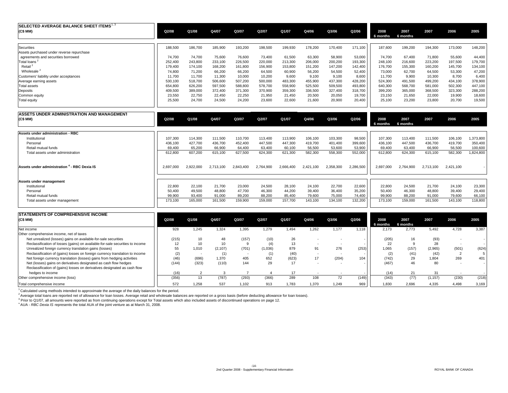| SELECTED AVERAGE BALANCE SHEET ITEMS <sup>1, 3</sup> |           |           |           |           |           |           |           |           |           |                  |                  |           |           |           |
|------------------------------------------------------|-----------|-----------|-----------|-----------|-----------|-----------|-----------|-----------|-----------|------------------|------------------|-----------|-----------|-----------|
| (C\$ MM)                                             | Q2/08     | Q1/08     | Q4/07     | Q3/07     | Q2/07     | Q1/07     | Q4/06     | Q3/06     | Q2/06     | 2008<br>6 months | 2007<br>6 months | 2007      | 2006      | 2005      |
| Securities                                           | 188,500   | 186,700   | 185,900   | 193,200   | 198,500   | 199,930   | 178,200   | 170,400   | 171,100   | 187.600          | 199,200          | 194,300   | 173,000   | 148,200   |
| Assets purchased under reverse repurchase            |           |           |           |           |           |           |           |           |           |                  |                  |           |           |           |
| agreements and securities borrowed                   | 74.700    | 74,700    | 75,600    | 76,600    | 73,400    | 61,500    | 63,300    | 58,900    | 53,000    | 74.700           | 67,400           | 71,800    | 55.600    | 44,400    |
| Total loans <sup>2</sup>                             | 252,400   | 243,800   | 233,100   | 226,500   | 220,000   | 213,300   | 206,000   | 200,200   | 193,300   | 248.100          | 216,600          | 223,200   | 197,500   | 179,700   |
| Retail <sup>2</sup>                                  | 179.400   | 174,100   | 168,200   | 161,800   | 156,900   | 153,800   | 151,200   | 147,200   | 142.400   | 176.700          | 155,300          | 160,200   | 145,700   | 134,100   |
| Wholesale <sup>2</sup>                               | 74.800    | 71.200    | 66,200    | 66,200    | 64,500    | 60,900    | 56,200    | 54,500    | 52,400    | 73,000           | 62,700           | 64,500    | 53,300    | 47,200    |
| Customers' liability under acceptances               | 11.700    | 11,700    | 11,300    | 10,000    | 10,200    | 9,600     | 9,100     | 9,100     | 8,600     | 11.700           | 9,900            | 10,300    | 8.700     | 6,400     |
| Average earning assets                               | 530,100   | 518,700   | 506,600   | 507,200   | 500,000   | 483,300   | 455,900   | 437,300   | 428,200   | 524,300          | 491,500          | 499,200   | 434,100   | 378,900   |
| <b>Total assets</b>                                  | 654,800   | 626,200   | 597,500   | 588,800   | 578,700   | 558,900   | 525,500   | 509,500   | 493,800   | 640,300          | 568,700          | 581,000   | 502,300   | 447,100   |
| Deposits                                             | 409,500   | 389,000   | 372,400   | 371,300   | 370,900   | 359,300   | 336,500   | 327,400   | 318,700   | 399,200          | 365,000          | 368,500   | 323,300   | 288,200   |
| Common equity                                        | 23,550    | 22,750    | 22,450    | 22,250    | 21,950    | 21,450    | 20,500    | 20,050    | 19,700    | 23,150           | 21,650           | 22,000    | 19,900    | 18,600    |
| <b>Total equity</b>                                  | 25,500    | 24,700    | 24,500    | 24,200    | 23,600    | 22,600    | 21,600    | 20,900    | 20,400    | 25,100           | 23,200           | 23,800    | 20,700    | 19,500    |
| ASSETS UNDER ADMINISTRATION AND MANAGEMENT           |           |           |           |           |           |           |           |           |           |                  |                  |           |           |           |
| (C\$ MM)                                             | Q2/08     | Q1/08     | Q4/07     | Q3/07     | Q2/07     | Q1/07     | Q4/06     | Q3/06     | Q2/06     | 2008             | 2007             | 2007      | 2006      | 2005      |
|                                                      |           |           |           |           |           |           |           |           |           | 6 months         | 6 months         |           |           |           |
| <b>Assets under administration - RBC</b>             |           |           |           |           |           |           |           |           |           |                  |                  |           |           |           |
| Institutional                                        | 107.300   | 114,300   | 111,500   | 110,700   | 113,400   | 113,900   | 106,100   | 103,300   | 98,500    | 107.300          | 113,400          | 111,500   | 106,100   | 1,373,800 |
| Personal                                             | 436,100   | 427,700   | 436,700   | 452,400   | 447,500   | 447,300   | 419,700   | 401,400   | 399,600   | 436,100          | 447,500          | 436,700   | 419,700   | 350,400   |
| Retail mutual funds                                  | 69.400    | 65,200    | 66.900    | 64,400    | 63.400    | 60,100    | 56,500    | 53.600    | 53,900    | 69.400           | 63,400           | 66,900    | 56.500    | 100,600   |
| Total assets under administration                    | 612,800   | 607,200   | 615,100   | 627,500   | 624,300   | 621,300   | 582,300   | 558,300   | 552,000   | 612,800          | 624,300          | 615,100   | 582,300   | 1,824,800 |
| Assets under administration 4 - RBC Dexia IS         | 2.697.000 | 2.922.000 | 2.713.100 | 2.843.400 | 2.764.900 | 2.666.400 | 2.421.100 | 2.358.300 | 2,286,500 | 2.697.000        | 2.764.900        | 2.713.100 | 2.421.100 |           |
| Assets under management                              |           |           |           |           |           |           |           |           |           |                  |                  |           |           |           |
| Institutional                                        | 22,800    | 22,100    | 21,700    | 23,000    | 24,500    | 28,100    | 24,100    | 22,700    | 22,600    | 22,800           | 24,500           | 21,700    | 24,100    | 23,300    |
| Personal                                             | 50,400    | 49,500    | 48,800    | 47,700    | 46,300    | 44,200    | 39,400    | 36,400    | 35,200    | 50,400           | 46,300           | 48,800    | 39,400    | 29,400    |
| Retail mutual funds                                  | 99,900    | 93.400    | 91.000    | 89.200    | 88.200    | 85.400    | 79.600    | 75,000    | 74,400    | 99.900           | 88,200           | 91.000    | 79.600    | 66,100    |
| Total assets under management                        | 173,100   | 165,000   | 161,500   | 159,900   | 159,000   | 157,700   | 143,100   | 134,100   | 132,200   | 173,100          | 159,000          | 161,500   | 143,100   | 118,800   |
| <b>STATEMENTS OF COMPREHENSIVE INCOME</b>            |           |           |           |           |           |           |           |           |           |                  |                  |           |           |           |

| STATEMENTS OF COMPREHENSIVE INCOME                                                                                                                                                                |       |       |          |       |         |       |       |       |       |          |          |          |                          |       |
|---------------------------------------------------------------------------------------------------------------------------------------------------------------------------------------------------|-------|-------|----------|-------|---------|-------|-------|-------|-------|----------|----------|----------|--------------------------|-------|
| (C\$ MM)                                                                                                                                                                                          | Q2/08 | Q1/08 | Q4/07    | Q3/07 | Q2/07   | Q1/07 | Q4/06 | Q3/06 | Q2/06 | 2008     | 2007     | 2007     | 2006                     | 2005  |
|                                                                                                                                                                                                   |       |       |          |       |         |       |       |       |       | 6 months | 6 months |          |                          |       |
| Net income                                                                                                                                                                                        | 928   | 1,245 | 1,324    | 1,395 | 1,279   | 1,494 | 1.262 | 1.177 | 1.118 | 2.173    | 2,773    | 5,492    | 4,728                    | 3,387 |
| Other comprehensive income, net of taxes                                                                                                                                                          |       |       |          |       |         |       |       |       |       |          |          |          |                          |       |
| Net unrealized (losses) gains on available-for-sale securities                                                                                                                                    | (215) | 10    | 48       | (157) | (10)    | 26    |       |       |       | (205)    |          | (93)     |                          |       |
| Reclassification of losses (gains) on available-for-sale securities to income                                                                                                                     |       | 10    | 10       |       | (4)     | 13    |       |       |       | 22       |          | 28       | $\overline{\phantom{a}}$ |       |
| Unrealized foreign currency translation gains (losses)                                                                                                                                            | 55    | 1,010 | (2, 107) | (701) | (1,036) | 879   | 91    | 276   | (253) | 1,065    | (157)    | (2,965)  | (501)                    | (624) |
| Reclassification of (gains) losses on foreign currency translation to income                                                                                                                      | (2)   |       | (1)      |       | (1)     | (40)  |       |       |       |          | (41)     | (42)     |                          |       |
| Net foreign currency translation (losses) gains from hedging activities                                                                                                                           | (46)  | (696) | 1,370    | 405   | 652     | (623) | 17    | (204) | 104   | (742)    | 29       | 1,804    | 269                      | 401   |
| Net (losses) gains on derivatives designated as cash flow hedges                                                                                                                                  | (144) | (323) | (110)    | 144   | 29      | 17    |       |       |       | (467)    | 46       | 80       |                          |       |
| Reclassification of (gains) losses on derivatives designated as cash flow                                                                                                                         |       |       |          |       |         |       |       |       |       |          |          |          |                          |       |
| hedges to income                                                                                                                                                                                  | (16)  |       |          |       |         | 17    |       |       |       | (14)     | 21       | 31       |                          |       |
| Other comprehensive income (loss)                                                                                                                                                                 | (356) | 13    | (787)    | (293) | (366)   | 289   | 108   | 72    | (149) | (343)    | (77)     | (1, 157) | (230)                    | (218) |
| Total comprehensive income                                                                                                                                                                        | 572   | 1.258 | 537      | 1.102 | 913     | 1,783 | 1.370 | 1.249 | 969   | 1.830    | 2,696    | 4,335    | 4,498                    | 3,169 |
| <sup>1</sup> Calculated using methods intended to approximate the average of the daily balances for the period.                                                                                   |       |       |          |       |         |       |       |       |       |          |          |          |                          |       |
| <sup>2</sup> Average total loans are reported net of allowance for loan losses. Average retail and wholesale balances are reported on a gross basis (before deducting allowance for loan losses). |       |       |          |       |         |       |       |       |       |          |          |          |                          |       |
| $3$ Prior to Q1/07, all amounts were reported as from continuing operations except for Total assets which also included assets of discontinued operations on page 12.                             |       |       |          |       |         |       |       |       |       |          |          |          |                          |       |
| <sup>4</sup> AUA - RBC Dexia IS represents the total AUA of the joint venture as at March 31, 2008.                                                                                               |       |       |          |       |         |       |       |       |       |          |          |          |                          |       |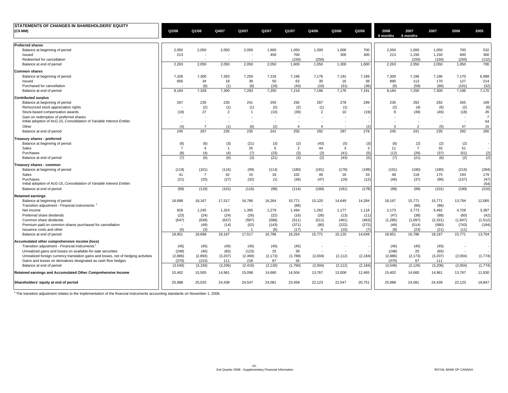| Q2/08   | Q1/08                                                                                             | Q4/07                                                                                                                                              | Q3/07                                                                                                                | Q2/07                                                                                       | Q1/07                                                                                                                  | Q4/06                                                                                                                                           | Q3/06                                                                                                                       | Q2/06                                                                                                                                                            | 2008<br>6 months                                                                                                | 2007<br>6 months                                                                                   | 2007                                                                                                                                     | 2006                                                                                                                                 | 2005                                                                                                                                |
|---------|---------------------------------------------------------------------------------------------------|----------------------------------------------------------------------------------------------------------------------------------------------------|----------------------------------------------------------------------------------------------------------------------|---------------------------------------------------------------------------------------------|------------------------------------------------------------------------------------------------------------------------|-------------------------------------------------------------------------------------------------------------------------------------------------|-----------------------------------------------------------------------------------------------------------------------------|------------------------------------------------------------------------------------------------------------------------------------------------------------------|-----------------------------------------------------------------------------------------------------------------|----------------------------------------------------------------------------------------------------|------------------------------------------------------------------------------------------------------------------------------------------|--------------------------------------------------------------------------------------------------------------------------------------|-------------------------------------------------------------------------------------------------------------------------------------|
|         |                                                                                                   |                                                                                                                                                    |                                                                                                                      |                                                                                             |                                                                                                                        |                                                                                                                                                 |                                                                                                                             |                                                                                                                                                                  |                                                                                                                 |                                                                                                    |                                                                                                                                          |                                                                                                                                      |                                                                                                                                     |
|         |                                                                                                   |                                                                                                                                                    |                                                                                                                      |                                                                                             |                                                                                                                        |                                                                                                                                                 |                                                                                                                             |                                                                                                                                                                  |                                                                                                                 |                                                                                                    |                                                                                                                                          |                                                                                                                                      | 532                                                                                                                                 |
|         |                                                                                                   |                                                                                                                                                    |                                                                                                                      |                                                                                             |                                                                                                                        |                                                                                                                                                 |                                                                                                                             |                                                                                                                                                                  |                                                                                                                 |                                                                                                    |                                                                                                                                          |                                                                                                                                      | 300                                                                                                                                 |
|         | - 20                                                                                              |                                                                                                                                                    |                                                                                                                      | - 1                                                                                         |                                                                                                                        |                                                                                                                                                 |                                                                                                                             |                                                                                                                                                                  |                                                                                                                 |                                                                                                    |                                                                                                                                          |                                                                                                                                      | (132)                                                                                                                               |
| 2.263   | 2.050                                                                                             | 2.050                                                                                                                                              | 2.050                                                                                                                | 2.050                                                                                       | 1.600                                                                                                                  | 1.050                                                                                                                                           | 1.300                                                                                                                       | 1,000                                                                                                                                                            | 2.263                                                                                                           | 2.050                                                                                              | 2.050                                                                                                                                    | 1.050                                                                                                                                | 700                                                                                                                                 |
|         |                                                                                                   |                                                                                                                                                    |                                                                                                                      |                                                                                             |                                                                                                                        |                                                                                                                                                 |                                                                                                                             |                                                                                                                                                                  |                                                                                                                 |                                                                                                    |                                                                                                                                          |                                                                                                                                      |                                                                                                                                     |
|         |                                                                                                   |                                                                                                                                                    |                                                                                                                      |                                                                                             |                                                                                                                        |                                                                                                                                                 |                                                                                                                             |                                                                                                                                                                  |                                                                                                                 |                                                                                                    |                                                                                                                                          |                                                                                                                                      | 6,988                                                                                                                               |
|         |                                                                                                   |                                                                                                                                                    |                                                                                                                      |                                                                                             |                                                                                                                        |                                                                                                                                                 |                                                                                                                             |                                                                                                                                                                  |                                                                                                                 |                                                                                                    |                                                                                                                                          |                                                                                                                                      | 214                                                                                                                                 |
|         |                                                                                                   |                                                                                                                                                    |                                                                                                                      |                                                                                             |                                                                                                                        |                                                                                                                                                 |                                                                                                                             |                                                                                                                                                                  |                                                                                                                 |                                                                                                    |                                                                                                                                          |                                                                                                                                      | (32)                                                                                                                                |
| 8,184   | 7,328                                                                                             | 7,300                                                                                                                                              | 7,283                                                                                                                | 7,250                                                                                       | 7,216                                                                                                                  | 7,196                                                                                                                                           | 7,176                                                                                                                       | 7,191                                                                                                                                                            | 8,184                                                                                                           | 7,250                                                                                              | 7,300                                                                                                                                    | 7,196                                                                                                                                | 7,170                                                                                                                               |
|         |                                                                                                   |                                                                                                                                                    |                                                                                                                      |                                                                                             |                                                                                                                        |                                                                                                                                                 |                                                                                                                             |                                                                                                                                                                  |                                                                                                                 |                                                                                                    |                                                                                                                                          |                                                                                                                                      |                                                                                                                                     |
|         |                                                                                                   |                                                                                                                                                    |                                                                                                                      |                                                                                             |                                                                                                                        |                                                                                                                                                 |                                                                                                                             |                                                                                                                                                                  |                                                                                                                 |                                                                                                    |                                                                                                                                          |                                                                                                                                      | 169                                                                                                                                 |
|         |                                                                                                   |                                                                                                                                                    |                                                                                                                      |                                                                                             |                                                                                                                        |                                                                                                                                                 |                                                                                                                             |                                                                                                                                                                  |                                                                                                                 |                                                                                                    |                                                                                                                                          |                                                                                                                                      | (6)                                                                                                                                 |
| (18)    | 27                                                                                                | $\overline{2}$                                                                                                                                     | $\overline{1}$                                                                                                       | (10)                                                                                        | (39)                                                                                                                   | $\overline{2}$                                                                                                                                  | 10                                                                                                                          | (19)                                                                                                                                                             | 9                                                                                                               | (49)                                                                                               | (46)                                                                                                                                     | (18)                                                                                                                                 | 26                                                                                                                                  |
|         |                                                                                                   |                                                                                                                                                    |                                                                                                                      | $\overline{\phantom{a}}$                                                                    | $\overline{a}$                                                                                                         |                                                                                                                                                 |                                                                                                                             |                                                                                                                                                                  |                                                                                                                 |                                                                                                    |                                                                                                                                          |                                                                                                                                      | $\overline{7}$<br>54                                                                                                                |
|         |                                                                                                   |                                                                                                                                                    |                                                                                                                      |                                                                                             |                                                                                                                        |                                                                                                                                                 |                                                                                                                             |                                                                                                                                                                  |                                                                                                                 |                                                                                                    |                                                                                                                                          |                                                                                                                                      | 15                                                                                                                                  |
| 245     | 267                                                                                               | 235                                                                                                                                                | 235                                                                                                                  | 241                                                                                         | 255                                                                                                                    | 292                                                                                                                                             | 287                                                                                                                         | 278                                                                                                                                                              | 245                                                                                                             | 241                                                                                                | 235                                                                                                                                      | 292                                                                                                                                  | 265                                                                                                                                 |
|         |                                                                                                   |                                                                                                                                                    |                                                                                                                      |                                                                                             |                                                                                                                        |                                                                                                                                                 |                                                                                                                             |                                                                                                                                                                  |                                                                                                                 |                                                                                                    |                                                                                                                                          |                                                                                                                                      |                                                                                                                                     |
|         |                                                                                                   |                                                                                                                                                    |                                                                                                                      |                                                                                             |                                                                                                                        |                                                                                                                                                 |                                                                                                                             |                                                                                                                                                                  |                                                                                                                 |                                                                                                    |                                                                                                                                          |                                                                                                                                      |                                                                                                                                     |
|         | $\overline{\mathbf{A}}$                                                                           | $\overline{1}$                                                                                                                                     |                                                                                                                      |                                                                                             |                                                                                                                        |                                                                                                                                                 |                                                                                                                             |                                                                                                                                                                  |                                                                                                                 |                                                                                                    |                                                                                                                                          |                                                                                                                                      |                                                                                                                                     |
|         |                                                                                                   |                                                                                                                                                    |                                                                                                                      |                                                                                             |                                                                                                                        |                                                                                                                                                 |                                                                                                                             |                                                                                                                                                                  |                                                                                                                 |                                                                                                    |                                                                                                                                          |                                                                                                                                      | (2)                                                                                                                                 |
| (7)     | (6)                                                                                               | (6)                                                                                                                                                | (3)                                                                                                                  | (21)                                                                                        | (3)                                                                                                                    | (2)                                                                                                                                             | (43)                                                                                                                        | (5)                                                                                                                                                              | (7)                                                                                                             | (21)                                                                                               | (6)                                                                                                                                      | (2)                                                                                                                                  | (2)                                                                                                                                 |
|         |                                                                                                   |                                                                                                                                                    |                                                                                                                      |                                                                                             |                                                                                                                        |                                                                                                                                                 |                                                                                                                             |                                                                                                                                                                  |                                                                                                                 |                                                                                                    |                                                                                                                                          |                                                                                                                                      |                                                                                                                                     |
|         |                                                                                                   |                                                                                                                                                    |                                                                                                                      |                                                                                             |                                                                                                                        |                                                                                                                                                 |                                                                                                                             |                                                                                                                                                                  |                                                                                                                 |                                                                                                    |                                                                                                                                          |                                                                                                                                      | (294)                                                                                                                               |
|         |                                                                                                   |                                                                                                                                                    |                                                                                                                      |                                                                                             |                                                                                                                        |                                                                                                                                                 |                                                                                                                             |                                                                                                                                                                  |                                                                                                                 |                                                                                                    |                                                                                                                                          |                                                                                                                                      | 179                                                                                                                                 |
|         |                                                                                                   |                                                                                                                                                    |                                                                                                                      |                                                                                             |                                                                                                                        |                                                                                                                                                 |                                                                                                                             |                                                                                                                                                                  |                                                                                                                 |                                                                                                    |                                                                                                                                          |                                                                                                                                      | (47)                                                                                                                                |
|         |                                                                                                   |                                                                                                                                                    |                                                                                                                      |                                                                                             |                                                                                                                        |                                                                                                                                                 |                                                                                                                             |                                                                                                                                                                  |                                                                                                                 |                                                                                                    |                                                                                                                                          |                                                                                                                                      | (54)                                                                                                                                |
| (99)    | (119)                                                                                             | (101)                                                                                                                                              | (116)                                                                                                                | (99)                                                                                        | (114)                                                                                                                  | (180)                                                                                                                                           | (181)                                                                                                                       | (178)                                                                                                                                                            | (99)                                                                                                            | (99)                                                                                               | (101)                                                                                                                                    | (180)                                                                                                                                | (216)                                                                                                                               |
|         |                                                                                                   |                                                                                                                                                    |                                                                                                                      |                                                                                             |                                                                                                                        |                                                                                                                                                 |                                                                                                                             |                                                                                                                                                                  |                                                                                                                 |                                                                                                    |                                                                                                                                          |                                                                                                                                      |                                                                                                                                     |
| 18,698  | 18,167                                                                                            |                                                                                                                                                    | 16,786                                                                                                               |                                                                                             | 15,771                                                                                                                 |                                                                                                                                                 | 14,649                                                                                                                      |                                                                                                                                                                  | 18,167                                                                                                          | 15,771                                                                                             | 15,771                                                                                                                                   | 13,704                                                                                                                               | 12,065                                                                                                                              |
|         |                                                                                                   |                                                                                                                                                    |                                                                                                                      |                                                                                             | (86)                                                                                                                   |                                                                                                                                                 |                                                                                                                             |                                                                                                                                                                  |                                                                                                                 | (86)                                                                                               |                                                                                                                                          |                                                                                                                                      |                                                                                                                                     |
| 928     | 1,245                                                                                             | 1,324                                                                                                                                              | 1,395                                                                                                                | 1,279                                                                                       | 1,494                                                                                                                  | 1,262                                                                                                                                           | 1,177                                                                                                                       | 1,118                                                                                                                                                            | 2.173                                                                                                           | 2,773                                                                                              | 5,492                                                                                                                                    | 4,728                                                                                                                                | 3,387                                                                                                                               |
| (23)    | (24)                                                                                              | (24)                                                                                                                                               | (26)                                                                                                                 | (22)                                                                                        | (16)                                                                                                                   | (26)                                                                                                                                            | (13)                                                                                                                        | (11)                                                                                                                                                             | (47)                                                                                                            | (38)                                                                                               | (88)                                                                                                                                     | (60)                                                                                                                                 | (42)                                                                                                                                |
| (647)   | (638)                                                                                             | (637)                                                                                                                                              | (587)                                                                                                                | (586)                                                                                       | (511)                                                                                                                  | (511)                                                                                                                                           | (461)                                                                                                                       | (463)                                                                                                                                                            | (1, 285)                                                                                                        | (1,097)                                                                                            | (2, 321)                                                                                                                                 | (1, 847)                                                                                                                             | (1, 512)                                                                                                                            |
|         | (49)                                                                                              | (14)                                                                                                                                               | (52)                                                                                                                 | (143)                                                                                       | (371)                                                                                                                  | (80)                                                                                                                                            | (222)                                                                                                                       | (272)                                                                                                                                                            | (49)                                                                                                            | (514)                                                                                              | (580)                                                                                                                                    | (743)                                                                                                                                | (194)                                                                                                                               |
| (5)     | (3)                                                                                               | $\mathbf{1}$                                                                                                                                       | -1                                                                                                                   | (6)                                                                                         | (17)                                                                                                                   | 6                                                                                                                                               | (10)                                                                                                                        | (7)                                                                                                                                                              | (8)                                                                                                             | (23)                                                                                               | (21)                                                                                                                                     | (11)                                                                                                                                 |                                                                                                                                     |
| 18,951  | 18,698                                                                                            | 18,167                                                                                                                                             | 17,517                                                                                                               | 16,786                                                                                      | 16,264                                                                                                                 | 15,771                                                                                                                                          | 15,120                                                                                                                      | 14,649                                                                                                                                                           | 18,951                                                                                                          | 16,786                                                                                             | 18,167                                                                                                                                   |                                                                                                                                      | 13,704                                                                                                                              |
|         |                                                                                                   |                                                                                                                                                    |                                                                                                                      |                                                                                             |                                                                                                                        |                                                                                                                                                 |                                                                                                                             |                                                                                                                                                                  |                                                                                                                 |                                                                                                    |                                                                                                                                          |                                                                                                                                      |                                                                                                                                     |
| (45)    | (45)                                                                                              | (45)                                                                                                                                               | (45)                                                                                                                 | (45)                                                                                        | (45)                                                                                                                   |                                                                                                                                                 |                                                                                                                             |                                                                                                                                                                  | (45)                                                                                                            | (45)                                                                                               | (45)                                                                                                                                     |                                                                                                                                      | $\sim$                                                                                                                              |
| (248)   | (45)                                                                                              | (65)                                                                                                                                               | (123)                                                                                                                | 25                                                                                          | 39                                                                                                                     |                                                                                                                                                 |                                                                                                                             |                                                                                                                                                                  | (248)                                                                                                           | 25                                                                                                 | (65)                                                                                                                                     |                                                                                                                                      |                                                                                                                                     |
| (2,886) | (2,893)                                                                                           | (3,207)                                                                                                                                            | (2, 469)                                                                                                             | (2, 173)                                                                                    | (1,788)                                                                                                                | (2,004)                                                                                                                                         | (2, 112)                                                                                                                    | (2, 184)                                                                                                                                                         | (2,886)                                                                                                         | (2, 173)                                                                                           | (3,207)                                                                                                                                  | (2,004)                                                                                                                              | (1,774)                                                                                                                             |
| (370)   | (210)                                                                                             | 111                                                                                                                                                | 218                                                                                                                  | 67                                                                                          | 34                                                                                                                     |                                                                                                                                                 |                                                                                                                             |                                                                                                                                                                  | (370)                                                                                                           | 67                                                                                                 | 111                                                                                                                                      |                                                                                                                                      |                                                                                                                                     |
| (3,549) | (3, 193)                                                                                          |                                                                                                                                                    | (2, 419)                                                                                                             | (2, 126)                                                                                    |                                                                                                                        | (2,004)                                                                                                                                         |                                                                                                                             |                                                                                                                                                                  | (3, 549)                                                                                                        | (2, 126)                                                                                           |                                                                                                                                          |                                                                                                                                      | (1,774)                                                                                                                             |
| 15,402  | 15,505                                                                                            | 14,961                                                                                                                                             | 15,098                                                                                                               | 14,660                                                                                      | 14,504                                                                                                                 | 13,767                                                                                                                                          | 13,008                                                                                                                      | 12,465                                                                                                                                                           | 15,402                                                                                                          | 14,660                                                                                             | 14,961                                                                                                                                   | 13,767                                                                                                                               | 11,930                                                                                                                              |
| 25,988  | 25,025                                                                                            | 24,439                                                                                                                                             | 24,547                                                                                                               | 24,081                                                                                      | 23,458                                                                                                                 | 22,123                                                                                                                                          | 21,547                                                                                                                      | 20,751                                                                                                                                                           | 25,988                                                                                                          | 24,081                                                                                             | 24,439                                                                                                                                   | 22,123                                                                                                                               | 19,847                                                                                                                              |
|         | 2,050<br>213<br>7,328<br>856<br>267<br>(4)<br>(6)<br>$\overline{7}$<br>(8)<br>(119)<br>41<br>(21) | 2,050<br>$\overline{\phantom{a}}$<br>7,300<br>34<br>(6)<br>235<br>(2)<br>$\sim$<br>$\overline{7}$<br>(6)<br>(4)<br>(101)<br>$\overline{7}$<br>(25) | 2,050<br>$\sim$<br>7,283<br>18<br>(1)<br>235<br>(1)<br>(1)<br>(3)<br>(4)<br>(116)<br>42<br>(27)<br>17,517<br>(3,206) | 2,050<br>7,250<br>39<br>(6)<br>241<br>(1)<br>(6)<br>(21)<br>25<br>(7)<br>(99)<br>15<br>(32) | 1,600<br>450<br>7,216<br>50<br>(16)<br>255<br>(2)<br>$\sim$<br>(2)<br>(3)<br>5<br>(23)<br>(114)<br>16<br>(1)<br>16,264 | 1,050<br>700<br>(150)<br>7,196<br>63<br>(43)<br>292<br>(2)<br>$\overline{4}$<br>(2)<br>$\overline{2}$<br>(3)<br>(180)<br>102<br>(36)<br>(1,760) | 1,300<br>(250)<br>7,176<br>30<br>(10)<br>287<br>(1)<br>$\overline{4}$<br>(43)<br>44<br>(3)<br>(181)<br>48<br>(47)<br>15,120 | 1,000<br>300<br>7,191<br>16<br>(31)<br>278<br>(1)<br>$\overline{\phantom{a}}$<br>$\overline{\phantom{a}}$<br>(5)<br>3<br>(41)<br>(178)<br>16<br>(19)<br>(2, 112) | 700<br>300<br>7,189<br>38<br>(36)<br>299<br>(2)<br>(3)<br>3<br>(5)<br>(199)<br>33<br>(12)<br>14,284<br>(2, 184) | 2,050<br>213<br>7,300<br>890<br>(6)<br>235<br>(2)<br>3<br>(6)<br>11<br>(12)<br>(101)<br>48<br>(46) | 1,050<br>1,150<br>(150)<br>7.196<br>113<br>(59)<br>292<br>(4)<br>$\overline{2}$<br>(2)<br>$\overline{7}$<br>(26)<br>(180)<br>118<br>(37) | 1,050<br>1,150<br>(150)<br>7,196<br>170<br>(66)<br>292<br>(6)<br>(5)<br>(2)<br>33<br>(37)<br>(180)<br>175<br>(96)<br>(86)<br>(3,206) | 700<br>600<br>(250)<br>7,170<br>127<br>(101)<br>265<br>(2)<br>47<br>(2)<br>51<br>(51)<br>(216)<br>193<br>(157)<br>15,771<br>(2,004) |

 $1$  The transition adjustment relates to the implementation of the financial instruments accounting standards on November 1, 2006.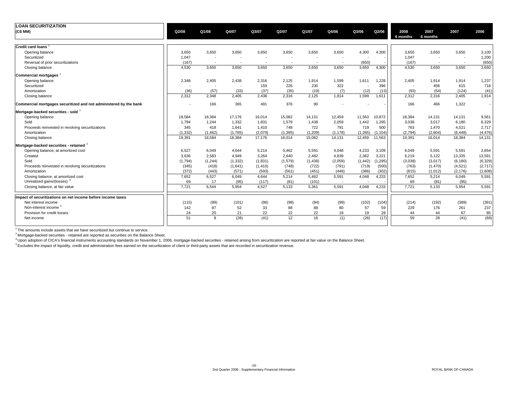| <b>LOAN SECURITIZATION</b>                                        |          |                          |          |          |                          |                          |                          |          |          |                          |                          |                          |          |
|-------------------------------------------------------------------|----------|--------------------------|----------|----------|--------------------------|--------------------------|--------------------------|----------|----------|--------------------------|--------------------------|--------------------------|----------|
| (C\$ MM)                                                          | Q2/08    | Q1/08                    | Q4/07    | Q3/07    | Q2/07                    | Q1/07                    | Q4/06                    | Q3/06    | Q2/06    | 2008<br>6 months         | 2007<br>6 months         | 2007                     | 2006     |
|                                                                   |          |                          |          |          |                          |                          |                          |          |          |                          |                          |                          |          |
| <b>Credit card loans</b>                                          |          |                          |          |          |                          |                          |                          |          |          |                          |                          |                          |          |
| Opening balance                                                   | 3,650    | 3,650                    | 3,650    | 3,650    | 3,650                    | 3,650                    | 3,650                    | 4,300    | 4,300    | 3,650                    | 3,650                    | 3,650                    | 3,100    |
| Securitized                                                       | 1,047    | $\overline{\phantom{a}}$ |          |          | $\overline{\phantom{a}}$ | $\overline{\phantom{a}}$ | $\sim$                   |          |          | 1,047                    | $\overline{\phantom{a}}$ | $\overline{\phantom{a}}$ | 1,200    |
| Reversal of prior securitizations                                 | (167)    | $\overline{\phantom{a}}$ |          |          | $\overline{a}$           | $\overline{a}$           | $\overline{\phantom{a}}$ | (650)    |          | (167)                    | $\overline{\phantom{a}}$ | $\overline{\phantom{a}}$ | (650)    |
| Closing balance                                                   | 4,530    | 3,650                    | 3,650    | 3,650    | 3,650                    | 3,650                    | 3,650                    | 3,650    | 4,300    | 4,530                    | 3,650                    | 3,650                    | 3,650    |
| <b>Commercial mortgages</b>                                       |          |                          |          |          |                          |                          |                          |          |          |                          |                          |                          |          |
| Opening balance                                                   | 2,348    | 2,405                    | 2,438    | 2,316    | 2,125                    | 1,914                    | 1,599                    | 1,611    | 1,228    | 2,405                    | 1,914                    | 1,914                    | 1,237    |
| Securitized                                                       |          |                          |          | 159      | 226                      | 230                      | 322                      |          | 396      | $\overline{\phantom{a}}$ | 456                      | 615                      | 718      |
| Amortization                                                      | (36)     | (57)                     | (33)     | (37)     | (35)                     | (19)                     | (7)                      | (12)     | (13)     | (93)                     | (54)                     | (124)                    | (41)     |
| Closing balance                                                   | 2,312    | 2.348                    | 2,405    | 2,438    | 2,316                    | 2,125                    | 1,914                    | 1,599    | 1.611    | 2,312                    | 2,316                    | 2,405                    | 1,914    |
| Commercial mortgages securitized and not administered by the bank |          | 166                      | 365      | 491      | 376                      | 90                       |                          |          |          | 166                      | 466                      | 1,322                    |          |
| Mortgage-backed securities - sold                                 |          |                          |          |          |                          |                          |                          |          |          |                          |                          |                          |          |
| Opening balance                                                   | 18,584   | 18,384                   | 17.176   | 16.014   | 15.082                   | 14,131                   | 12.459                   | 11,563   | 10,872   | 18,384                   | 14,131                   | 14,131                   | 9,561    |
| Sold                                                              | 1,794    | 1,244                    | 1,332    | 1,831    | 1,579                    | 1,438                    | 2,059                    | 1,442    | 1,295    | 3,038                    | 3,017                    | 6,180                    | 6,329    |
| Proceeds reinvested in revolving securitizations                  | 345      | 418                      | 1,641    | 1,410    | 748                      | 722                      | 791                      | 719      | 500      | 763                      | 1,470                    | 4,521                    | 2,717    |
| Amortization                                                      | (1, 332) | (1, 462)                 | (1,765)  | (2,079)  | (1, 395)                 | (1,209)                  | (1, 178)                 | (1,265)  | (1, 104) | (2,794)                  | (2,604)                  | (6, 448)                 | (4, 476) |
| Closing balance                                                   | 19,391   | 18,584                   | 18,384   | 17,176   | 16,014                   | 15,082                   | 14,131                   | 12,459   | 11,563   | 19,391                   | 16,014                   | 18,384                   | 14,131   |
| Mortgage-backed securities - retained <sup>2</sup>                |          |                          |          |          |                          |                          |                          |          |          |                          |                          |                          |          |
| Opening balance, at amortized cost                                | 6.527    | 6,049                    | 4.644    | 5,214    | 5,462                    | 5,591                    | 4,048                    | 4,233    | 3,109    | 6.049                    | 5,591                    | 5,591                    | 2,654    |
| Created                                                           | 3.636    | 2.583                    | 4.949    | 3.264    | 2.640                    | 2.482                    | 4.839                    | 2,362    | 3,221    | 6,219                    | 5,122                    | 13,335                   | 13,591   |
| Sold                                                              | (1,794)  | (1, 244)                 | (1, 332) | (1,831)  | (1,579)                  | (1, 438)                 | (2,059)                  | (1, 442) | (1, 295) | (3,038)                  | (3,017)                  | (6, 180)                 | (6, 329) |
| Proceeds reinvested in revolving securitizations                  | (345)    | (418)                    | (1,641)  | (1, 410) | (748)                    | (722)                    | (791)                    | (719)    | (500)    | (763)                    | (1,470)                  | (4,521)                  | (2,717)  |
| Amortization                                                      | (372)    | (443)                    | (571)    | (593)    | (561)                    | (451)                    | (446)                    | (386)    | (302)    | (815)                    | (1,012)                  | (2, 176)                 | (1,608)  |
| Closing balance, at amortized cost                                | 7,652    | 6,527                    | 6,049    | 4,644    | 5,214                    | 5,462                    | 5,591                    | 4,048    | 4,233    | 7,652                    | 5,214                    | 6,049                    | 5,591    |
| Unrealized gains/(losses) <sup>3</sup>                            | 69       | 17                       | (95)     | (117)    | (81)                     | (101)                    | $\overline{\phantom{a}}$ |          |          | 69                       | (81)                     | (95)                     |          |
| Closing balance, at fair value                                    | 7,721    | 6,544                    | 5,954    | 4,527    | 5,133                    | 5,361                    | 5,591                    | 4,048    | 4,233    | 7,721                    | 5,133                    | 5,954                    | 5,591    |
| Impact of securitizations on net income before income taxes       |          |                          |          |          |                          |                          |                          |          |          |                          |                          |                          |          |
| Net interest income                                               | (115)    | (99)                     | (101)    | (96)     | (98)                     | (94)                     | (99)                     | (102)    | (104)    | (214)                    | (192)                    | (389)                    | (391)    |
| Non-interest income <sup>4</sup>                                  | 142      | 87                       | 52       | 33       | 88                       | 88                       | 80                       | 57       | 59       | 229                      | 176                      | 261                      | 237      |
| Provision for credit losses                                       | 24       | 20                       | 21       | 22       | 22                       | 22                       | 18                       | 19       | 28       | 44                       | 44                       | 87                       | 85       |
| Net income                                                        | 51       | 8                        | (28)     | (41)     | 12                       | 16                       | (1)                      | (26)     | (17)     | 59                       | 28                       | (41)                     | (69)     |
|                                                                   |          |                          |          |          |                          |                          |                          |          |          |                          |                          |                          |          |

<sup>1</sup> The amounts include assets that we have securitized but continue to service.

<sup>2</sup> Mortgage-backed securities - retained are reported as securities on the Balance Sheet.

<sup>3</sup> Upon adoption of CICA's financial instruments accounting standards on November 1, 2006, mortgage-backed securities - retained arising from securitization are reported at fair value on the Balance Sheet.

<sup>4</sup> Excludes the impact of liquidity, credit and administration fees earned on the securitization of client or third-party assets that are recorded in securitization revenue.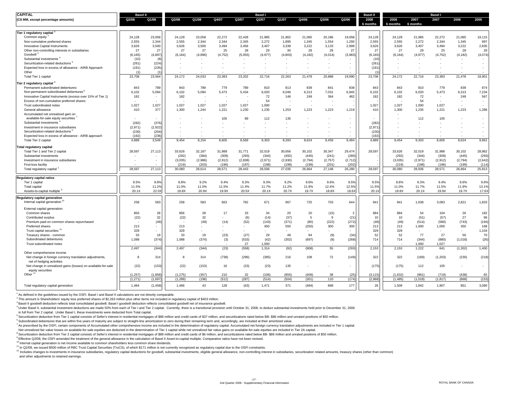| <b>CAPITAL</b>                                                | <b>Basel II</b> |                          |                          |         |                          |                          | <b>Basel I</b> |         |          |         |                          | <b>Basel II</b>  |                          |                  | <b>Basel I</b> |                          |                          |
|---------------------------------------------------------------|-----------------|--------------------------|--------------------------|---------|--------------------------|--------------------------|----------------|---------|----------|---------|--------------------------|------------------|--------------------------|------------------|----------------|--------------------------|--------------------------|
| (C\$ MM, except percentage amounts)                           | Q2/08           | Q1/08                    | Q2/08                    | Q1/08   | Q4/07                    | Q3/07                    | Q2/07          | Q1/07   | Q4/06    | Q3/06   | Q2/06                    | 2008<br>6 months | 2008<br>6 months         | 2007<br>6 months | 2007           | 2006                     | 2005                     |
| Tier 1 regulatory capital                                     |                 |                          |                          |         |                          |                          |                |         |          |         |                          |                  |                          |                  |                |                          |                          |
| Common equity                                                 | 24,128          | 23,058                   | 24,128                   | 23,058  | 22,272                   | 22,428                   | 21,985         | 21,802  | 21,065   | 20,186  | 19,658                   | 24,128           | 24,128                   | 21,985           | 22,272         | 21,065                   | 19,115                   |
| Non-cumulative preferred shares                               | 2,555           | 2,344                    | 2,555                    | 2,344   | 2.344                    | 2,345                    | 2,272          | 1,895   | 1,345    | 1,554   | 1,290                    | 2,555            | 2,555                    | 2,272            | 2,344          | 1,345                    | 997                      |
| Innovative Capital Instruments                                | 3,626           | 3,500                    | 3,626                    | 3,500   | 3,494                    | 3,456                    | 3,407          | 3,339   | 3,222    | 3,133   | 2,998                    | 3,626            | 3,626                    | 3,407            | 3,494          | 3,222                    | 2,835                    |
| Other non-controlling interests in subsidiaries               | 27              | 27                       | 27                       | 27      | 25                       | 28                       | 29             | 30      | 28       | 29      | 27                       | 27               | 27                       | 29               | 25             | 28                       | 28                       |
| Goodwill <sup>3</sup>                                         | (6, 165)        | (4, 897)                 | (6, 164)                 | (4,896) | (4, 752)                 | (5,055)                  | (4, 977)       | (4,803) | (4, 182) | (4,014) | (3,983)                  | (6, 165)         | (6, 164)                 | (4, 977)         | (4, 752)       | (4, 182)                 | (4,074)                  |
| Substantial investments                                       | (10)            | (8)                      |                          |         |                          |                          |                |         |          |         |                          | (10)             |                          |                  |                |                          | $\overline{\phantom{a}}$ |
| Securitization-related deductions <sup>t</sup>                | (261)           | (224)                    | $\sim$                   |         |                          |                          |                |         |          |         | $\overline{\phantom{a}}$ | (261)            |                          |                  |                |                          | $\sim$                   |
| Expected loss in excess of allowance - AIRB Approach          | (191)           | (235)                    | $\overline{\phantom{a}}$ |         |                          |                          |                |         |          |         | $\overline{\phantom{a}}$ | (191)            |                          |                  |                |                          | $\sim$                   |
| Other                                                         | (1)             | (1)                      |                          |         |                          |                          |                |         |          |         |                          | (1)              |                          |                  |                |                          |                          |
| Total Tier 1 capital                                          | 23,708          | 23,564                   | 24,172                   | 24,033  | 23,383                   | 23,202                   | 22,716         | 22,263  | 21,478   | 20,888  | 19,990                   | 23,708           | 24,172                   | 22,716           | 23,383         | 21,478                   | 18,901                   |
| Tier 2 regulatory capital                                     |                 |                          |                          |         |                          |                          |                |         |          |         |                          |                  |                          |                  |                |                          |                          |
| Permanent subordinated debentures                             | 843             | 789                      | 843                      | 789     | 779                      | 789                      | 810            | 813     | 839      | 841     | 838                      | 843              | 843                      | 810              | 779            | 839                      | 874                      |
| Non-permanent subordinated debentures <sup>6</sup>            | 6,102           | 5,094                    | 6,102                    | 5,094   | 5,473                    | 5,434                    | 6,020          | 6,046   | 6,313    | 7,031   | 6,945                    | 6,102            | 6,102                    | 6,020            | 5,473          | 6,313                    | 7,234                    |
| Innovative Capital Instruments (excess over 15% of Tier 1)    | 182             | $\overline{\phantom{a}}$ | 182                      |         |                          | $\overline{\phantom{a}}$ | 72             | 146     | 249      | 364     | 482                      | 182              | 182                      | 72               |                | 249                      | 567                      |
| Excess of non-cumulative preferred shares                     |                 |                          |                          |         |                          |                          | 54             |         |          |         |                          |                  |                          | 54               |                | $\sim$                   | $\overline{\phantom{a}}$ |
| Trust subordinated notes                                      | 1,027           | 1,027                    | 1,027                    | 1,027   | 1,027                    | 1,027                    | 1,000          |         |          |         |                          | 1,027            | 1,027                    | 1,000            | 1,027          | $\overline{\phantom{a}}$ | $\sim$                   |
| General allowance                                             | 410             | 377                      | 1,300                    | 1,244   | 1,221                    | 1,230                    | 1,235          | 1,253   | 1,223    | 1,223   | 1,219                    | 410              | 1,300                    | 1,235            | 1,221          | 1,223                    | 1,286                    |
| Accumulated net unrealized gain on                            |                 |                          |                          |         |                          |                          |                |         |          |         |                          |                  |                          |                  |                |                          |                          |
| available-for-sale equity securities                          |                 | $\overline{\phantom{a}}$ | $\overline{\phantom{a}}$ |         | 105                      | 89                       | 112            | 135     |          |         | $\overline{\phantom{a}}$ |                  | $\overline{\phantom{a}}$ | 112              | 105            | $\overline{\phantom{a}}$ | $\sim$                   |
| Substantial investments                                       | (282)           | (376)                    |                          |         |                          |                          |                |         |          |         |                          | (282)            |                          |                  |                |                          | $\sim$                   |
| Investment in insurance subsidiaries                          | (2.971)         | (2.922)                  |                          |         |                          |                          |                |         |          |         |                          | (2,971)          |                          |                  |                |                          |                          |
| Securitization-related deductions <sup>8</sup>                | (230)           | (204)                    |                          |         |                          |                          |                |         |          |         | $\overline{\phantom{a}}$ | (230)            |                          |                  |                |                          | $\sim$                   |
| Expected loss in excess of allowance - AIRB approach          | (192)           | (236)                    |                          |         |                          |                          |                |         |          |         |                          | (192)            |                          |                  |                |                          |                          |
| Total Tier 2 capital                                          | 4,889           | 3,549                    | 9,454                    | 8,154   | 8,605                    | 8,569                    | 9,303          | 8,393   | 8,624    | 9,459   | 9,484                    | 4,889            | 9,454                    | 9,303            | 8,605          | 8,624                    | 9,961                    |
| Total regulatory capital                                      |                 |                          |                          |         |                          |                          |                |         |          |         |                          |                  |                          |                  |                |                          |                          |
| Total Tier 1 and Tier 2 capital                               | 28,597          | 27,113                   | 33,626                   | 32,187  | 31.988                   | 31,771                   | 32,019         | 30,656  | 30,102   | 30,347  | 29,474                   | 28,597           | 33,626                   | 32,019           | 31,988         | 30,102                   | 28,862                   |
| Substantial investments                                       |                 |                          | (292)                    | (384)   | (309)                    | (293)                    | (344)          | (492)   | (445)    | (241)   | (280)                    |                  | (292)                    | (344)            | (309)          | (445)                    | (293)                    |
| Investment in insurance subsidiaries                          |                 | $\overline{\phantom{a}}$ | (3,035)                  | (2,986) | (2,912)                  | (2,838)                  | (2,971)        | (2,930) | (2,794)  | (2,757) | (2,712)                  |                  | (3,035)                  | (2,971)          | (2, 912)       | (2,794)                  | (2,642)                  |
| First-loss facility                                           |                 |                          | (219)                    | (203)   | (196)                    | (197)                    | (198)          | (199)   | (199)    | (201)   | (202)                    |                  | (219)                    | (198)            | (196)          | (199)                    | (114)                    |
| Total regulatory capital                                      | 28,597          | 27,113                   | 30,080                   | 28,614  | 28,571                   | 28,443                   | 28,506         | 27,035  | 26,664   | 27,148  | 26,280                   | 28,597           | 30,080                   | 28,506           | 28,571         | 26,664                   | 25,813                   |
| <b>Regulatory capital ratios</b>                              |                 |                          |                          |         |                          |                          |                |         |          |         |                          |                  |                          |                  |                |                          |                          |
| Tier 1 capital                                                | 9.5%            | 9.8%                     | 8.8%                     | 9.2%    | 9.4%                     | 9.3%                     | 9.3%           | 9.2%    | 9.6%     | 9.6%    | 9.5%                     | 9.5%             | 8.8%                     | 9.3%             | 9.4%           | 9.6%                     | 9.6%                     |
| Total capital                                                 | 11.5%           | 11.2%                    | 11.0%                    | 11.0%   | 11.5%                    | 11.4%                    | 11.7%          | 11.2%   | 11.9%    | 12.4%   | 12.5%                    | 11.5%            | 11.0%                    | 11.7%            | 11.5%          | 11.9%                    | 13.1%                    |
| Assets-to-capital multiple                                    | 20.1X           | 22.0X                    | 19.8X                    | 20.9X   | 19.9X                    | 20.5X                    | 20.1X          | 20.7X   | 19.7X    | 18.8X   | 18.6X                    | 20.1X            | 19.8X                    | 20.1X            | 19.9X          | 19.7X                    | 17.6X                    |
| Regulatory capital generation                                 |                 |                          |                          |         |                          |                          |                |         |          |         |                          |                  |                          |                  |                |                          |                          |
| Internal capital generation"                                  | 258             | 583                      | 258                      | 583     | 663                      | 782                      | 671            | 967     | 725      | 703     | 644                      | 841              | 841                      | 1,638            | 3,083          | 2,821                    | 1,833                    |
| External capital generation:                                  |                 |                          |                          |         |                          |                          |                |         |          |         |                          |                  |                          |                  |                |                          |                          |
| Common shares                                                 | 856             | 28                       | 856                      | 28      | 17                       | 33                       | 34             | 20      | 20       | (15)    | 2                        | 884              | 884                      | 54               | 104            | 26                       | 182                      |
| Contributed surplus                                           | (22)            | 32                       | (22)                     | 32      | $\overline{\phantom{a}}$ | (6)                      | (14)           | (37)    | 5        | 9       | (21)                     | 10               | 10                       | (51)             | (57)           | 27                       | 96                       |
| Premium paid on common shares repurchased                     |                 | (49)                     | $\overline{\phantom{a}}$ | (49)    | (14)                     | (52)                     | (143)          | (371)   | (80)     | (222)   | (272)                    | (49)             | (49)                     | (514)            | (580)          | (743)                    | (194)                    |
| Preferred shares                                              | 213             |                          | 213                      |         |                          |                          | 450            | 550     | (250)    | 300     | 300                      | 213              | 213                      | 1,000            | 1,000          | 350                      | 168                      |
| Trust capital securities <sup>11</sup>                        | 329             |                          | 329                      |         |                          |                          |                |         |          |         |                          | 329              | 329                      |                  |                | $\overline{\phantom{a}}$ | 1,104                    |
| Treasury shares - common                                      | 33              | 19                       | 33                       | 19      | (23)                     | (27)                     | 29             | 48      | 94       | (9)     | (34)                     | 52               | 52                       | 77               | 27             | 56                       | 70                       |
| Subordinated debentures                                       | 1,088           | (374)                    | 1,088                    | (374)   | (3)                      | (533)                    | (42)           | (302)   | (697)    | (8)     | (268)                    | 714              | 714                      | (344)            | (880)          | (1,018)                  | (26)                     |
| Trust subordinated notes                                      |                 |                          |                          |         |                          | 27                       | 1.000          |         |          |         |                          |                  |                          | 1.000            | 1.027          |                          |                          |
|                                                               | 2,497           | (344)                    | 2,497                    | (344)   | (23)                     | (558)                    | 1,314          | (92)    | (908)    | 55      | (293)                    | 2,153            | 2,153                    | 1,222            | 641            | (1, 302)                 | 1,400                    |
| Other comprehensive income                                    |                 |                          |                          |         |                          |                          |                |         |          |         |                          |                  |                          |                  |                |                          |                          |
| Net change in foreign currency translation adjustments,       | 8               | 314                      | 8                        | 314     | (738)                    | (296)                    | (385)          | 216     | 108      | 72      | (149)                    | 322              | 322                      | (169)            | (1, 203)       | (230)                    | (218)                    |
| net of hedging activities                                     |                 |                          |                          |         |                          |                          |                |         |          |         |                          |                  |                          |                  |                |                          |                          |
| Net change in unrealized gains (losses) on available-for-sale | (22)            | (153)                    | (22)                     | (153)   | 16                       | (23)                     | (23)           | 135     | ٠        |         | $\overline{\phantom{a}}$ | (175)            | (175)                    | 112              | 105            | $\overline{\phantom{a}}$ | $\sim$                   |
| equity securities                                             |                 |                          |                          |         |                          |                          |                |         |          |         |                          |                  |                          |                  |                |                          |                          |
| Other                                                         | (1, 257)        | (1,858)                  | (1, 275)                 | (357)   | 210                      | 32                       | (106)          | (855)   | (409)    | 38      | (25)                     | (3, 115)         | (1,632)                  | (961)            | (719)          | (438)                    | 65                       |
|                                                               | (1, 271)        | (1,697)                  | (1, 289)                 | (196)   | (512)                    | (287)                    | (514)          | (504)   | (301)    | 110     | (174)                    | (2,968)          | (1, 485)                 | (1,018)          | (1, 817)       | (668)                    | (153)                    |
| Total regulatory capital generation                           | 1,484           | (1, 458)                 | 1,466                    | 43      | 128                      | (63)                     | 1,471          | 371     | (484)    | 868     | 177                      | 26               | 1,509                    | 1,842            | 1,907          | 851                      | 3,080                    |

<sup>1</sup> As defined in the guidelines issued by the OSFI. Basel I and Basel II calculations are not directly comparable.

 $^2$  This amount is Shareholders' equity less preferred shares of \$2,263 million plus other items not included in regulatory capital of \$403 million.

<sup>3</sup> Basel II goodwill deduction reflects total consolidated goodwill. Basel I goodwill deduction reflects consolidated goodwill net of insurance goodwill.

4 Under Basel II, substantial investment deductions are made 50% from each of Tier I and Tier 2 capital. Currently, there is a transitional provision until October 31, 2008, to deduct substantial investments held prior to

in full from Tier 2 capital. Under Basel I, these investments were deducted from Total capital.

5 Securitization deduction from Tier 1 capital consists of Seller's interest in residential mortgages of \$88 million and credit cards of \$37 million, and securitizations rated below BB- \$86 million and unrated positions of

<sup>6</sup> Subordinated debentures that are within five years of maturity are subject to straight-line amortization to zero during their remaining term and, accordingly, are included at their amortized value.

7 As prescribed by the OSFI, certain components of Accumulated other comprehensive income are included in the determination of regulatory capital. Accumulated net foreign currency translation adjustments are included in Ti

Net unrealized fair value losses on available-for-sale equities are deducted in the determination of Tier 1 capital while net unrealized fair value gains on available-for-sale equities are included in Tier 2A capital.

8 Securitization deduction from Tier 2 capital consists of Seller's interest in residential mortgages of \$88 million and credit cards of \$6 million, and securitizations rated below BB- \$86 million and unrated positions of

<sup>9</sup> Effective Q2/08, the OSFI amended the treatment of the general allowance in the calculation of Basel II Asset-to-capital multiple. Comparative ratios have not been revised.

 $10$  Internal capital generation is net income available to common shareholders less common share dividends.

<sup>11</sup> In Q2/08, we issued \$500 million of RBC Trust Capital Securities (TruCS), of which \$171 million is not currently recognized as regulatory capital due to the OSFI constraints.

<sup>12</sup> Includes changes to investments in insurance subsidiaries, regulatory capital deductions for goodwill, substantial investments, eligible general allowance, non-controlling interest in subsidiaries, securitization rela and other adjustments to retained earnings.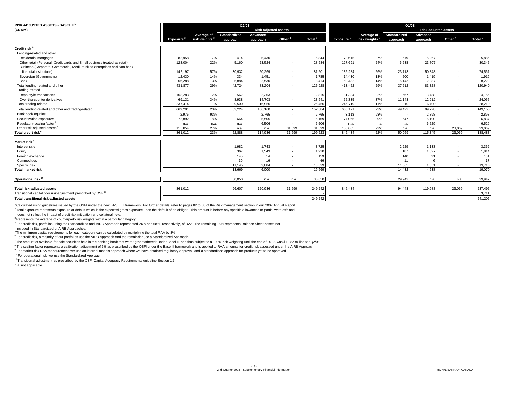| RISK-ADJUSTED ASSETS - BASEL II                                             |                       |                           | Q2/08               |                             |                          |                    |                       |                           | Q1/08               |                             |                    |                    |
|-----------------------------------------------------------------------------|-----------------------|---------------------------|---------------------|-----------------------------|--------------------------|--------------------|-----------------------|---------------------------|---------------------|-----------------------------|--------------------|--------------------|
| (C\$MM)                                                                     |                       |                           |                     | <b>Risk-adjusted assets</b> |                          |                    |                       |                           |                     | <b>Risk-adjusted assets</b> |                    |                    |
|                                                                             |                       | Average of                | <b>Standardized</b> | Advanced                    |                          |                    |                       | Average of                | <b>Standardized</b> | Advanced                    |                    | Total <sup>5</sup> |
|                                                                             | Exposure <sup>2</sup> | risk weights <sup>3</sup> | approach            | approach                    | Other <sup>4</sup>       | Total <sup>5</sup> | Exposure <sup>2</sup> | risk weights <sup>3</sup> | approach            | approach                    | Other <sup>4</sup> |                    |
| Credit risk <sup>6</sup>                                                    |                       |                           |                     |                             |                          |                    |                       |                           |                     |                             |                    |                    |
| Lending-related and other                                                   |                       |                           |                     |                             |                          |                    |                       |                           |                     |                             |                    |                    |
| Residential mortgages                                                       | 82.958                | 7%                        | 414                 | 5.430                       |                          | 5,844              | 78.615                | 7%                        | 619                 | 5.267                       | ٠                  | 5,886              |
| Other retail (Personal, Credit cards and Small business treated as retail)  | 128,004               | 22%                       | 5,160               | 23,524                      | $\blacksquare$           | 28,684             | 127,691               | 24%                       | 6,638               | 23,707                      | ٠                  | 30,345             |
| Business (Corporate, Commercial, Medium-sized enterprises and Non-bank      |                       |                           |                     |                             |                          |                    |                       |                           |                     |                             |                    |                    |
| financial institutions)                                                     | 142,197               | 57%                       | 30,932              | 50,269                      |                          | 81,201             | 132,284               | 56%                       | 23,713              | 50,848                      | ٠                  | 74,561             |
| Sovereign (Government)                                                      | 12.430                | 14%                       | 334                 | 1,451                       | $\overline{\phantom{a}}$ | 1,785              | 14,430                | 13%                       | 500                 | 1,419                       | ٠                  | 1,919              |
| Bank                                                                        | 66,288                | 13%                       | 5,884               | 2,530                       | . п.                     | 8,414              | 60,432                | 14%                       | 6,142               | 2,087                       | ٠                  | 8,229              |
| Total lending-related and other                                             | 431,877               | 29%                       | 42.724              | 83.204                      | $\sim$                   | 125,928            | 413,452               | 29%                       | 37.612              | 83.328                      | $\sim$             | 120,940            |
| Trading-related                                                             |                       |                           |                     |                             |                          |                    |                       |                           |                     |                             |                    |                    |
| Repo-style transactions                                                     | 168.283               | 2%                        | 562                 | 2,253                       |                          | 2,815              | 181,384               | 2%                        | 667                 | 3,488                       |                    | 4,155              |
| Over-the-counter derivatives                                                | 69.131                | 34%                       | 8.938               | 14.703                      | $\sim$                   | 23,641             | 65.335                | 37%                       | 11.143              | 12.912                      | ٠                  | 24,055             |
| Total trading-related                                                       | 237,414               | 11%                       | 9,500               | 16,956                      | $\sim$                   | 26,456             | 246,719               | 11%                       | 11,810              | 16,400                      | $\sim$             | 28,210             |
| Total lending-related and other and trading-related                         | 669,291               | 23%                       | 52,224              | 100,160                     | $\sim$                   | 152,384            | 660,171               | 23%                       | 49,422              | 99,728                      | ٠                  | 149,150            |
| Bank book equities                                                          | 2,975                 | 93%                       | $\sim$              | 2,765                       | $\blacksquare$           | 2,765              | 3,113                 | 93%                       | ٠.                  | 2,898                       | ٠                  | 2,898              |
| Securitization exposures                                                    | 72.892                | 8%                        | 664                 | 5.505                       |                          | 6,169              | 77,065                | 9%                        | 647                 | 6.190                       | ٠                  | 6,837              |
| Regulatory scaling factor <sup>8</sup>                                      | n.a.                  | n.a.                      | n.a.                | 6,506                       | $\sim$                   | 6,506              | n.a.                  | n.a.                      | n.a.                | 6,529                       | $\sim$             | 6,529              |
| Other risk-adjusted assets <sup>4</sup>                                     | 115,854               | 27%                       | n.a.                | n.a.                        | 31,699                   | 31,699             | 106,085               | 22%                       | n.a.                | n.a.                        | 23,069             | 23,069             |
| Total credit risk <sup>4</sup>                                              | 861,012               | 23%                       | 52.888              | 114,936                     | 31,699                   | 199,523            | 846,434               | 22%                       | 50.069              | 115,345                     | 23,069             | 188,483            |
| Market risk                                                                 |                       |                           |                     |                             |                          |                    |                       |                           |                     |                             |                    |                    |
| Interest rate                                                               |                       |                           | 1,982               | 1.743                       |                          | 3,725              |                       |                           | 2,229               | 1,133                       |                    | 3,362              |
| Equity                                                                      |                       |                           | 367                 | 1,543                       |                          | 1,910              |                       |                           | 187                 | 1,627                       | ٠                  | 1,814              |
| Foreign exchange                                                            |                       |                           | 145                 | 14                          | $\overline{\phantom{a}}$ | 159                |                       |                           | 140                 | 21                          | ٠                  | 161                |
| Commodities                                                                 |                       |                           | 30                  | 16                          | $\overline{\phantom{a}}$ | 46                 |                       |                           | 11                  |                             | ٠                  | 17                 |
| Specific risk                                                               |                       |                           | 11,145              | 2,684                       | $\sim$                   | 13,829             |                       |                           | 11,865              | 1,851                       | ٠                  | 13,716             |
| <b>Total market risk</b>                                                    |                       |                           | 13,669              | 6.000                       |                          | 19.669             |                       |                           | 14.432              | 4.638                       | $\sim$             | 19,070             |
|                                                                             |                       |                           |                     |                             |                          |                    |                       |                           |                     |                             |                    |                    |
| Operational risk <sup>10</sup>                                              |                       |                           | 30.050              | n.a.                        | n.a.                     | 30,050             |                       |                           | 29.942              | n.a.                        | n.a.               | 29,942             |
| Total risk-adjusted assets                                                  | 861,012               |                           | 96,607              | 120,936                     | 31,699                   | 249,242            | 846,434               |                           | 94,443              | 119,983                     | 23,069             | 237,495            |
| Transitional capital floor risk-adjustment prescribed by OSFI <sup>11</sup> |                       |                           |                     |                             |                          |                    |                       |                           |                     |                             |                    | 3,711              |
| Total transitional risk-adjusted assets                                     |                       |                           |                     |                             |                          | 249,242            |                       |                           |                     |                             |                    | 241,206            |

1 Calculated using guidelines issued by the OSFI under the new BASEL II framework. For further details, refer to pages 82 to 83 of the Risk management section in our 2007 Annual Report.

<sup>2</sup> Total exposure represents exposure at default which is the expected gross exposure upon the default of an obligor. This amount is before any specific allowances or partial write-offs and

does not reflect the impact of credit risk mitigation and collateral held.

<sup>3</sup> Represents the average of counterparty risk weights within a particular category.

4 For credit risk, portfolios using the Standardized and AIRB Approach represented 26% and 58%, respectively, of RAA. The remaining 16% represents Balance Sheet assets not

included in Standardized or AIRB Approaches.

<sup>5</sup> The minimum capital requirements for each category can be calculated by multiplying the total RAA by 8%

<sup>6</sup> For credit risk, a majority of our portfolios use the AIRB Approach and the remainder use a Standardized Approach.

7 The amount of available-for-sale securities held in the banking book that were "grandfathered" under Basel II, and thus subject to a 100% risk-weighting until the end of 2017, was \$1,282 million for Q2/08

<sup>8</sup> The scaling factor represents a calibration adjustment of 6% as prescribed by the OSFI under the Basel II framework and is applied to RAA amounts for credit risk assessed under the AIRB Approach

9 For market risk RAA measurement, we use an internal models approach where we have obtained regulatory approval, and a standardized approach for products yet to be approved

<sup>10</sup> For operational risk, we use the Standardized Approach

<sup>11</sup> Transitional adjustment as prescribed by the OSFI Capital Adequacy Requirements guideline Section 1.7

n.a. not applicable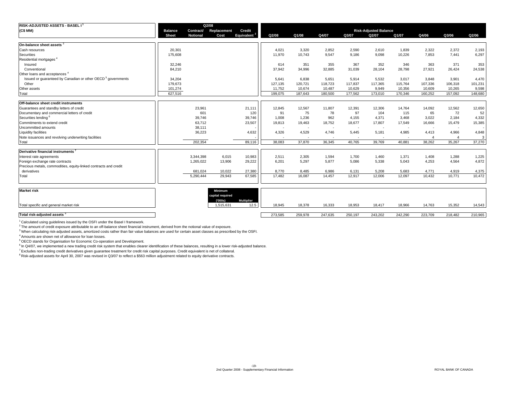| <b>RISK-ADJUSTED ASSETS - BASEL I<sup>1</sup></b>                       |                |                 | Q2/08       |                   |                          |         |         |                          |                              |         |         |                          |                |
|-------------------------------------------------------------------------|----------------|-----------------|-------------|-------------------|--------------------------|---------|---------|--------------------------|------------------------------|---------|---------|--------------------------|----------------|
| (C\$ MM)                                                                | <b>Balance</b> | Contract/       | Replacement | Credit            |                          |         |         |                          | <b>Risk-Adjusted Balance</b> |         |         |                          |                |
|                                                                         | <b>Sheet</b>   | <b>Notional</b> | Cost        | <b>Equivalent</b> | Q2/08                    | Q1/08   | Q4/07   | Q3/07                    | Q2/07                        | Q1/07   | Q4/06   | Q3/06                    | Q2/06          |
|                                                                         |                |                 |             |                   |                          |         |         |                          |                              |         |         |                          |                |
| On-balance sheet assets                                                 |                |                 |             |                   |                          |         |         |                          |                              |         |         |                          |                |
| Cash resources                                                          | 20,301         |                 |             |                   | 4.021                    | 3.320   | 2,852   | 2,590                    | 2,610                        | 1.839   | 2,322   | 2,372                    | 2,193          |
| Securities                                                              | 175.608        |                 |             |                   | 11.970                   | 10.743  | 9.547   | 9.186                    | 9.098                        | 10,226  | 7.853   | 7.441                    | 6,297          |
| Residential mortgages                                                   |                |                 |             |                   |                          |         |         |                          |                              |         |         |                          |                |
| Insured                                                                 | 32,246         |                 |             |                   | 614                      | 351     | 355     | 367                      | 352                          | 346     | 363     | 371                      | 353            |
| Conventional                                                            | 84,210         |                 |             |                   | 37,942                   | 34,996  | 32,885  | 31,039                   | 28,104                       | 28,798  | 27,921  | 26,424                   | 24,538         |
| Other loans and acceptances <sup>4</sup>                                |                |                 |             |                   |                          |         |         |                          |                              |         |         |                          |                |
| Issued or quaranteed by Canadian or other OECD <sup>5</sup> governments | 34,204         |                 |             |                   | 5,641                    | 6,838   | 5,651   | 5,914                    | 5,532                        | 3,017   | 3,848   | 3,901                    | 4,470          |
| Other                                                                   | 179,673        |                 |             |                   | 127,135                  | 120,721 | 118,723 | 117,837                  | 117,365                      | 115,764 | 107,336 | 106,318                  | 101,231        |
| Other assets                                                            | 101,274        |                 |             |                   | 11,752                   | 10,674  | 10,487  | 10,629                   | 9,949                        | 10,356  | 10,609  | 10,265                   | 9,598          |
| Total                                                                   | 627.516        |                 |             |                   | 199.075                  | 187.643 | 180.500 | 177.562                  | 173,010                      | 170.346 | 160,252 | 157.092                  | 148,680        |
| <b>Off-balance sheet credit instruments</b>                             |                |                 |             |                   |                          |         |         |                          |                              |         |         |                          |                |
| Guarantees and standby letters of credit                                |                | 23,961          |             | 21,111            | 12,845                   | 12,567  | 11,807  | 12,391                   | 12,306                       | 14,764  | 14,092  | 12,562                   | 12,650         |
| Documentary and commercial letters of credit                            |                | 601             |             | 120               | 91                       | 75      | 78      | 97                       | 104                          | 115     | 65      | 72                       | 52             |
| Securities lending <sup>6</sup>                                         |                | 39,746          |             | 39,746            | 1.008                    | 1.236   | 962     | 4.155                    | 4.371                        | 3.468   | 3.022   | 2,184                    | 4,332          |
| Commitments to extend credit                                            |                | 63,712          |             | 23,507            | 19,813                   | 19,463  | 18,752  | 18,677                   | 17,807                       | 17,549  | 16,666  | 15,479                   | 15,385         |
| Uncommitted amounts                                                     |                | 38,111          |             |                   | $\overline{\phantom{a}}$ |         |         | $\overline{\phantom{a}}$ | $\overline{\phantom{a}}$     |         |         | $\overline{\phantom{a}}$ | $\sim$         |
| <b>Liquidity facilities</b>                                             |                | 36,223          |             | 4,632             | 4,326                    | 4,529   | 4,746   | 5,445                    | 5,181                        | 4,985   | 4,413   | 4,966                    | 4,848          |
| Note issuances and revolving underwriting facilities                    |                |                 |             |                   |                          |         |         |                          | $\overline{\phantom{a}}$     |         |         |                          | 3 <sup>1</sup> |
| Total                                                                   |                | 202.354         |             | 89.116            | 38,083                   | 37,870  | 36,345  | 40.765                   | 39,769                       | 40.881  | 38,262  | 35,267                   | 37,270         |
|                                                                         |                |                 |             |                   |                          |         |         |                          |                              |         |         |                          |                |
| Derivative financial instruments                                        |                |                 |             |                   |                          |         |         |                          |                              |         |         |                          |                |
| Interest rate agreements                                                |                | 3,344,398       | 6,015       | 10,983            | 2,511                    | 2,305   | 1,594   | 1,700                    | 1,460                        | 1,371   | 1,408   | 1,288                    | 1,225          |
| Foreign exchange rate contracts                                         |                | 1,265,022       | 13,906      | 29,222            | 6,201                    | 5,297   | 5,877   | 5,086                    | 5,338                        | 5,043   | 4,253   | 4,564                    | 4,872          |
| Precious metals, commodities, equity-linked contracts and credit        |                |                 |             |                   |                          |         |         |                          |                              |         |         |                          |                |
| derivatives                                                             |                | 681,024         | 10,022      | 27,380            | 8,770                    | 8,485   | 6,986   | 6,131                    | 5,208                        | 5,683   | 4,771   | 4,919                    | 4,375          |
| Total                                                                   |                | 5,290,444       | 29,943      | 67,585            | 17,482                   | 16,087  | 14,457  | 12,917                   | 12,006                       | 12,097  | 10,432  | 10,771                   | 10,472         |
|                                                                         |                |                 |             |                   |                          |         |         |                          |                              |         |         |                          |                |

| <b>Market risk</b>                      | <b>Minimum</b><br>capital required |                    |         |         |         |         |         |         |         |         |         |
|-----------------------------------------|------------------------------------|--------------------|---------|---------|---------|---------|---------|---------|---------|---------|---------|
| Total specific and general market risk  | (000s)<br>,515,631                 | Multiplier<br>12.5 | 18,945  | 18,378  | 16,333  | 18,953  | 18,417  | 18,966  | 14,763  | 15,352  | 14,543  |
| Total risk-adjusted assets <sup>8</sup> |                                    |                    | 273,585 | 259,978 | 247,635 | 250,197 | 243,202 | 242.290 | 223,709 | 218,482 | 210,965 |

1 Calculated using guidelines issued by the OSFI under the Basel I framework.

 $2$  The amount of credit exposure attributable to an off-balance sheet financial instrument, derived from the notional value of exposure.

3 When calculating risk-adjusted assets, amortized costs rather than fair value balances are used for certain asset classes as prescribed by the OSFI.

4 Amounts are shown net of allowance for loan losses.

5 OECD stands for Organisation for Economic Co-operation and Development.

<sup>6</sup> In Q4/07, we implemented a new trading credit risk system that enables clearer identification of these balances, resulting in a lower risk-adjusted balance.

7 Excludes non-trading credit derivatives given guarantee treatment for credit risk capital purposes. Credit equivalent is net of collateral.

8 Risk-adjusted assets for April 30, 2007 was revised in Q3/07 to reflect a \$563 million adjustment related to equity derivative contracts.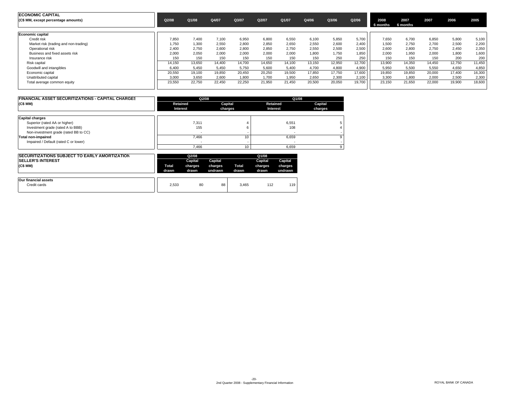| <b>ECONOMIC CAPITAL</b><br>(C\$ MM, except percentage amounts) | Q2/08  | Q1/08  | Q4/07  | Q3/07  | Q2/07  | Q1/07  | Q4/06  | Q3/06  | Q2/06  | 2008<br>6 months | 2007<br>6 months | 2007   | 2006   | 2005   |
|----------------------------------------------------------------|--------|--------|--------|--------|--------|--------|--------|--------|--------|------------------|------------------|--------|--------|--------|
| Economic capital                                               |        |        |        |        |        |        |        |        |        |                  |                  |        |        |        |
| Credit risk                                                    | 7,850  | 7.400  | 7.100  | 6,950  | 6,800  | 6,550  | 6.100  | 5,850  | 5.700  | 7.650            | 6.700            | 6,850  | 5,800  | 5,100  |
| Market risk (trading and non-trading)                          | 1,750  | 1.300  | 2,550  | 2,800  | 2,850  | 2,650  | 2,550  | 2,600  | 2.400  | 1,500            | 2,750            | 2,700  | 2,500  | 2,200  |
| Operational risk                                               | 2.400  | 2.750  | 2.600  | 2.800  | 2,850  | 2.750  | 2.550  | 2.500  | 2.500  | 2.600            | 2.800            | 2.750  | 2.450  | 2,350  |
| Business and fixed assets risk                                 | 2.000  | 2.050  | 2,000  | 2,000  | 2,000  | 2.000  | 1.800  | 1.750  | 1.850  | 2.000            | 1.950            | 2.000  | 1,800  | 1,600  |
| Insurance risk                                                 | 150    | 150    | 150    | 150    | 150    | 150    | 150    | 250    | 250    | 150              | 150              | 150    | 200    | 200    |
| Risk capital                                                   | 14,150 | 13.650 | 14,400 | 14,700 | 14,650 | 14,100 | 13,150 | 12,950 | 12,700 | 13,900           | 14,350           | 14,450 | 12,750 | 11,450 |
| Goodwill and intangibles                                       | 6.400  | 5.450  | 5,450  | 5,750  | 5,600  | 5,400  | 4,700  | 4,800  | 4.900  | 5,950            | 5,500            | 5,550  | 4,650  | 4,850  |
| Economic capital                                               | 20,550 | 19.100 | 19,850 | 20,450 | 20,250 | 19,500 | 17,850 | 17,750 | 17,600 | 19,850           | 19,850           | 20,000 | 17,400 | 16,300 |
| Unattributed capital                                           | 3.000  | 3.650  | 2.600  | 1.800  | 1.700  | 1.950  | 2.650  | 2.300  | 2.100  | 3.300            | 1.800            | 2.000  | 2.500  | 2.300  |
| Total average common equity                                    | 23,550 | 22,750 | 22,450 | 22,250 | 21,950 | 21,450 | 20,500 | 20,050 | 19,700 | 23,150           | 21,650           | 22,000 | 19,900 | 18,600 |

| <b>FINANCIAL ASSET SECURITIZATIONS - CAPITAL CHARGES</b> | Q2/08    |         | Q1/08    |         |
|----------------------------------------------------------|----------|---------|----------|---------|
| (C\$MM)                                                  | Retained | Capital | Retained | Capital |
|                                                          | Interest | charges | Interest | charges |
| <b>Capital charges</b>                                   |          |         |          |         |
| Superior (rated AA or higher)                            | 7,311    |         | 6,551    |         |
| Investment grade (rated A to BBB)                        | 155      |         | 108      |         |
| Non-investment grade (rated BB to CC)                    |          |         |          |         |
| Total non-impaired                                       | 7.466    | 10      | 6.659    |         |
| Impaired / Default (rated C or lower)                    |          |         |          |         |
|                                                          | 7.466    | 10      | 6.659    |         |

| <b>ISECURITIZATIONS SUBJECT TO EARLY AMORTIZATION</b><br><b>SELLER'S INTEREST</b><br>(C\$MM) | <b>Total</b><br>drawn | Q2/08<br>Capital<br>charges<br>drawn | Capital<br>charges<br>undrawn | Total<br>drawn | Q1/08<br>Capital<br>charges<br>drawn | Capital<br>charges<br>undrawn |
|----------------------------------------------------------------------------------------------|-----------------------|--------------------------------------|-------------------------------|----------------|--------------------------------------|-------------------------------|
| Our financial assets<br>Credit cards                                                         | 2.533                 | 80                                   | 88                            | 3.465          | 112                                  | 119                           |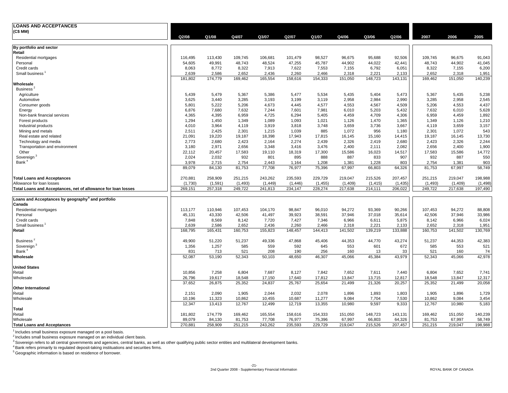| <b>LOANS AND ACCEPTANCES</b>                                  |                 |                |                 |                |                |              |                 |              |                 |                 |                 |               |
|---------------------------------------------------------------|-----------------|----------------|-----------------|----------------|----------------|--------------|-----------------|--------------|-----------------|-----------------|-----------------|---------------|
| (C\$ MM)                                                      |                 |                |                 |                |                |              |                 |              |                 |                 |                 |               |
|                                                               | Q2/08           | Q1/08          | Q4/07           | Q3/07          | Q2/07          | Q1/07        | Q4/06           | Q3/06        | Q2/06           | 2007            | 2006            | 2005          |
|                                                               |                 |                |                 |                |                |              |                 |              |                 |                 |                 |               |
| By portfolio and sector<br>Retail                             |                 |                |                 |                |                |              |                 |              |                 |                 |                 |               |
| Residential mortgages                                         | 116.495         | 113.430        | 109.745         | 106,681        | 101,479        | 98,527       | 96,675          | 95,688       | 92,506          | 109.745         | 96,675          | 91,043        |
| Personal                                                      | 54,605          | 49,991         | 48,743          | 48,524         | 47,255         | 45,787       | 44,902          | 44,022       | 42,441          | 48,743          | 44,902          | 41,045        |
| Credit cards                                                  | 8,063           | 8,772          | 8,322           | 7,913          | 7,622          | 7,553        | 7,155           | 6,792        | 6,051           | 8,322           | 7,155           | 6,200         |
| Small business                                                | 2,639           | 2,586          | 2,652           | 2,436          | 2,260          | 2,466        | 2,318           | 2,221        | 2,133           | 2,652           | 2,318           | 1,951         |
|                                                               | 181,802         | 174,779        | 169,462         | 165,554        | 158,616        | 154,333      | 151,050         | 148,723      | 143,131         | 169,462         | 151,050         | 140,239       |
| Wholesale                                                     |                 |                |                 |                |                |              |                 |              |                 |                 |                 |               |
| Business <sup>2</sup>                                         |                 |                |                 |                |                |              |                 |              |                 |                 |                 |               |
| Agriculture                                                   | 5,439           | 5,479          | 5,367           | 5,386          | 5,477          | 5,534        | 5,435           | 5,404        | 5,473           | 5,367           | 5,435           | 5,238         |
| Automotive                                                    | 3,625           | 3,440          | 3,285           | 3,193          | 3,199          | 3,119        | 2,958           | 2,984        | 2,990           | 3,285           | 2,958           | 2,545         |
| Consumer goods                                                | 5,801           | 5,222          | 5,206           | 4,673          | 4,445          | 4,577        | 4,553           | 4,567        | 4,509           | 5,206           | 4,553           | 4,437         |
| Energy                                                        | 6,876           | 7,680          | 7,632           | 7,244          | 7,601          | 7,981        | 6,010           | 5,203        | 5,432           | 7,632           | 6,010           | 5,628         |
| Non-bank financial services                                   | 4,365           | 4,395          | 6,959           | 4,725          | 6,294          | 5,405        | 4,459           | 4,709        | 4,306           | 6,959           | 4,459           | 1,892         |
| Forest products                                               | 1,294           | 1.450          | 1.349           | 1.089          | 1.093          | 1.021        | 1,126           | 1.470        | 1,365           | 1.349           | 1.126           | 1,210         |
| Industrial products                                           | 4,010           | 3,964<br>2,425 | 4,119           | 3,919<br>1,215 | 3,818<br>1,039 | 3,748<br>885 | 3,659           | 3,736<br>956 | 3,667           | 4,119           | 3,659           | 3,157         |
| Mining and metals<br>Real estate and related                  | 2,511<br>21,091 | 19,220         | 2,301<br>19,187 | 18,398         | 17,943         | 17,815       | 1,072<br>16,145 | 15,160       | 1,180<br>14,415 | 2,301<br>19,187 | 1,072<br>16,145 | 543<br>13,730 |
| Technology and media                                          | 2,773           | 2,680          | 2,423           | 2,164          | 2,274          | 2,439        | 2,326           | 2,419        | 2,680           | 2,423           | 2,326           | 2,244         |
| Transportation and environment                                | 3,180           | 2,971          | 2,656           | 3,348          | 3,416          | 3,476        | 2,400           | 2,111        | 2,082           | 2,656           | 2,400           | 1,900         |
| Other                                                         | 22,112          | 20,457         | 17,583          | 19,110         | 18,319         | 17,300       | 15,586          | 16,023       | 14,517          | 17,583          | 15,586          | 14,772        |
| Sovereign <sup>3</sup>                                        | 2,024           | 2,032          | 932             | 801            | 895            | 888          | 887             | 833          | 907             | 932             | 887             | 550           |
| Bank <sup>4</sup>                                             | 3,978           | 2.715          | 2.754           | 2.443          | 1.164          | 1,208        | 1,381           | 1,228        | 803             | 2,754           | 1,381           | 903           |
|                                                               | 89,079          | 84,130         | 81,753          | 77,708         | 76,977         | 75,396       | 67,997          | 66,803       | 64,326          | 81,753          | 67,997          | 58,749        |
|                                                               |                 |                |                 |                |                |              |                 |              |                 |                 |                 |               |
| <b>Total Loans and Acceptances</b>                            | 270,881         | 258,909        | 251,215         | 243,262        | 235,593        | 229,729      | 219,047         | 215,526      | 207,457         | 251,215         | 219,047         | 198,988       |
| Allowance for loan losses                                     | (1,730)         | (1,591)        | (1, 493)        | (1, 449)       | (1, 446)       | (1, 455)     | (1,409)         | (1, 415)     | (1, 435)        | (1, 493)        | (1,409)         | (1, 498)      |
| Total Loans and Acceptances, net of allowance for loan losses | 269,151         | 257,318        | 249,722         | 241,813        | 234,147        | 228,274      | 217,638         | 214,111      | 206,022         | 249,722         | 217,638         | 197,490       |
|                                                               |                 |                |                 |                |                |              |                 |              |                 |                 |                 |               |
| Loans and Acceptances by geography <sup>5</sup> and portfolio |                 |                |                 |                |                |              |                 |              |                 |                 |                 |               |
| Canada                                                        |                 |                |                 |                |                |              |                 |              |                 |                 |                 |               |
| Residential mortgages                                         | 113,177         | 110,946        | 107,453         | 104,170        | 98,847         | 96,010       | 94,272          | 93,369       | 90,266          | 107,453         | 94,272          | 88,808        |
| Personal                                                      | 45,131          | 43,330         | 42,506          | 41,497         | 39,923         | 38,591       | 37,946          | 37,018       | 35,614          | 42,506          | 37,946          | 33,986        |
| Credit cards                                                  | 7,848           | 8,569          | 8,142           | 7,720          | 7,427          | 7,346        | 6,966           | 6,611        | 5,875           | 8,142           | 6,966           | 6,024         |
| Small business <sup>1</sup>                                   | 2,639           | 2,586          | 2,652           | 2,436          | 2,260          | 2,466        | 2,318           | 2,221        | 2,133           | 2,652           | 2,318           | 1,951         |
| Retail                                                        | 168,795         | 165,431        | 160,753         | 155,823        | 148,457        | 144,413      | 141,502         | 139,219      | 133,888         | 160,753         | 141,502         | 130,769       |
|                                                               |                 |                |                 |                |                |              |                 |              |                 |                 |                 |               |
| Business <sup>2</sup>                                         | 49,900          | 51,220         | 51,237          | 49,336         | 47,868         | 45,406       | 44,353          | 44,770       | 43,274          | 51,237          | 44,353          | 42,383        |
| Sovereign <sup>3</sup>                                        | 1,356           | 1,257          | 585             | 559            | 592            | 645          | 553             | 601          | 672             | 585             | 553             | 521           |
| Bank <sup>4</sup>                                             | 831             | 713            | 521             | 208            | 190            | 256          | 160             | 13           | 33              | 521             | 160             | 74            |
| Wholesale                                                     | 52,087          | 53,190         | 52,343          | 50,103         | 48,650         | 46,307       | 45,066          | 45,384       | 43,979          | 52,343          | 45,066          | 42,978        |
|                                                               |                 |                |                 |                |                |              |                 |              |                 |                 |                 |               |
| <b>United States</b><br>Retail                                | 10,856          | 7,258          | 6,804           | 7,687          | 8,127          | 7,842        | 7,652           | 7,611        | 7,440           | 6,804           | 7,652           | 7,741         |
| Wholesale                                                     | 26,796          | 19,617         | 18,548          | 17,150         | 17,640         | 17,812       | 13,847          | 13,715       | 12,817          | 18,548          | 13,847          | 12,317        |
|                                                               | 37,652          | 26,875         | 25,352          | 24,837         | 25,767         | 25,654       | 21,499          | 21,326       | 20,257          | 25,352          | 21,499          | 20,058        |
| <b>Other International</b>                                    |                 |                |                 |                |                |              |                 |              |                 |                 |                 |               |
| Retail                                                        | 2,151           | 2,090          | 1,905           | 2,044          | 2,032          | 2,078        | 1,896           | 1,893        | 1,803           | 1,905           | 1,896           | 1,729         |
| Wholesale                                                     | 10,196          | 11,323         | 10,862          | 10,455         | 10,687         | 11,277       | 9,084           | 7,704        | 7,530           | 10,862          | 9,084           | 3,454         |
|                                                               | 12,347          | 13,413         | 12,767          | 12,499         | 12,719         | 13,355       | 10,980          | 9,597        | 9,333           | 12,767          | 10,980          | 5,183         |
| Total                                                         |                 |                |                 |                |                |              |                 |              |                 |                 |                 |               |
| Retail                                                        | 181,802         | 174,779        | 169,462         | 165,554        | 158,616        | 154,333      | 151,050         | 148,723      | 143,131         | 169,462         | 151,050         | 140,239       |
| Wholesale                                                     | 89,079          | 84,130         | 81,753          | 77,708         | 76,977         | 75,396       | 67,997          | 66,803       | 64,326          | 81,753          | 67,997          | 58,749        |
| <b>Total Loans and Acceptances</b>                            | 270,881         | 258,909        | 251,215         | 243,262        | 235,593        | 229,729      | 219,047         | 215,526      | 207,457         | 251,215         | 219,047         | 198,988       |

<sup>1</sup> Includes small business exposure managed on a pool basis.<br><sup>2</sup> Includes small business exposure managed on an individual client basis.<br><sup>3</sup> Sovereign refers to all central governments and agencies, central banks, as well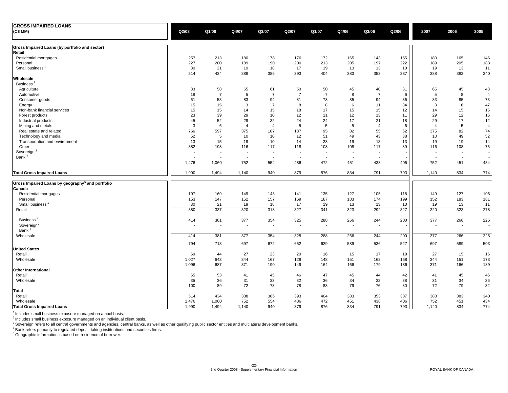| <b>GROSS IMPAIRED LOANS</b>                                  |                          |                          |                          |                          |                          |                          |                          |                          |                          |                          |                          |                |
|--------------------------------------------------------------|--------------------------|--------------------------|--------------------------|--------------------------|--------------------------|--------------------------|--------------------------|--------------------------|--------------------------|--------------------------|--------------------------|----------------|
| (C\$ MM)                                                     | Q2/08                    | Q1/08                    | Q4/07                    | Q3/07                    | Q2/07                    | Q1/07                    | Q4/06                    | Q3/06                    | Q2/06                    | 2007                     | 2006                     | 2005           |
| Gross Impaired Loans (by portfolio and sector)               |                          |                          |                          |                          |                          |                          |                          |                          |                          |                          |                          |                |
| Retail                                                       |                          |                          |                          |                          |                          |                          |                          |                          |                          |                          |                          |                |
| Residential mortgages                                        | 257                      | 213                      | 180                      | 178                      | 176                      | 172                      | 165                      | 143                      | 155                      | 180                      | 165                      | 146            |
| Personal                                                     | 227                      | 200                      | 189                      | 190                      | 200                      | 213                      | 205                      | 197                      | 222                      | 189                      | 205                      | 183            |
| Small business <sup>1</sup>                                  | 30                       | 21                       | 19                       | 18                       | 17                       | 19                       | 13                       | 13                       | 10                       | 19                       | 13                       | 11             |
| Wholesale                                                    | 514                      | 434                      | 388                      | 386                      | 393                      | 404                      | 383                      | 353                      | 387                      | 388                      | 383                      | 340            |
| Business <sup>2</sup>                                        |                          |                          |                          |                          |                          |                          |                          |                          |                          |                          |                          |                |
| Agriculture                                                  | 83                       | 58                       | 65                       | 61                       | 50                       | 50                       | 45                       | 40                       | 31                       | 65                       | 45                       | 48             |
| Automotive                                                   | 18                       | $\overline{7}$           | 5                        | $\overline{7}$           | $\overline{7}$           | $\overline{7}$           | 8                        | $\overline{7}$           | 6                        | 5                        | 8                        | $\overline{4}$ |
| Consumer goods                                               | 61                       | 53                       | 83                       | 94                       | 81                       | 73                       | 85                       | 94                       | 86                       | 83                       | 85                       | 73             |
| Energy                                                       | 15                       | 15                       | 3                        | $\overline{7}$           | 8                        | 8                        | 6                        | 11                       | 34                       | 3                        | 6                        | 47             |
| Non-bank financial services                                  | 15                       | 15                       | 14                       | 15                       | 18                       | 17                       | 15                       | 15                       | 12                       | 14                       | 15                       | 15             |
| Forest products                                              | 23                       | 39                       | 29                       | 10                       | 12                       | 11                       | 12                       | 13                       | 11                       | 29                       | 12                       | 16             |
| Industrial products                                          | 45                       | 52                       | 29                       | 32                       | 24                       | 24                       | 17                       | 21                       | 18                       | 29                       | 17                       | 12             |
| Mining and metals                                            | 3                        | 6                        | $\overline{4}$           | $\overline{4}$           | 5                        | 5                        | 5                        | $\overline{4}$           | 6                        | $\overline{4}$           | 5                        | $\overline{4}$ |
| Real estate and related                                      | 766                      | 597                      | 375                      | 187                      | 137                      | 95                       | 82                       | 55                       | 62                       | 375                      | 82                       | 74             |
| Technology and media                                         | 52                       | 5                        | 10                       | 10                       | 12                       | 51                       | 49                       | 43                       | 38                       | 10                       | 49                       | 52             |
| Transportation and environment                               | 13                       | 15                       | 19                       | 10                       | 14                       | 23                       | 19                       | 18                       | 13                       | 19                       | 19                       | 14             |
| Other                                                        | 382                      | 198                      | 116                      | 117                      | 118                      | 108                      | 108                      | 117                      | 89                       | 116                      | 108                      | 75             |
| Sovereign <sup>3</sup>                                       | $\overline{\phantom{a}}$ | $\overline{\phantom{a}}$ | $\overline{\phantom{a}}$ | $\overline{\phantom{a}}$ | $\overline{\phantom{a}}$ | $\overline{\phantom{a}}$ | $\overline{\phantom{a}}$ | $\overline{\phantom{a}}$ |                          | $\overline{a}$           |                          |                |
| Bank <sup>4</sup>                                            |                          | $\overline{\phantom{a}}$ | $\overline{\phantom{a}}$ | $\overline{\phantom{a}}$ | $\overline{\phantom{a}}$ | $\blacksquare$           | $\blacksquare$           | $\sim$                   |                          |                          | $\overline{\phantom{a}}$ |                |
|                                                              | 1,476                    | 1,060                    | 752                      | 554                      | 486                      | 472                      | 451                      | 438                      | 406                      | 752                      | 451                      | 434            |
| <b>Total Gross Impaired Loans</b>                            | 1,990                    | 1,494                    | 1,140                    | 940                      | 879                      | 876                      | 834                      | 791                      | 793                      | 1,140                    | 834                      | 774            |
| Gross Impaired Loans by geography <sup>5</sup> and portfolio |                          |                          |                          |                          |                          |                          |                          |                          |                          |                          |                          |                |
| Canada                                                       |                          |                          |                          |                          |                          |                          |                          |                          |                          |                          |                          |                |
| Residential mortgages                                        | 197                      | 169                      | 149                      | 143                      | 141                      | 135                      | 127                      | 105                      | 118                      | 149                      | 127                      | 106            |
| Personal<br>Small business <sup>1</sup>                      | 153                      | 147                      | 152                      | 157                      | 169                      | 187                      | 183                      | 174                      | 199                      | 152                      | 183                      | 161            |
| Retail                                                       | 30<br>380                | 21<br>337                | 19<br>320                | 18<br>318                | 17<br>327                | 19<br>341                | 13<br>323                | 13<br>292                | 10<br>327                | 19<br>320                | 13<br>323                | 11<br>278      |
|                                                              |                          |                          |                          |                          |                          |                          |                          |                          |                          |                          |                          |                |
| Business <sup>2</sup>                                        | 414                      | 381                      | 377                      | 354                      | 325                      | 288                      | 266                      | 244                      | 200                      | 377                      | 266                      | 225            |
| Sovereign <sup>3</sup>                                       | $\overline{\phantom{a}}$ | $\overline{\phantom{a}}$ | $\overline{\phantom{a}}$ | $\sim$                   | $\sim$                   | $\blacksquare$           | $\blacksquare$           | $\overline{\phantom{a}}$ | $\overline{\phantom{a}}$ | $\overline{\phantom{a}}$ | $\overline{\phantom{a}}$ |                |
| Bank <sup>4</sup>                                            |                          | $\overline{a}$           | $\sim$                   | $\overline{a}$           | $\overline{\phantom{a}}$ | $\overline{\phantom{a}}$ | $\sim$                   | $\overline{a}$           |                          |                          | $\sim$                   |                |
| Wholesale                                                    | 414                      | 381                      | 377                      | 354                      | 325                      | 288                      | 266                      | 244                      | 200                      | 377                      | 266                      | 225            |
|                                                              | 794                      | 718                      | 697                      | 672                      | 652                      | 629                      | 589                      | 536                      | 527                      | 697                      | 589                      | 503            |
| <b>United States</b>                                         |                          |                          |                          |                          |                          |                          |                          |                          |                          |                          |                          |                |
| Retail                                                       | 69                       | 44                       | 27                       | 23                       | 20                       | 16                       | 15                       | 17                       | 18                       | 27                       | 15                       | 16             |
| Wholesale                                                    | 1,027                    | 643                      | 344                      | 167                      | 129                      | 148                      | 151                      | 162                      | 168                      | 344                      | 151                      | 173            |
|                                                              | 1,096                    | 687                      | 371                      | 190                      | 149                      | 164                      | 166                      | 179                      | 186                      | 371                      | 166                      | 189            |
| Other International                                          |                          |                          |                          |                          |                          |                          |                          |                          |                          |                          |                          |                |
| Retail                                                       | 65                       | 53                       | 41                       | 45                       | 46                       | 47                       | 45                       | 44                       | 42                       | 41                       | 45                       | 46             |
| Wholesale                                                    | 35<br>100                | 36<br>89                 | 31<br>72                 | 33<br>78                 | 32<br>78                 | 36<br>83                 | 34<br>79                 | 32<br>76                 | 38<br>80                 | 31<br>72                 | 34<br>79                 | 36             |
|                                                              |                          |                          |                          |                          |                          |                          |                          |                          |                          |                          |                          | 82             |
| ⊺otal<br>Retail                                              | 514                      | 434                      | 388                      | 386                      | 393                      | 404                      | 383                      | 353                      | 387                      | 388                      | 383                      | 340            |
| Wholesale                                                    | 1,476                    | 1,060                    | 752                      | 554                      | 486                      | 472                      | 451                      | 438                      | 406                      | 752                      | 451                      | 434            |
| <b>Total Gross Impaired Loans</b>                            | 1,990                    | 1,494                    | 1,140                    | 940                      | 879                      | 876                      | 834                      | 791                      | 793                      | 1,140                    | 834                      | 774            |
|                                                              |                          |                          |                          |                          |                          |                          |                          |                          |                          |                          |                          |                |

<sup>1</sup> Includes small business exposure managed on a pool basis.<br><sup>2</sup> Includes small business exposure managed on an individual client basis.

<sup>3</sup> Sovereign refers to all central governments and agencies, central banks, as well as other qualifying public sector entities and multilateral development banks.

<sup>4</sup> Bank refers primarily to regulated deposit-taking instituations and securities firms.<br><sup>5</sup> Geographic information is based on residence of borrower.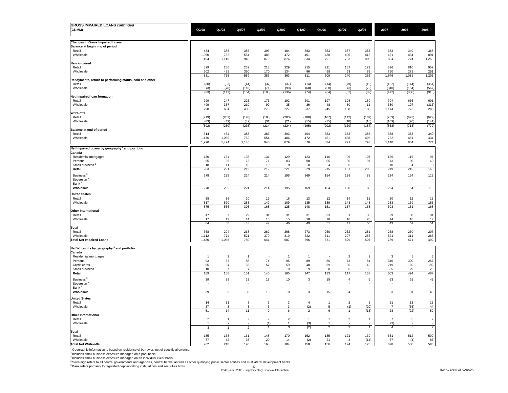| <b>GROSS IMPAIRED LOANS continued</b>                                    |                              |                         |                          |                |                |                     |                |                      |                  |                |                |                |
|--------------------------------------------------------------------------|------------------------------|-------------------------|--------------------------|----------------|----------------|---------------------|----------------|----------------------|------------------|----------------|----------------|----------------|
| (C\$ MM)                                                                 | Q2/08                        | Q1/08                   | Q4/07                    | Q3/07          | Q2/07          | Q1/07               | Q4/06          | Q3/06                | Q2/06            | 2007           | 2006           | 2005           |
|                                                                          |                              |                         |                          |                |                |                     |                |                      |                  |                |                |                |
|                                                                          |                              |                         |                          |                |                |                     |                |                      |                  |                |                |                |
| <b>Changes in Gross Impaired Loans</b><br>Balance at beginning of period |                              |                         |                          |                |                |                     |                |                      |                  |                |                |                |
| Retail                                                                   | 434                          | 388                     | 386                      | 393            | 404            | 383                 | 353            | 387                  | 387              | 383            | 340            | 368            |
| Wholesale                                                                | 1,060                        | 752                     | 554                      | 486            | 472            | 451                 | 438            | 406                  | 413              | 451            | 434            | 891            |
|                                                                          | 1,494                        | 1,140                   | 940                      | 879            | 876            | 834                 | 791            | 793                  | 800              | 834            | 774            | 1,259          |
| New impaired                                                             |                              |                         |                          |                |                |                     |                |                      |                  |                |                |                |
| Retail                                                                   | 329                          | 280                     | 239                      | 213            | 229            | 215                 | 211            | 187                  | 179              | 896            | 810            | 952            |
| Wholesale                                                                | 502<br>831                   | 435<br>715              | 350<br>589               | 170<br>383     | 134<br>363     | 96<br>311           | 98<br>309      | 53<br>240            | 83<br>262        | 750<br>1,646   | 271<br>1,081   | 251<br>1,203   |
| Repayments, return to performing status, sold and other                  |                              |                         |                          |                |                |                     |                |                      |                  |                |                |                |
| Retail                                                                   | (30)                         | (33)                    | (44)                     | (37)           | (37)           | (14)                | (14)           | (79)                 | (10)             | (132)          | (144)          | (351)          |
| Wholesale                                                                | (3)                          | (78)                    | (110)                    | (71)           | (99)           | (60)                | (50)           | (3)                  | (72)             | (340)          | (164)          | (567)          |
|                                                                          | (33)                         | (111)                   | (154)                    | (108)          | (136)          | (74)                | (64)           | (82)                 | (82)             | (472)          | (308)          | (918)          |
| Net impaired loan formation                                              |                              |                         |                          |                |                |                     |                |                      |                  |                |                |                |
| Retail<br>Wholesale                                                      | 299<br>499                   | 247<br>357              | 225<br>210               | 176<br>99      | 192<br>35      | 201<br>36           | 197<br>48      | 108<br>50            | 169<br>11        | 794<br>380     | 666<br>107     | 601<br>(316)   |
|                                                                          | 798                          | 604                     | 435                      | 275            | 227            | 237                 | 245            | 158                  | 180              | 1,174          | 773            | 285            |
| Write-offs                                                               |                              |                         |                          |                |                |                     |                |                      |                  |                |                |                |
| Retail                                                                   | (219)                        | (201)                   | (193)                    | (183)          | (203)          | (180)               | (167)          | (142)                | (169)            | (759)          | (623)          | (629)          |
| Wholesale                                                                | (83)                         | (49)                    | (42)                     | (31)           | (21)           | (15)                | (35)           | (18)                 | (18)             | (109)          | (90)           | (141)          |
|                                                                          | (302)                        | (250)                   | (235)                    | (214)          | (224)          | (195)               | (202)          | (160)                | (187)            | (868)          | (713)          | (770)          |
| Balance at end of period                                                 |                              |                         |                          |                |                |                     |                |                      |                  |                |                | 340            |
| Retail<br>Wholesale                                                      | 514<br>1,476                 | 434<br>1,060            | 388<br>752               | 386<br>554     | 393<br>486     | 404<br>472          | 383<br>451     | 353<br>438           | 387<br>406       | 388<br>752     | 383<br>451     | 434            |
|                                                                          | 1,990                        | 1,494                   | 1,140                    | 940            | 879            | 876                 | 834            | 791                  | 793              | 1,140          | 834            | 774            |
|                                                                          |                              |                         |                          |                |                |                     |                |                      |                  |                |                |                |
| Net Impaired Loans by geography <sup>1</sup> and portfolio<br>Canada     |                              |                         |                          |                |                |                     |                |                      |                  |                |                |                |
| Residential mortgages                                                    | 180                          | 154                     | 136                      | 131            | 129            | 123                 | 116            | 96                   | 107              | 136            | 116            | 97             |
| Personal                                                                 | 65                           | 56                      | 73                       | 71             | 83             | 98                  | 95             | 86                   | 97               | 73             | 95             | 60             |
| Small business <sup>2</sup>                                              | 18                           | 11                      | 10                       | 10             | 9              | 8                   | $\overline{4}$ | 5                    | $\overline{2}$   | 10             | $\overline{a}$ | 3              |
| Retail                                                                   | 263                          | 221                     | 219                      | 212            | 221            | 229                 | 215            | 187                  | 206              | 219            | 215            | 160            |
| Business <sup>3</sup>                                                    | 278                          | 235                     | 224                      | 214            | 195            | 169                 | 154            | 138                  | 88               | 224            | 154            | 113            |
| Sovereign <sup>'</sup>                                                   |                              |                         | ÷,                       |                | ٠              |                     | ÷              |                      |                  |                | ÷              |                |
| Bank <sup>5</sup>                                                        |                              |                         |                          |                |                |                     |                |                      |                  |                |                |                |
| Wholesale                                                                | 278                          | 235                     | 224                      | 214            | 195            | 169                 | 154            | 138                  | 88               | 224            | 154            | 113            |
| <b>United States</b>                                                     |                              |                         |                          |                |                |                     |                |                      |                  |                |                |                |
| Retail                                                                   | 58                           | 36                      | 20                       | 19             | 16             | 13                  | 12             | 14                   | 15               | 20             | 12             | $13\,$         |
| Wholesale                                                                | 817                          | 520                     | 283                      | 149            | 109            | 135                 | 139            | 143                  | 148              | 283            | 139            | 155            |
|                                                                          | 875                          | 556                     | 303                      | 168            | 125            | 148                 | 151            | 157                  | 163              | 303            | 151            | 168            |
| <b>Other International</b>                                               |                              |                         |                          |                |                |                     |                |                      |                  |                |                |                |
| Retail                                                                   | 47                           | 37                      | 29                       | 31             | 31             | 31                  | 33             | 31                   | 30               | 29             | 33             | 34             |
| Wholesale                                                                | 17<br>64                     | 19<br>56                | 14<br>43                 | 16<br>47       | 15<br>46       | 18<br>49            | 18<br>51       | 16<br>47             | 20<br>50         | 14<br>43       | 18<br>51       | 17<br>51       |
| Total                                                                    |                              |                         |                          |                |                |                     |                |                      |                  |                |                |                |
| Retail                                                                   | 368                          | 294                     | 268                      | 262            | 268            | 273                 | 260            | 232                  | 251              | 268            | 260            | 207            |
| Wholesale                                                                | 1,112                        | 774                     | 521                      | 379            | 319            | 322                 | 311            | 297                  | 256              | 521            | 311            | 285            |
| <b>Total Net Impaired Loans</b>                                          | 1,480                        | 1,068                   | 789                      | 641            | 587            | 595                 | 571            | 529                  | 507              | 789            | 571            | 492            |
|                                                                          |                              |                         |                          |                |                |                     |                |                      |                  |                |                |                |
| Net Write-offs by geography <sup>1</sup> and portfolio                   |                              |                         |                          |                |                |                     |                |                      |                  |                |                |                |
| Canada<br>Residential mortgages                                          | $\overline{1}$               | $\overline{\mathbf{c}}$ | $\overline{1}$           |                | $\overline{1}$ | $\overline{1}$      |                | $\overline{2}$       | $\overline{2}$   | 3              | 5              | $\mathbf{3}$   |
| Personal                                                                 | 93                           | 83                      | 88                       | ${\bf 74}$     | 95             | 89                  | 86             | $73\,$               | 81               | 346            | 300            | 267            |
| Credit cards                                                             | 65                           | 64                      | 55                       | 57             | 59             | 48                  | 39             | 36                   | 42               | 219            | 160            | 192            |
| Small business <sup>2</sup>                                              | 10                           | $\overline{7}$          | $\overline{7}$           | 9              | 10             | 9                   | 8              | 6                    | 8                | 35             | 29             | 25             |
| Retail                                                                   | 169                          | 156                     | 151                      | 140            | 165            | 147                 | 133            | 117                  | 133              | 603            | 494            | 487            |
| Business <sup>3</sup>                                                    | 39                           | 39                      | 32                       | 18             | 10             | 3                   | 15             | $\overline{4}$       | $\,6\,$          | 63             | 31             | 43             |
| Sovereign <sup>'</sup>                                                   |                              |                         | $\overline{\phantom{a}}$ |                |                |                     |                |                      |                  |                | L.             |                |
| Bank <sup>5</sup>                                                        |                              |                         |                          |                |                |                     |                |                      |                  |                |                |                |
| Wholesale                                                                | 39                           | 39                      | 32                       | $18\,$         | 10             | 3                   | 15             | $\overline{4}$       | $\boldsymbol{6}$ | 63             | 31             | 43             |
| <b>United States</b>                                                     |                              |                         |                          |                |                |                     |                |                      |                  |                |                |                |
| Retail                                                                   | 14                           | 11                      | 8                        | 6              | $\mathbf{3}$   | $\overline{4}$      | $\mathbf{1}$   | $\overline{2}$       | 5                | 21             | 13             | 15             |
| Wholesale                                                                | 37                           | 3                       | 3                        | 3              | 3              | (2)                 | $\sqrt{5}$     | (1)                  | (20)             | $\overline{7}$ | (35)           | 44             |
|                                                                          | 51                           | 14                      | 11                       | 9              | $\,6\,$        | $\overline{2}$      | $\,6\,$        | $\ddot{\phantom{0}}$ | (15)             | 28             | (22)           | 59             |
| Other International                                                      |                              |                         |                          | $\overline{2}$ | $\overline{2}$ |                     | $\overline{1}$ |                      | $\overline{1}$   | $\overline{7}$ |                |                |
| Retail<br>Wholesale                                                      | $\overline{\mathbf{c}}$<br>1 | $\mathbf{1}$            | $\overline{\mathbf{c}}$  | (1)            | $\overline{1}$ | $\mathbf{1}$<br>(3) | $\overline{1}$ | $\mathbf 2$          |                  | (3)            | $\sqrt{5}$     | $\overline{7}$ |
|                                                                          | $\mathbf{3}$                 | $\overline{1}$          | $\overline{2}$           | $\overline{1}$ | 3              | (2)                 | $\overline{2}$ | $\overline{2}$       | $\mathbf{1}$     | 4              | 5              | $\overline{7}$ |
| Total                                                                    |                              |                         |                          |                |                |                     |                |                      |                  |                |                |                |
| Retail                                                                   | 185                          | 168                     | 161                      | 148            | 170            | 152                 | 135            | 121                  | 139              | 631            | 512            | 509            |
| Wholesale                                                                | 77                           | 42                      | 35                       | 20             | 14             | (2)                 | 21             | 3                    | (14)             | 67             | (4)            | 87             |
| <b>Total Net Write-offs</b>                                              | 262                          | 210                     | 196                      | 168            | 184            | 150                 | 156            | 124                  | 125              | 698            | 508            | 596            |

 $1$  Geographic information is based on residence of borrower, net of specific allowance.

<sup>2</sup> Includes small business exposure managed on a pool basis.<br><sup>9</sup> Includes small business exposure managed on an individual client basis.<br><sup>4</sup> Sovereign refers to all central governments and agencies, central banks, as well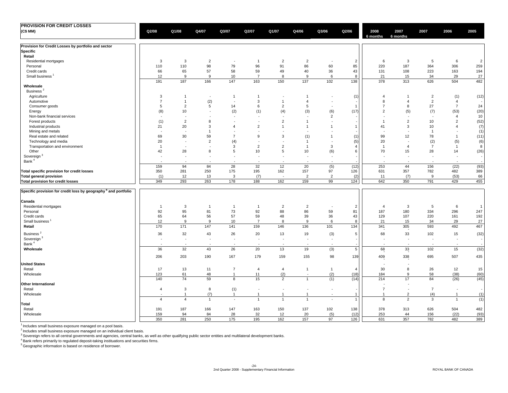| <b>PROVISION FOR CREDIT LOSSES</b>                                         |                          |                          |                          |                             |                          |                          |                          |                          |                |                          |                          |                          |                |                |
|----------------------------------------------------------------------------|--------------------------|--------------------------|--------------------------|-----------------------------|--------------------------|--------------------------|--------------------------|--------------------------|----------------|--------------------------|--------------------------|--------------------------|----------------|----------------|
| (C\$MM)                                                                    | Q2/08                    | Q1/08                    | Q4/07                    | Q3/07                       | Q2/07                    | Q1/07                    | Q4/06                    | Q3/06                    | Q2/06          | 2008<br>6 months         | 2007<br>6 months         | 2007                     | 2006           | 2005           |
| Provision for Credit Losses by portfolio and sector                        |                          |                          |                          |                             |                          |                          |                          |                          |                |                          |                          |                          |                |                |
| <b>Specific</b>                                                            |                          |                          |                          |                             |                          |                          |                          |                          |                |                          |                          |                          |                |                |
| Retail                                                                     |                          |                          |                          |                             |                          |                          |                          |                          |                |                          |                          |                          |                |                |
| Residential mortgages                                                      | 3                        | 3                        | $\overline{2}$           | $\overline{\phantom{a}}$    | $\overline{1}$           | $\overline{2}$           | $\overline{2}$           | $\sim$                   | $\overline{2}$ | 6                        | 3                        | 5                        | 6              | $\overline{2}$ |
| Personal                                                                   | 110                      | 110                      | 98                       | 79                          | 96                       | 91                       | 86                       | 60                       | 85             | 220                      | 187                      | 364                      | 306            | 259            |
| Credit cards                                                               | 66                       | 65                       | 57                       | 58                          | 59                       | 49                       | 40                       | 36                       | 43             | 131                      | 108                      | 223                      | 163            | 194            |
| Small business                                                             | 12                       | 9                        | 9                        | 10                          | $\overline{7}$           | 8                        | 9                        | 6                        | 8              | 21                       | 15                       | 34                       | 29             | 27             |
| Wholesale                                                                  | 191                      | 187                      | 166                      | 147                         | 163                      | 150                      | 137                      | 102                      | 138            | 378                      | 313                      | 626                      | 504            | 482            |
| Business <sup>2</sup>                                                      |                          |                          |                          |                             |                          |                          |                          |                          |                |                          |                          |                          |                |                |
| Agriculture                                                                | 3                        | $\mathbf{1}$             | $\sim$                   | $\overline{1}$              | $\overline{1}$           | $\overline{\phantom{a}}$ | $\overline{1}$           | $\sim$                   | (1)            | 4                        | $\mathbf{1}$             | $\sqrt{2}$               | (1)            | (12)           |
| Automotive                                                                 | $\overline{7}$           | $\overline{1}$           | (2)                      | $\sim$                      | 3                        | $\overline{1}$           | $\overline{4}$           | $\sim$                   |                | 8                        | $\overline{4}$           | $\overline{2}$           | $\overline{4}$ |                |
| Consumer goods                                                             | 5                        | $\overline{2}$           | 5                        | 14                          | 6                        | $\overline{2}$           | $\,$ 5 $\,$              | $\sim$                   | $\overline{1}$ | $\overline{7}$           | 8                        | 27                       | $\overline{7}$ | 24             |
| Energy                                                                     | (8)                      | 10                       | in a                     | (2)                         | (1)                      | (4)                      | (3)                      | (6)                      | (17)           | $\overline{2}$           | (5)                      | (7)                      | (53)           | (20)           |
| Non-bank financial services                                                | $\overline{\phantom{a}}$ | $\sim$                   |                          | $\sim$                      | $\overline{\phantom{a}}$ | $\sim$                   | $\sim$                   | $\overline{2}$           |                |                          | $\sim$                   | $\sim$                   | $\overline{4}$ | 10             |
| Forest products                                                            | (1)                      | $\overline{2}$           | 8                        | $\overline{\phantom{a}}$    | $\sim$                   | $\overline{2}$           | $\mathbf{1}$             | $\sim$                   |                | $\overline{1}$           | $\overline{2}$           | 10                       | $\overline{2}$ | (52)           |
|                                                                            | 21                       | 20                       | 3                        | $\overline{4}$              | $\overline{2}$           | $\overline{1}$           | $\overline{1}$           | $\overline{1}$           | $\mathbf{1}$   | 41                       | 3                        | 10                       | $\overline{4}$ | (7)            |
| Industrial products                                                        |                          | $\sim$                   | $\mathbf{1}$             | $\overline{\phantom{a}}$    | $\ddot{\phantom{1}}$     |                          | $\sim$                   | $\sim$                   |                |                          | $\overline{\phantom{a}}$ |                          | $\sim$         | (1)            |
| Mining and metals                                                          | 69                       | 30                       | 59                       | $\overline{7}$              | 9                        | 3                        |                          | $\mathbf{1}$             |                | 99                       | 12                       | $\overline{1}$<br>78     | $\mathbf{1}$   |                |
| Real estate and related                                                    |                          | $\overline{\phantom{a}}$ |                          |                             | $\overline{\phantom{a}}$ | $\sim$                   | (1)<br>$\overline{1}$    | $\overline{\phantom{a}}$ | (1)            |                          | $\overline{\phantom{a}}$ |                          |                | (11)           |
| Technology and media                                                       | 20                       |                          | $\overline{2}$<br>in a   | (4)                         |                          |                          | $\overline{1}$           |                          | (5)            | 20<br>$\overline{1}$     | $\overline{4}$           | (2)                      | (5)            | (6)            |
| Transportation and environment                                             | $\overline{1}$           | $\overline{\phantom{a}}$ |                          | 3                           | $\overline{2}$           | $\overline{2}$           |                          | 3                        | $\overline{4}$ |                          |                          | $\overline{7}$           | $\mathbf{1}$   | 8              |
| Other                                                                      | 42                       | 28                       | 8                        | 5                           | 10                       | 5                        | 10                       | (6)                      | 6              | 70                       | 15                       | 28                       | 14             | (26)           |
| Sovereign <sup>3</sup>                                                     | $\overline{\phantom{a}}$ | $\sim$                   | $\sim$                   | $\sim$                      | $\overline{\phantom{a}}$ | $\sim$                   | $\sim$                   | $\overline{\phantom{a}}$ |                |                          | $\sim$                   | $\overline{\phantom{a}}$ | $\sim$         |                |
| Bank <sup>4</sup>                                                          |                          | $\sim$                   | $\overline{\phantom{a}}$ | $\sim$                      | $\overline{\phantom{a}}$ | $\sim$                   | $\sim$                   | $\sim$                   |                | $\overline{\phantom{a}}$ | $\overline{\phantom{a}}$ | $\blacksquare$           | $\sim$         |                |
|                                                                            | 159                      | 94                       | 84                       | 28                          | 32                       | 12                       | 20                       | (5)                      | (12)           | 253                      | 44                       | 156                      | (22)           | (93)           |
| Total specific provision for credit losses                                 | 350                      | 281                      | 250                      | 175                         | 195                      | 162                      | 157                      | 97                       | 126            | 631                      | 357                      | 782                      | 482            | 389            |
| <b>Total general provision</b>                                             | (1)                      | 12                       | 13                       | $\mathbf{3}$                | (7)                      | $\sim$                   | $\overline{2}$           | $\overline{2}$           | (2)            | 11                       | (7)                      | 9                        | (53)           | 66             |
| Total provision for credit losses                                          | 349                      | 293                      | 263                      | 178                         | 188                      | 162                      | 159                      | 99                       | 124            | 642                      | 350                      | 791                      | 429            | 455            |
| Specific provision for credit loss by geography <sup>5</sup> and portfolio |                          |                          |                          |                             |                          |                          |                          |                          |                |                          |                          |                          |                |                |
| Canada                                                                     |                          |                          |                          |                             |                          |                          |                          |                          |                |                          |                          |                          |                |                |
| Residential mortgages                                                      | $\overline{1}$           | 3                        | $\overline{1}$           | $\overline{1}$              | $\overline{1}$           | $\overline{2}$           | $\overline{2}$           | $\sim$                   | $\overline{2}$ | $\overline{4}$           | 3                        | 5                        | 6              | $\overline{1}$ |
| Personal                                                                   | 92                       | 95                       | 81                       | 73                          | 92                       | 88                       | 86                       | 59                       | 81             | 187                      | 180                      | 334                      | 296            | 247            |
| Credit cards                                                               | 65                       | 64                       | 56                       | 57                          | 59                       | 48                       | 39                       | 36                       | 43             | 129                      | 107                      | 220                      | 161            | 192            |
| Small business <sup>1</sup>                                                | 12                       | 9                        | 9                        | 10                          | $\overline{7}$           | 8                        | 9                        | 6                        | 8              | 21                       | 15                       | 34                       | 29             | 27             |
| Retail                                                                     | 170                      | 171                      | 147                      | 141                         | 159                      | 146                      | 136                      | 101                      | 134            | 341                      | 305                      | 593                      | 492            | 467            |
| Business <sup>2</sup>                                                      | 36                       | 32                       | 43                       | 26                          | 20                       | 13                       | $19$                     | (3)                      | 5              | 68                       | 33                       | 102                      | 15             | (32)           |
| Sovereign <sup>3</sup>                                                     | $\overline{\phantom{a}}$ | $\sim$                   | $\sim$                   | $\overline{\phantom{a}}$    | $\blacksquare$           | $\sim$                   | $\overline{\phantom{a}}$ | $\blacksquare$           |                | $\sim$                   | $\sim$                   | ÷,                       | $\sim$         |                |
| Bank <sup>4</sup><br>Wholesale                                             | 36                       | 32                       | 43                       | $\sim$<br>26                | ÷,<br>20                 | 13                       | 19                       | $\blacksquare$<br>(3)    | $\overline{5}$ | 68                       | ÷.<br>33                 | 102                      | 15             | (32)           |
|                                                                            | 206                      | 203                      | 190                      | 167                         | 179                      | 159                      | 155                      | 98                       | 139            | 409                      | 338                      | 695                      | 507            | 435            |
| <b>United States</b>                                                       |                          |                          |                          |                             |                          |                          |                          |                          |                |                          | ÷,                       |                          |                |                |
| Retail                                                                     | 17                       | 13                       | 11                       | $\overline{7}$              | $\overline{4}$           | $\overline{4}$           | $\mathbf{1}$             | $\mathbf{1}$             | $\overline{4}$ | 30                       | 8                        | 26                       | 12             | 15             |
| Wholesale                                                                  | 123                      | 61                       | 48                       | $\overline{1}$              | 11                       | (2)                      | $\overline{\phantom{a}}$ | (2)                      | (18)           | 184                      | 9                        | 58                       | (38)           | (60)           |
|                                                                            | 140                      | 74                       | 59                       | 8                           | 15                       | $\overline{2}$           | $\mathbf{1}$             | (1)                      | (14)           | 214                      | 17                       | 84                       | (26)           | (45)           |
| <b>Other International</b>                                                 |                          |                          |                          |                             |                          |                          |                          |                          |                |                          | $\overline{\phantom{a}}$ |                          |                |                |
| Retail                                                                     | $\overline{4}$           | $\mathbf{3}$             | 8                        | (1)                         | $\blacksquare$           | $\sim$                   | $\overline{\phantom{a}}$ | $\overline{\phantom{a}}$ |                | $\overline{7}$           | $\sim$                   | $\overline{7}$           | $\sim$         |                |
| Wholesale                                                                  | $\overline{a}$           | $\overline{1}$           | (7)                      | $\mathbf{1}$                | $\overline{1}$           | $\overline{1}$           | $\overline{1}$           | $\sim$                   | $\mathbf{1}$   | $\overline{1}$           | $\overline{2}$           | (4)                      | $\mathbf{1}$   | (1)            |
|                                                                            | $\overline{4}$           | $\overline{4}$           | $\overline{1}$           | $\mathcal{L}_{\mathcal{A}}$ | $\mathbf{1}$             | $\mathbf{1}$             | $\mathbf{1}$             | $\sim$                   | $\mathbf{1}$   | 8                        | $\overline{2}$           | 3                        | $\mathbf{1}$   | (1)            |
| Total                                                                      |                          |                          |                          |                             |                          |                          |                          |                          |                |                          |                          |                          |                |                |
| Retail                                                                     | 191                      | 187                      | 166                      | 147                         | 163                      | 150                      | 137                      | 102                      | 138            | 378                      | 313                      | 626                      | 504            | 482            |
| Wholesale                                                                  | 159                      | 94                       | 84                       | 28                          | 32                       | 12                       | 20                       | (5)                      | (12)           | 253                      | 44                       | 156                      | (22)           | (93)           |
|                                                                            | 350                      | 281                      | 250                      | 175                         | 195                      | 162                      | 157                      | 97                       | 126            | 631                      | 357                      | 782                      | 482            | 389            |

 $<sup>1</sup>$  Includes small business exposure managed on a pool basis.</sup>

<sup>2</sup> Includes small business exposure managed on an individual client basis.<br><sup>3</sup> Sovereign refers to all central governments and agencies, central banks, as well as other qualifying public sector entities and multilateral d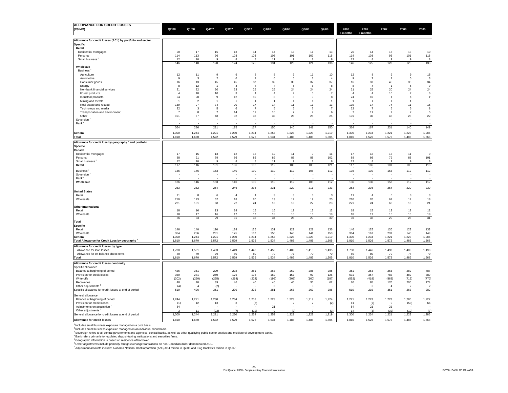| ALLOWANCE FOR CREDIT LOSSES                                                                                                                                                  |                |                               |                               |                  |                          |                                 |                                 |                                 |                      |                    |                      |                              |                                 |                               |
|------------------------------------------------------------------------------------------------------------------------------------------------------------------------------|----------------|-------------------------------|-------------------------------|------------------|--------------------------|---------------------------------|---------------------------------|---------------------------------|----------------------|--------------------|----------------------|------------------------------|---------------------------------|-------------------------------|
| (C\$ MM)                                                                                                                                                                     | Q2/08          | Q1/08                         | Q4/07                         | Q3/07            | Q2/07                    | Q1/07                           | Q4/06                           | Q3/06                           | Q2/06                | 2008               | 2007<br>6 month:     | 2007                         | 2006                            | 2005                          |
|                                                                                                                                                                              |                |                               |                               |                  |                          |                                 |                                 |                                 |                      | 6 months           |                      |                              |                                 |                               |
| Allowance for credit losses (ACL) by portfolio and sector                                                                                                                    |                |                               |                               |                  |                          |                                 |                                 |                                 |                      |                    |                      |                              |                                 |                               |
| <b>Specific</b>                                                                                                                                                              |                |                               |                               |                  |                          |                                 |                                 |                                 |                      |                    |                      |                              |                                 |                               |
| Retail                                                                                                                                                                       |                |                               |                               |                  |                          |                                 |                                 |                                 |                      |                    |                      |                              |                                 |                               |
| Residential mortgages<br>Personal                                                                                                                                            | 20<br>114      | 17<br>113                     | 15<br>96                      | 13<br>103        | 14<br>103                | 14<br>106                       | 13<br>101                       | 11<br>102                       | 13<br>115            | 20<br>114          | 14<br>103            | 15<br>96                     | 13<br>101                       | 10<br>115                     |
| Small business                                                                                                                                                               | 12             | 10                            | $\mathbf{q}$                  | 8                | 8                        | 11                              | 9                               | 8                               | <sub>8</sub>         | 12                 | -8                   | $\mathbf{q}$                 | 9                               | 8                             |
|                                                                                                                                                                              | 146            | 140                           | 120                           | 124              | 125                      | 131                             | 123                             | 121                             | 136                  | 146                | 125                  | 120                          | 123                             | 133                           |
| Wholesale                                                                                                                                                                    |                |                               |                               |                  |                          |                                 |                                 |                                 |                      |                    |                      |                              |                                 |                               |
| Business <sup>®</sup>                                                                                                                                                        |                |                               |                               |                  |                          |                                 |                                 |                                 |                      |                    |                      |                              |                                 |                               |
| Agriculture<br>Automotive                                                                                                                                                    | 12<br>-9       | 11<br>$\overline{\mathbf{3}}$ | 9<br>$\overline{\phantom{a}}$ | $\mathsf g$<br>6 | 8<br>$\overline{7}$      | 8<br>6                          | 9<br>5                          | 11<br>$\mathbf{3}$              | 10                   | 12<br>$\mathbf{g}$ | 8<br>$\overline{7}$  | $\mathsf g$<br>$\mathcal{P}$ | $\mathsf g$<br>5                | 15<br>$\overline{\mathbf{3}}$ |
| Consumer goods                                                                                                                                                               | $16\,$         | 13                            | 45                            | 45               | 37                       | 32                              | 35                              | 32                              | 37                   | 16                 | 37                   | 45                           | 35                              | 34                            |
| Energy                                                                                                                                                                       | $\mathbf{8}$   | 12                            | $\overline{1}$                | $\overline{4}$   | $\overline{4}$           | $\overline{4}$                  | -5                              | 6                               | -8                   | -8                 | $\overline{4}$       | $\overline{1}$               | -5                              | 9                             |
| Non-bank financial services                                                                                                                                                  | 21             | 22                            | 20                            | 23               | 25                       | 25                              | 24                              | 24                              | 24                   | 21                 | 25                   | 20                           | 24                              | 24                            |
| Forest products                                                                                                                                                              | $\overline{4}$ | 10                            | 10                            | $\mathbf{3}$     | $\overline{4}$           | $\overline{4}$                  | $\overline{2}$                  | -5                              | $\overline{7}$       | $\overline{4}$     | $\overline{4}$       | 10                           | $\overline{2}$                  | 6                             |
| Industrial products                                                                                                                                                          | 24             | 28                            | 9                             | 12               | 10                       | 8                               | 8                               | 9                               | 8                    | 24                 | 10                   | 9                            | 8                               | $\overline{7}$                |
| Mining and metals                                                                                                                                                            | $\overline{1}$ | $\overline{2}$                | $\overline{1}$                | $\overline{1}$   | $\overline{1}$           | $\mathbf{1}$                    | $\mathbf{1}$                    | $\overline{1}$                  |                      | $\overline{1}$     | $\overline{1}$       | $\overline{1}$               | $\overline{1}$                  |                               |
| Real estate and related<br>Technology and media                                                                                                                              | 139<br>22      | 97<br>$\overline{\mathbf{3}}$ | 74<br>$\sqrt{5}$              | $20\,$<br>6      | $17\,$<br>$\overline{7}$ | 14<br>5                         | 11<br>$\sqrt{5}$                | 11<br>$\overline{7}$            | 13<br>$\overline{7}$ | 139<br>22          | 17<br>$\overline{7}$ | 74                           | 11<br>5                         | 16<br>8                       |
| Transportation and environment                                                                                                                                               | $\overline{7}$ | 8                             | $\overline{7}$                | 14               | 11                       | 10                              | $\overline{7}$                  | $\overline{7}$                  | 6                    | $\overline{7}$     | 11                   | 5<br>$\overline{7}$          | $\overline{7}$                  | $\sqrt{5}$                    |
| Other                                                                                                                                                                        | 101            | 77                            | 48                            | 32               | 36                       | 33                              | 28                              | 25                              | 25                   | 101                | 36                   | 48                           | 28                              | 22                            |
| Sovereign <sup>3</sup>                                                                                                                                                       |                | $\overline{\phantom{a}}$      |                               |                  |                          |                                 |                                 |                                 |                      |                    | ۰.                   |                              | ۰.                              |                               |
| Bank <sup>4</sup>                                                                                                                                                            |                |                               |                               |                  |                          |                                 |                                 |                                 |                      |                    |                      |                              |                                 |                               |
|                                                                                                                                                                              | 364            | 286                           | 231                           | 175              | 167                      | 150                             | 140                             | 141                             | 150                  | 364                | 167                  | 231                          | 140                             | 149                           |
| General                                                                                                                                                                      | 1,300          | 1,244                         | 1,221                         | 1,230            | 1,234                    | 1,253                           | 1,223                           | 1,223                           | 1,219                | 1,300              | 1,234                | 1,221                        | 1,223                           | 1,286                         |
| Total                                                                                                                                                                        | 1,810          | 1,670                         | 1,572                         | 1,529            | 1,526                    | 1,534                           | 1,486                           | 1,485                           | 1,505                | 1,810              | 1,526                | 1,572                        | 1,486                           | 1,568                         |
| Allowance for credit loss by geography <sup>5</sup> and portfolio                                                                                                            |                |                               |                               |                  |                          |                                 |                                 |                                 |                      |                    |                      |                              |                                 |                               |
| <b>Specific</b>                                                                                                                                                              |                |                               |                               |                  |                          |                                 |                                 |                                 |                      |                    |                      |                              |                                 |                               |
| Canada                                                                                                                                                                       |                |                               |                               |                  |                          |                                 |                                 |                                 |                      |                    |                      |                              |                                 |                               |
| Residential mortgages                                                                                                                                                        | 17             | 15                            | 13                            | 12               | 12                       | 12                              | 11                              | 9                               | 11                   | 17                 | 12                   | 13                           | 11                              | 9                             |
| Personal                                                                                                                                                                     | 88             | 91                            | 79                            | 86               | 86                       | 89                              | 88                              | 88                              | 102                  | 88                 | 86                   | 79                           | 88                              | 101                           |
| Small business                                                                                                                                                               | 12             | $10$                          | 9                             | 8                | 8                        | 11                              | $\mathbf{g}$                    | 8                               | -8                   | 12                 | $\mathbf{g}$         | $\mathbf{q}$                 | 9                               | 8                             |
| Retail                                                                                                                                                                       | 117            | 116                           | 101                           | 106              | 106                      | 112                             | 108                             | 105                             | 121                  | 117                | 106                  | 101                          | 108                             | 118                           |
| Business <sup>2</sup>                                                                                                                                                        | 136            | 146                           | 153                           | 140              | 130                      | 119                             | 112                             | 106                             | 112                  | 136                | 130                  | 153                          | 112                             | 112                           |
| Sovereign                                                                                                                                                                    |                |                               |                               |                  |                          |                                 |                                 |                                 |                      |                    |                      |                              |                                 |                               |
| Bank                                                                                                                                                                         |                |                               |                               |                  |                          |                                 |                                 |                                 |                      |                    |                      |                              |                                 |                               |
| Wholesale                                                                                                                                                                    | 136            | 146                           | 153                           | 140              | 130                      | 119                             | 112                             | 106                             | 112                  | 136                | 130                  | 153                          | 112                             | 112                           |
|                                                                                                                                                                              | 253            | 262                           | 254                           | 246              | 236                      | 231                             | 220                             | 211                             | 233                  | 253                | 236                  | 254                          | 220                             | 230                           |
| <b>United States</b>                                                                                                                                                         |                |                               |                               | $\overline{4}$   |                          |                                 |                                 |                                 |                      |                    |                      |                              |                                 |                               |
| Retail<br>Wholesale                                                                                                                                                          | 11<br>210      | 8<br>123                      | $\,6\,$<br>62                 | 18               | $\overline{4}$<br>20     | $\ensuremath{\mathsf{3}}$<br>13 | $\ensuremath{\mathsf{3}}$<br>12 | $\ensuremath{\mathsf{3}}$<br>19 | 3<br>20              | 11<br>210          | $\overline{4}$<br>20 | 6<br>62                      | $\ensuremath{\mathsf{3}}$<br>12 | $\mathbf{3}$<br>18            |
|                                                                                                                                                                              | 221            | 131                           | 68                            | 22               | 24                       | 16                              | 15                              | 22                              | 23                   | 221                | 24                   | 68                           | 15                              | 21                            |
| <b>Other International</b>                                                                                                                                                   |                |                               |                               |                  |                          |                                 |                                 |                                 |                      |                    |                      |                              |                                 |                               |
| Retail                                                                                                                                                                       | 18             | 16                            | 13                            | 14               | 15                       | $16\,$                          | 12                              | 13                              | 12                   | 18                 | 15                   | 13                           | 12                              | 12                            |
| Wholesale                                                                                                                                                                    | 18             | 17                            | 16                            | 17               | $17\,$                   | 18                              | $16\,$                          | 16                              | 18                   | 18                 | 17                   | $16$                         | 16                              | 19                            |
|                                                                                                                                                                              | 36             | 33                            | 29                            | 31               | 32                       | 34                              | 28                              | 29                              | 30                   | 36                 | 32                   | 29                           | 28                              | 31                            |
| Total<br><b>Specific</b>                                                                                                                                                     |                |                               |                               |                  |                          |                                 |                                 |                                 |                      |                    |                      |                              |                                 |                               |
| Retail                                                                                                                                                                       | 146            | 140                           | 120                           | 124              | 125                      | 131                             | 123                             | 121                             | 136                  | 146                | 125                  | 120                          | 123                             | 133                           |
| Wholesale                                                                                                                                                                    | 364            | 286                           | 231                           | 175              | 167                      | 150                             | 140                             | 141                             | 150                  | 364                | 167                  | 231                          | 140                             | 149                           |
| General                                                                                                                                                                      | 1,300          | 1,244                         | 1,221                         | 1,230            | 1,234                    | 1,253                           | 1,223                           | 1,223                           | 1,219                | 1,300              | 1,234                | 1,221                        | 1,223                           | 1,286                         |
| Total Allowance for Credit Loss by geography <sup>5</sup>                                                                                                                    | 1,810          | 1,670                         | 1,572                         | 1,529            | 1,526                    | 1,534                           | 1,486                           | 1,485                           | 1,505                | 1,810              | 1,526                | 1,572                        | 1,486                           | 1,568                         |
| Allowance for credit losses by type                                                                                                                                          |                |                               |                               |                  |                          |                                 |                                 |                                 |                      |                    |                      |                              |                                 |                               |
| Allowance for loan losses                                                                                                                                                    | 1,730          | 1,591                         | 1,493                         | 1,449            | 1,446                    | 1,455                           | 1,409                           | 1,415                           | 1,435                | 1,730              | 1,446                | 1,493                        | 1,409                           | 1,498                         |
| Allowance for off-balance sheet items                                                                                                                                        | 80             | 79                            | 79                            | 80               | 80                       | 79                              | 77                              | 70                              | 70                   | 80                 | 80                   | 79                           | 77                              | 70                            |
| Total                                                                                                                                                                        | 1,810          | 1,670                         | 1,572                         | 1,529            | 1,526                    | 1,534                           | 1,486                           | 1,485                           | 1,505                | 1,810              | 1,526                | 1,572                        | 1,486                           | 1,568                         |
| Allowance for credit losses continuity                                                                                                                                       |                |                               |                               |                  |                          |                                 |                                 |                                 |                      |                    |                      |                              |                                 |                               |
| Specific allowance                                                                                                                                                           |                |                               |                               |                  |                          |                                 |                                 |                                 |                      |                    |                      |                              |                                 |                               |
| Balance at beginning of period                                                                                                                                               | 426            | 351                           | 299                           | 292              | 281                      | 263                             | 262                             | 286                             | 285                  | 351                | 263                  | 263                          | 282                             | 487                           |
| Provision for credit losses                                                                                                                                                  | 350            | 281                           | 250                           | 175              | 195                      | 162                             | 157                             | 97                              | 126                  | 631                | 357                  | 782                          | 482                             | 389                           |
| Write-offs                                                                                                                                                                   | (302)<br>40    | (250)<br>40                   | (235)<br>39                   | (214)<br>46      | (224)<br>40              | (195)<br>45                     | (202)                           | (160)                           | (187)                | (552)<br>80        | (419)<br>85          | (868)<br>170                 | (713)<br>205                    | (770)<br>174                  |
| Recoveries<br>Other adjustments <sup>6</sup>                                                                                                                                 | (4)            | $\overline{4}$                | (2)                           |                  |                          | 6                               | 46                              | 36<br>3                         | 62                   |                    | 6                    | $\overline{4}$               | $\overline{7}$                  | -2                            |
| Specific allowance for credit losses at end of period                                                                                                                        | 510            | 426                           | 351                           | 299              | 292                      | 281                             | 263                             | 262                             | 286                  | 510                | 292                  | 351                          | 263                             | 282                           |
|                                                                                                                                                                              |                |                               |                               |                  |                          |                                 |                                 |                                 |                      |                    |                      |                              |                                 |                               |
| General allowance<br>Balance at beginning of period                                                                                                                          | 1,244          | 1,221                         | 1,230                         | 1,234            | 1,253                    | 1,223                           | 1,223                           | 1,219                           | 1,224                | 1,221              | 1,223                | 1,223                        | 1,286                           | 1,227                         |
| Provision for credit losses                                                                                                                                                  | (1)            | 12                            | 13                            | 3                | (7)                      |                                 | $\overline{2}$                  | $\overline{2}$                  | (2)                  | 11                 | (7)                  | 9                            | (53)                            | 66                            |
| Adjustments on acquisition <sup>7</sup>                                                                                                                                      | 54             |                               |                               |                  |                          | 21                              |                                 |                                 |                      | 54                 | 21                   | 21                           |                                 |                               |
| Other adiustments                                                                                                                                                            | 3              | 11                            | (22)                          | (7)              | (12)                     | 9                               | (2)                             | $\mathcal{P}$                   | (3)                  | 14                 | (3)                  | (32)                         | (10)                            | (7)                           |
| General allowance for credit losses at end of period                                                                                                                         | 1,300          | 1,244                         | 1,221                         | 1,230            | 1,234                    | 1,253                           | 1,223                           | 1,223                           | 1,219                | 1,300              | 1,234                | 1,221                        | 1,223                           | 1,286                         |
| <b>Allowance for credit losses</b>                                                                                                                                           | 1,810          | 1,670                         | 1,572                         | 1,529            | 1,526                    | 1,534                           | 1,486                           | 1,485                           | 1,505                | 1,810              | 1,526                | 1,572                        | 1,486                           | 1,568                         |
| <sup>1</sup> Includes small business exposure managed on a pool basis.                                                                                                       |                |                               |                               |                  |                          |                                 |                                 |                                 |                      |                    |                      |                              |                                 |                               |
| <sup>2</sup> Includes small business exposure managed on an individual client basis.                                                                                         |                |                               |                               |                  |                          |                                 |                                 |                                 |                      |                    |                      |                              |                                 |                               |
| <sup>3</sup> Sovereign refers to all central governments and agencies, central banks, as well as other qualifying public sector entities and multilateral development banks. |                |                               |                               |                  |                          |                                 |                                 |                                 |                      |                    |                      |                              |                                 |                               |
| Bank refers primarily to regulated deposit-taking instituations and securities firms.                                                                                        |                |                               |                               |                  |                          |                                 |                                 |                                 |                      |                    |                      |                              |                                 |                               |
| <sup>5</sup> Geographic information is based on residence of borrower.                                                                                                       |                |                               |                               |                  |                          |                                 |                                 |                                 |                      |                    |                      |                              |                                 |                               |
| <sup>6</sup> Other adjustments include primarily foreign exchange translations on non-Canadian dollar denominated ACL.                                                       |                |                               |                               |                  |                          |                                 |                                 |                                 |                      |                    |                      |                              |                                 |                               |
| Adjustment amounts include: Alabama National BanCorporation (ANB) \$54 million in Q2/08 and Flag Bank \$21 million in Q1/07.                                                 |                |                               |                               |                  |                          |                                 |                                 |                                 |                      |                    |                      |                              |                                 |                               |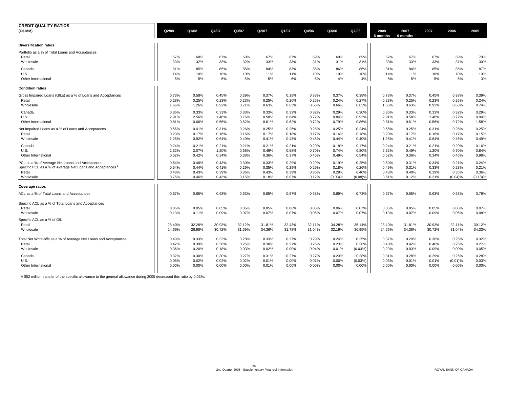| <b>CREDIT QUALITY RATIOS</b><br>(C\$ MM)                         | Q2/08  | Q1/08  | Q4/07  | Q3/07  | Q2/07  | Q1/07  | Q4/06  | Q3/06   | Q2/06   | 2008<br>6 months | 2007<br>6 months | 2007   | 2006       | 2005    |
|------------------------------------------------------------------|--------|--------|--------|--------|--------|--------|--------|---------|---------|------------------|------------------|--------|------------|---------|
| <b>Diversification ratios</b>                                    |        |        |        |        |        |        |        |         |         |                  |                  |        |            |         |
| Portfolio as a % of Total Loans and Acceptances                  |        |        |        |        |        |        |        |         |         |                  |                  |        |            |         |
| Retail                                                           | 67%    | 68%    | 67%    | 68%    | 67%    | 67%    | 69%    | 69%     | 69%     | 67%              | 67%              | 67%    | 69%        | 70%     |
| Wholesale                                                        | 33%    | 32%    | 33%    | 32%    | 33%    | 33%    | 31%    | 31%     | 31%     | 33%              | 33%              | 33%    | 31%        | 30%     |
| Canada                                                           | 81%    | 85%    | 85%    | 85%    | 84%    | 83%    | 85%    | 86%     | 86%     | 81%              | 84%              | 85%    | 85%        | 87%     |
| U.S.                                                             | 14%    | 10%    | 10%    | 10%    | 11%    | 11%    | 10%    | 10%     | 10%     | 14%              | 11%              | 10%    | 10%        | 10%     |
| Other International                                              | 5%     | 5%     | 5%     | 5%     | 5%     | 6%     | 5%     | 4%      | 4%      | 5%               | 5%               | 5%     | 5%         | 3%      |
| <b>Condition ratios</b>                                          |        |        |        |        |        |        |        |         |         |                  |                  |        |            |         |
| Gross Impaired Loans (GILs) as a % of Loans and Acceptances      | 0.73%  | 0.58%  | 0.45%  | 0.39%  | 0.37%  | 0.38%  | 0.38%  | 0.37%   | 0.38%   | 0.73%            | 0.37%            | 0.45%  | 0.38%      | 0.39%   |
| Retail                                                           | 0.28%  | 0.25%  | 0.23%  | 0.23%  | 0.25%  | 0.26%  | 0.25%  | 0.24%   | 0.27%   | 0.28%            | 0.25%            | 0.23%  | 0.25%      | 0.24%   |
| Wholesale                                                        | 1.66%  | 1.26%  | 0.92%  | 0.71%  | 0.63%  | 0.63%  | 0.66%  | 0.66%   | 0.63%   | 1.66%            | 0.63%            | 0.92%  | 0.66%      | 0.74%   |
| Canada                                                           | 0.36%  | 0.33%  | 0.33%  | 0.33%  | 0.33%  | 0.33%  | 0.32%  | 0.29%   | 0.30%   | 0.36%            | 0.33%            | 0.33%  | 0.32%      | 0.29%   |
| U.S.                                                             | 2.91%  | 2.56%  | 1.46%  | 0.76%  | 0.58%  | 0.64%  | 0.77%  | 0.84%   | 0.92%   | 2.91%            | 0.58%            | 1.46%  | 0.77%      | 0.94%   |
| Other International                                              | 0.81%  | 0.66%  | 0.56%  | 0.62%  | 0.61%  | 0.62%  | 0.72%  | 0.79%   | 0.86%   | 0.81%            | 0.61%            | 0.56%  | 0.72%      | 1.58%   |
| Net Impaired Loans as a % of Loans and Acceptances               | 0.55%  | 0.41%  | 0.31%  | 0.26%  | 0.25%  | 0.26%  | 0.26%  | 0.25%   | 0.24%   | 0.55%            | 0.25%            | 0.31%  | 0.26%      | 0.25%   |
| Retail                                                           | 0.20%  | 0.17%  | 0.16%  | 0.16%  | 0.17%  | 0.18%  | 0.17%  | 0.16%   | 0.18%   | 0.20%            | 0.17%            | 0.16%  | 0.17%      | 0.15%   |
| Wholesale                                                        | 1.25%  | 0.92%  | 0.64%  | 0.49%  | 0.41%  | 0.43%  | 0.46%  | 0.44%   | 0.40%   | 1.25%            | 0.41%            | 0.64%  | 0.46%      | 0.49%   |
| Canada                                                           | 0.24%  | 0.21%  | 0.21%  | 0.21%  | 0.21%  | 0.21%  | 0.20%  | 0.18%   | 0.17%   | 0.24%            | 0.21%            | 0.21%  | 0.20%      | 0.16%   |
| U.S.                                                             | 2.32%  | 2.07%  | 1.20%  | 0.68%  | 0.49%  | 0.58%  | 0.70%  | 0.74%   | 0.80%   | 2.32%            | 0.49%            | 1.20%  | 0.70%      | 0.84%   |
| Other International                                              | 0.52%  | 0.42%  | 0.34%  | 0.38%  | 0.36%  | 0.37%  | 0.46%  | 0.49%   | 0.54%   | 0.52%            | 0.36%            | 0.34%  | 0.46%      | 0.98%   |
| PCL as a % of Average Net Loans and Acceptances                  | 0.54%  | 0.46%  | 0.43%  | 0.30%  | 0.33%  | 0.29%  | 0.29%  | 0.19%   | 0.25%   | 0.50%            | 0.31%            | 0.34%  | 0.21%      | 0.24%   |
| Specific PCL as a % of Average Net Loans and Acceptances         | 0.54%  | 0.44%  | 0.41%  | 0.29%  | 0.35%  | 0.29%  | 0.29%  | 0.18%   | 0.26%   | 0.49%            | 0.31%            | 0.33%  | 0.23%      | 0.21%   |
| Retail                                                           | 0.43%  | 0.43%  | 0.39%  | 0.36%  | 0.43%  | 0.39%  | 0.36%  | 0.28%   | 0.40%   | 0.43%            | 0.40%            | 0.39%  | 0.35%      | 0.36%   |
| Wholesale                                                        | 0.76%  | 0.46%  | 0.43%  | 0.15%  | 0.18%  | 0.07%  | 0.12%  | (0.03)% | (0.08)% | 0.61%            | 0.12%            | 0.21%  | (0.04)%    | (0.18)% |
| <b>Coverage ratios</b>                                           |        |        |        |        |        |        |        |         |         |                  |                  |        |            |         |
| ACL as a % of Total Loans and Acceptances                        | 0.67%  | 0.65%  | 0.63%  | 0.63%  | 0.65%  | 0.67%  | 0.68%  | 0.69%   | 0.73%   | 0.67%            | 0.65%            | 0.63%  | 0.68%      | 0.79%   |
| Specific ACL as a % of Total Loans and Acceptances               |        |        |        |        |        |        |        |         |         |                  |                  |        |            |         |
| Retail                                                           | 0.05%  | 0.05%  | 0.05%  | 0.05%  | 0.05%  | 0.06%  | 0.06%  | 0.06%   | 0.07%   | 0.05%            | 0.05%            | 0.05%  | 0.06%      | 0.07%   |
| Wholesale                                                        | 0.13%  | 0.11%  | 0.09%  | 0.07%  | 0.07%  | 0.07%  | 0.06%  | 0.07%   | 0.07%   | 0.13%            | 0.07%            | 0.09%  | 0.06%      | 0.08%   |
| Specific ACL as a % of GIL                                       |        |        |        |        |        |        |        |         |         |                  |                  |        |            |         |
| Retail                                                           | 28.40% | 32.26% | 30.93% | 32.12% | 31.81% | 32.43% | 32.11% | 34.28%  | 35.14%  | 28.40%           | 31.81%           | 30.93% | 32.11%     | 39.12%  |
| Wholesale                                                        | 24.66% | 26.98% | 30.72% | 31.59% | 34.36% | 31.78% | 31.04% | 32.19%  | 36.95%  | 24.66%           | 34.36%           | 30.72% | 31.04%     | 34.33%  |
| Total Net Write-offs as a % of Average Net Loans and Acceptances | 0.40%  | 0.33%  | 0.32%  | 0.28%  | 0.33%  | 0.27%  | 0.29%  | 0.24%   | 0.25%   | 0.37%            | 0.29%            | 0.30%  | 0.25%      | 0.32%   |
| Retail                                                           | 0.42%  | 0.39%  | 0.38%  | 0.25%  | 0.30%  | 0.27%  | 0.25%  | 0.23%   | 0.28%   | 0.40%            | 0.42%            | 0.40%  | 0.25%      | 0.27%   |
| Wholesale                                                        | 0.36%  | 0.20%  | 0.18%  | 0.03%  | 0.02%  | 0.00%  | 0.04%  | 0.01%   | (0.03%) | 0.29%            | 0.03%            | 0.09%  | 0.00%      | 0.05%   |
| Canada                                                           | 0.32%  | 0.30%  | 0.30%  | 0.27%  | 0.31%  | 0.27%  | 0.27%  | 0.23%   | 0.28%   | 0.31%            | 0.28%            | 0.29%  | 0.25%      | 0.28%   |
| U.S.                                                             | 0.08%  | 0.02%  | 0.02%  | 0.02%  | 0.01%  | 0.00%  | 0.01%  | 0.00%   | (0.03%) | 0.05%            | 0.01%            | 0.01%  | $(0.01)$ % | 0.03%   |
| Other International                                              | 0.00%  | 0.00%  | 0.00%  | 0.00%  | 0.01%  | 0.00%  | 0.00%  | 0.00%   | 0.00%   | 0.00%            | 0.00%            | 0.00%  | 0.00%      | 0.00%   |
|                                                                  |        |        |        |        |        |        |        |         |         |                  |                  |        |            |         |

 $1$  A \$52 million transfer of the specific allowance to the general allowance during 2005 decreased this ratio by 0.03%.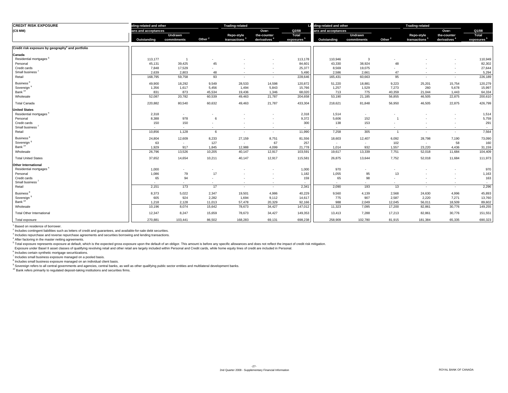| <b>CREDIT RISK EXPOSURE</b>                                  | ding-related and other   |                          |                          | <b>Trading-related</b>    |                          |                        | ding-related and other |                          |                    | <b>Trading-related</b>    |                          |                          |
|--------------------------------------------------------------|--------------------------|--------------------------|--------------------------|---------------------------|--------------------------|------------------------|------------------------|--------------------------|--------------------|---------------------------|--------------------------|--------------------------|
| (C\$ MM)                                                     | ans and acceptances      |                          |                          |                           | Over-                    | Q2/08                  | ans and acceptances    |                          |                    |                           | Over-                    | Q1/08                    |
|                                                              |                          | Undrawn                  |                          | Repo-style                | the-counter              | Total                  |                        | Undrawn                  |                    | Repo-style                | the-counter              | Total                    |
|                                                              | Outstanding              | commitments              | Other <sup>2</sup>       | transactions <sup>3</sup> | derivatives <sup>4</sup> | exposures <sup>5</sup> | Outstanding            | commitments              | Other <sup>2</sup> | transactions <sup>3</sup> | derivatives <sup>4</sup> | exposures <sup>5</sup>   |
| Credit risk exposure by geography <sup>1</sup> and portfolio |                          |                          |                          |                           |                          |                        |                        |                          |                    |                           |                          |                          |
| Canada                                                       |                          |                          |                          |                           |                          |                        |                        |                          |                    |                           |                          |                          |
| Residential mortgages <sup>6</sup>                           | 113,177                  | $\overline{1}$           |                          |                           |                          | 113,178                | 110,946                | 3                        |                    |                           |                          | 110,949                  |
| Personal                                                     | 45,131                   | 39,425                   | 45                       |                           |                          | 84,601                 | 43,330                 | 38,924                   | 48                 |                           |                          | 82,302                   |
| Credit cards                                                 | 7,848                    | 17,529                   | $\sim$                   | $\overline{\phantom{a}}$  | $\overline{\phantom{a}}$ | 25,377                 | 8,569                  | 19,075                   |                    |                           | $\overline{\phantom{a}}$ | 27,644                   |
| Small business <sup>7</sup>                                  | 2,639                    | 2,803                    | 48                       | $\sim$                    | $\sim$                   | 5,490                  | 2,586                  | 2,661                    | 47                 | $\overline{\phantom{a}}$  | $\sim$                   | 5,294                    |
| Retail                                                       | 168,795                  | 59,758                   | 93                       | $\sim$                    | $\sim$                   | 228,646                | 165,431                | 60,663                   | 95                 | $\overline{\phantom{a}}$  | $\sim$                   | 226,189                  |
| Business <sup>8</sup>                                        | 49,900                   | 18,292                   | 9,549                    | 28,533                    | 14,598                   | 120,872                | 51,220                 | 18,881                   | 9,223              | 25,201                    | 15,754                   | 120,279                  |
| Sovereign                                                    | 1,356                    | 1,617                    | 5,456                    | 1,494                     | 5,843                    | 15,766                 | 1,257                  | 1,529                    | 7,273              | 260                       | 5,678                    | 15,997                   |
| Bank <sup>10</sup>                                           | 831                      | 873                      | 45,534                   | 19,436                    | 1,346                    | 68,020                 | 713                    | 775                      | 40,359             | 21,044                    | 1,443                    | 64,334                   |
| Wholesale                                                    | 52,087                   | 20,782                   | 60,539                   | 49,463                    | 21,787                   | 204,658                | 53,190                 | 21,185                   | 56,855             | 46,505                    | 22,875                   | 200,610                  |
| <b>Total Canada</b>                                          | 220,882                  | 80,540                   | 60,632                   | 49,463                    | 21,787                   | 433,304                | 218,621                | 81,848                   | 56,950             | 46,505                    | 22,875                   | 426,799                  |
| <b>United States</b>                                         |                          |                          |                          |                           |                          |                        |                        |                          |                    |                           |                          |                          |
| Residential mortgages <sup>6</sup>                           | 2,318                    | $\overline{\phantom{a}}$ | $\overline{\phantom{a}}$ |                           | $\overline{\phantom{a}}$ | 2,318                  | 1,514                  | $\sim$                   |                    |                           |                          | 1,514                    |
| Personal                                                     | 8,388                    | 978                      | 6                        |                           |                          | 9,372                  | 5,606                  | 152                      |                    |                           |                          | 5,759                    |
| Credit cards                                                 | 150                      | 150                      | $\overline{\phantom{a}}$ |                           | $\overline{\phantom{a}}$ | 300                    | 138                    | 153                      |                    |                           | $\sim$                   | 291                      |
| Small business <sup>7</sup>                                  | $\sim$                   | $\overline{\phantom{a}}$ | $\overline{\phantom{a}}$ | $\overline{\phantom{a}}$  | $\overline{\phantom{a}}$ | $\sim$                 |                        | $\sim$                   |                    |                           |                          | $\overline{\phantom{a}}$ |
| Retail                                                       | 10,856                   | 1,128                    | 6                        | $\sim$                    | $\overline{\phantom{a}}$ | 11,990                 | 7,258                  | 305                      | $\overline{1}$     | $\sim$                    | $\overline{\phantom{a}}$ | 7,564                    |
| Business <sup>8</sup>                                        | 24,804                   | 12,609                   | 8,233                    | 27,159                    | 8,751                    | 81,556                 | 18,603                 | 12,407                   | 6,092              | 28,798                    | 7,190                    | 73,090                   |
| Sovereign                                                    | 63                       | $\overline{\phantom{a}}$ | 127                      | $\sim$                    | 67                       | 257                    | $\sim$                 | $\sim$                   | 102                | $\sim$                    | 58                       | 160                      |
| Bank <sup>10</sup>                                           | 1.929                    | 917                      | 1.845                    | 12,988                    | 4.099                    | 21,778                 | 1,014                  | 932                      | 1,557              | 23,220                    | 4.436                    | 31,159                   |
| Wholesale                                                    | 26,796                   | 13,526                   | 10,205                   | 40,147                    | 12,917                   | 103,591                | 19,617                 | 13,339                   | 7,751              | 52,018                    | 11,684                   | 104,409                  |
| <b>Total United States</b>                                   | 37,652                   | 14,654                   | 10,211                   | 40,147                    | 12,917                   | 115,581                | 26,875                 | 13,644                   | 7,752              | 52,018                    | 11,684                   | 111,973                  |
| <b>Other International</b>                                   |                          |                          |                          |                           |                          |                        |                        |                          |                    |                           |                          |                          |
| Residential mortgages <sup>6</sup>                           | 1,000                    | $\overline{\phantom{a}}$ | $\overline{\phantom{a}}$ |                           |                          | 1,000                  | 970                    | $\overline{\phantom{a}}$ |                    |                           |                          | 970                      |
| Personal                                                     | 1,086                    | 79                       | 17                       |                           |                          | 1,182                  | 1,055                  | 95                       | 13                 |                           |                          | 1,163                    |
| Credit cards                                                 | 65                       | 94                       |                          |                           | $\blacksquare$           | 159                    | 65                     | 98                       |                    |                           |                          | 163                      |
| Small business <sup>7</sup>                                  | $\overline{\phantom{a}}$ | $\overline{\phantom{a}}$ | $\sim$                   | $\overline{\phantom{a}}$  | $\overline{\phantom{a}}$ |                        |                        | $\overline{a}$           |                    |                           |                          | $\overline{\phantom{a}}$ |
| Retail                                                       | 2,151                    | 173                      | 17                       | ÷                         | $\overline{\phantom{a}}$ | 2,341                  | 2,090                  | 193                      | 13                 | $\overline{\phantom{a}}$  | $\sim$                   | 2,296                    |
| Business <sup>8</sup>                                        | 8,373                    | 5,022                    | 2,347                    | 19,501                    | 4,986                    | 40,229                 | 9,560                  | 4,139                    | 2,568              | 24,630                    | 4,996                    | 45,893                   |
| Sovereign                                                    | 605                      | 924                      | 2,282                    | 1,694                     | 9,112                    | 14,617                 | 775                    | 907                      | 2,587              | 2,220                     | 7,271                    | 13,760                   |
| Bank <sup>10</sup>                                           | 1,218                    | 2,128                    | 11,013                   | 57,478                    | 20,329                   | 92,166                 | 988                    | 2,049                    | 12,045             | 56,011                    | 18,509                   | 89,602                   |
| Wholesale                                                    | 10,196                   | 8,074                    | 15,642                   | 78,673                    | 34,427                   | 147,012                | 11,323                 | 7,095                    | 17,200             | 82,861                    | 30,776                   | 149,255                  |
| <b>Total Other International</b>                             | 12,347                   | 8,247                    | 15,659                   | 78,673                    | 34,427                   | 149,353                | 13,413                 | 7,288                    | 17,213             | 82,861                    | 30,776                   | 151,551                  |
| Total exposure                                               | 270,881                  | 103,441                  | 86,502                   | 168,283                   | 69,131                   | 698,238                | 258,909                | 102,780                  | 81,915             | 181,384                   | 65,335                   | 690,323                  |

<sup>1</sup> Based on residence of borrower.

 $2$  Includes contingent liabilities such as letters of credit and guarantees, and available-for-sale debt securities.

<sup>3</sup> Includes repurchase and reverse repurchase agreements and securities borrowing and lending transactions.

4 After factoring in the master netting agreements.

<sup>5</sup> Total exposure represents exposure at default, which is the expected gross exposure upon the default of an obligor. This amount is before any specific allowances and does not reflect the impact of credit risk mitigatio

Exposure under Basel II asset classes of qualifying revolving retail and other retail are largely included within Personal and Credit cards, while home equity lines of credit are included in Personal.

6 Includes certain synthetic mortgage securitizations.

7 Includes small business exposure managed on a pooled basis.

8 Includes small business exposure managed on an individual client basis.

<sup>9</sup> Sovereign refers to all central governments and agencies, central banks, as well as other qualifying public sector entities and multilateral development banks.

<sup>10</sup> Bank refers primarily to regulated deposit-taking institutions and securities firms.